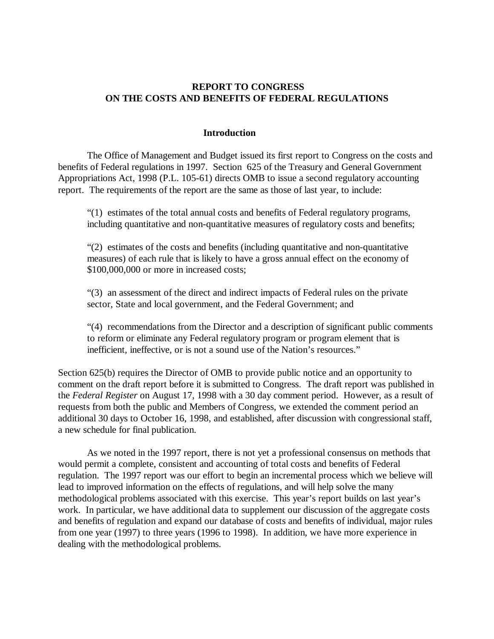# **REPORT TO CONGRESS ON THE COSTS AND BENEFITS OF FEDERAL REGULATIONS**

# **Introduction**

The Office of Management and Budget issued its first report to Congress on the costs and benefits of Federal regulations in 1997. Section 625 of the Treasury and General Government Appropriations Act, 1998 (P.L. 105-61) directs OMB to issue a second regulatory accounting report. The requirements of the report are the same as those of last year, to include:

"(1) estimates of the total annual costs and benefits of Federal regulatory programs, including quantitative and non-quantitative measures of regulatory costs and benefits;

"(2) estimates of the costs and benefits (including quantitative and non-quantitative measures) of each rule that is likely to have a gross annual effect on the economy of \$100,000,000 or more in increased costs;

"(3) an assessment of the direct and indirect impacts of Federal rules on the private sector, State and local government, and the Federal Government; and

"(4) recommendations from the Director and a description of significant public comments to reform or eliminate any Federal regulatory program or program element that is inefficient, ineffective, or is not a sound use of the Nation's resources."

Section 625(b) requires the Director of OMB to provide public notice and an opportunity to comment on the draft report before it is submitted to Congress. The draft report was published in the *Federal Register* on August 17, 1998 with a 30 day comment period. However, as a result of requests from both the public and Members of Congress, we extended the comment period an additional 30 days to October 16, 1998, and established, after discussion with congressional staff, a new schedule for final publication.

As we noted in the 1997 report, there is not yet a professional consensus on methods that would permit a complete, consistent and accounting of total costs and benefits of Federal regulation. The 1997 report was our effort to begin an incremental process which we believe will lead to improved information on the effects of regulations, and will help solve the many methodological problems associated with this exercise. This year's report builds on last year's work. In particular, we have additional data to supplement our discussion of the aggregate costs and benefits of regulation and expand our database of costs and benefits of individual, major rules from one year (1997) to three years (1996 to 1998). In addition, we have more experience in dealing with the methodological problems.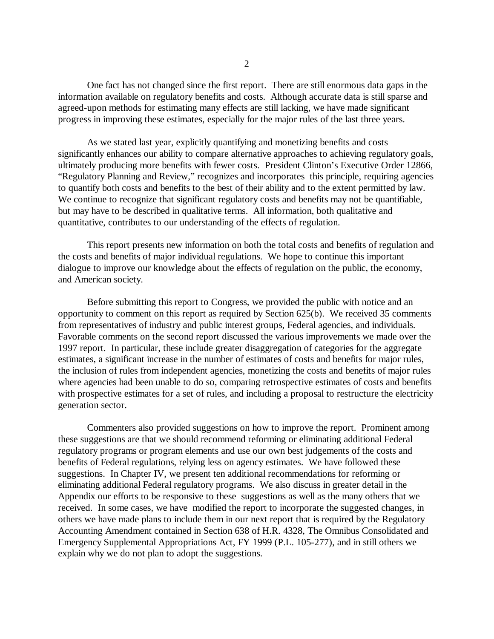One fact has not changed since the first report. There are still enormous data gaps in the information available on regulatory benefits and costs. Although accurate data is still sparse and agreed-upon methods for estimating many effects are still lacking, we have made significant progress in improving these estimates, especially for the major rules of the last three years.

As we stated last year, explicitly quantifying and monetizing benefits and costs significantly enhances our ability to compare alternative approaches to achieving regulatory goals, ultimately producing more benefits with fewer costs. President Clinton's Executive Order 12866, "Regulatory Planning and Review," recognizes and incorporates this principle, requiring agencies to quantify both costs and benefits to the best of their ability and to the extent permitted by law. We continue to recognize that significant regulatory costs and benefits may not be quantifiable, but may have to be described in qualitative terms. All information, both qualitative and quantitative, contributes to our understanding of the effects of regulation.

This report presents new information on both the total costs and benefits of regulation and the costs and benefits of major individual regulations. We hope to continue this important dialogue to improve our knowledge about the effects of regulation on the public, the economy, and American society.

Before submitting this report to Congress, we provided the public with notice and an opportunity to comment on this report as required by Section 625(b). We received 35 comments from representatives of industry and public interest groups, Federal agencies, and individuals. Favorable comments on the second report discussed the various improvements we made over the 1997 report. In particular, these include greater disaggregation of categories for the aggregate estimates, a significant increase in the number of estimates of costs and benefits for major rules, the inclusion of rules from independent agencies, monetizing the costs and benefits of major rules where agencies had been unable to do so, comparing retrospective estimates of costs and benefits with prospective estimates for a set of rules, and including a proposal to restructure the electricity generation sector.

Commenters also provided suggestions on how to improve the report. Prominent among these suggestions are that we should recommend reforming or eliminating additional Federal regulatory programs or program elements and use our own best judgements of the costs and benefits of Federal regulations, relying less on agency estimates. We have followed these suggestions. In Chapter IV, we present ten additional recommendations for reforming or eliminating additional Federal regulatory programs. We also discuss in greater detail in the Appendix our efforts to be responsive to these suggestions as well as the many others that we received. In some cases, we have modified the report to incorporate the suggested changes, in others we have made plans to include them in our next report that is required by the Regulatory Accounting Amendment contained in Section 638 of H.R. 4328, The Omnibus Consolidated and Emergency Supplemental Appropriations Act, FY 1999 (P.L. 105-277), and in still others we explain why we do not plan to adopt the suggestions.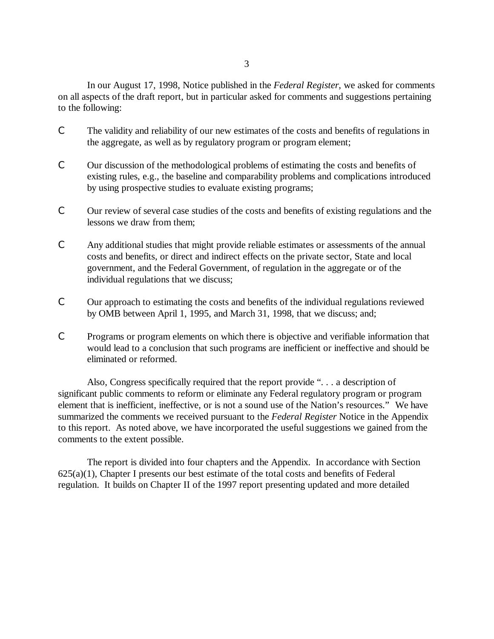In our August 17, 1998, Notice published in the *Federal Register*, we asked for comments on all aspects of the draft report, but in particular asked for comments and suggestions pertaining to the following:

- C The validity and reliability of our new estimates of the costs and benefits of regulations in the aggregate, as well as by regulatory program or program element;
- C Our discussion of the methodological problems of estimating the costs and benefits of existing rules, e.g., the baseline and comparability problems and complications introduced by using prospective studies to evaluate existing programs;
- C Our review of several case studies of the costs and benefits of existing regulations and the lessons we draw from them;
- C Any additional studies that might provide reliable estimates or assessments of the annual costs and benefits, or direct and indirect effects on the private sector, State and local government, and the Federal Government, of regulation in the aggregate or of the individual regulations that we discuss;
- C Our approach to estimating the costs and benefits of the individual regulations reviewed by OMB between April 1, 1995, and March 31, 1998, that we discuss; and;
- C Programs or program elements on which there is objective and verifiable information that would lead to a conclusion that such programs are inefficient or ineffective and should be eliminated or reformed.

Also, Congress specifically required that the report provide ". . . a description of significant public comments to reform or eliminate any Federal regulatory program or program element that is inefficient, ineffective, or is not a sound use of the Nation's resources." We have summarized the comments we received pursuant to the *Federal Register* Notice in the Appendix to this report. As noted above, we have incorporated the useful suggestions we gained from the comments to the extent possible.

The report is divided into four chapters and the Appendix. In accordance with Section  $625(a)(1)$ , Chapter I presents our best estimate of the total costs and benefits of Federal regulation. It builds on Chapter II of the 1997 report presenting updated and more detailed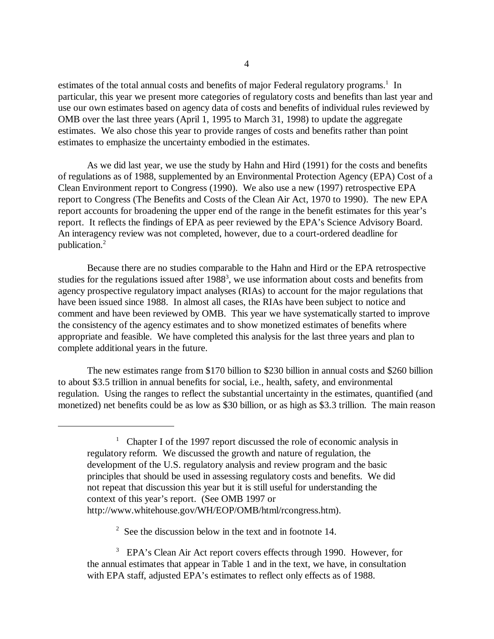estimates of the total annual costs and benefits of major Federal regulatory programs.<sup>1</sup> In particular, this year we present more categories of regulatory costs and benefits than last year and use our own estimates based on agency data of costs and benefits of individual rules reviewed by OMB over the last three years (April 1, 1995 to March 31, 1998) to update the aggregate estimates. We also chose this year to provide ranges of costs and benefits rather than point estimates to emphasize the uncertainty embodied in the estimates.

As we did last year, we use the study by Hahn and Hird (1991) for the costs and benefits of regulations as of 1988, supplemented by an Environmental Protection Agency (EPA) Cost of a Clean Environment report to Congress (1990). We also use a new (1997) retrospective EPA report to Congress (The Benefits and Costs of the Clean Air Act, 1970 to 1990). The new EPA report accounts for broadening the upper end of the range in the benefit estimates for this year's report. It reflects the findings of EPA as peer reviewed by the EPA's Science Advisory Board. An interagency review was not completed, however, due to a court-ordered deadline for publication.2

Because there are no studies comparable to the Hahn and Hird or the EPA retrospective studies for the regulations issued after  $1988<sup>3</sup>$ , we use information about costs and benefits from agency prospective regulatory impact analyses (RIAs) to account for the major regulations that have been issued since 1988. In almost all cases, the RIAs have been subject to notice and comment and have been reviewed by OMB. This year we have systematically started to improve the consistency of the agency estimates and to show monetized estimates of benefits where appropriate and feasible. We have completed this analysis for the last three years and plan to complete additional years in the future.

The new estimates range from \$170 billion to \$230 billion in annual costs and \$260 billion to about \$3.5 trillion in annual benefits for social, i.e., health, safety, and environmental regulation. Using the ranges to reflect the substantial uncertainty in the estimates, quantified (and monetized) net benefits could be as low as \$30 billion, or as high as \$3.3 trillion. The main reason

 $2\degree$  See the discussion below in the text and in footnote 14.

<sup>3</sup> EPA's Clean Air Act report covers effects through 1990. However, for the annual estimates that appear in Table 1 and in the text, we have, in consultation with EPA staff, adjusted EPA's estimates to reflect only effects as of 1988.

<sup>&</sup>lt;sup>1</sup> Chapter I of the 1997 report discussed the role of economic analysis in regulatory reform. We discussed the growth and nature of regulation, the development of the U.S. regulatory analysis and review program and the basic principles that should be used in assessing regulatory costs and benefits. We did not repeat that discussion this year but it is still useful for understanding the context of this year's report. (See OMB 1997 or http://www.whitehouse.gov/WH/EOP/OMB/html/rcongress.htm).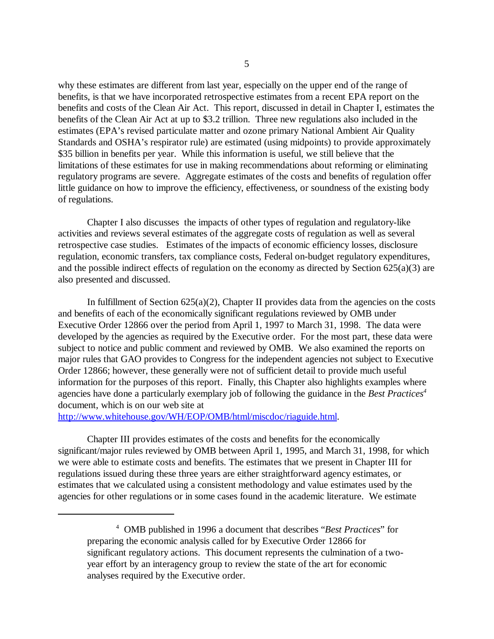why these estimates are different from last year, especially on the upper end of the range of benefits, is that we have incorporated retrospective estimates from a recent EPA report on the benefits and costs of the Clean Air Act. This report, discussed in detail in Chapter I, estimates the benefits of the Clean Air Act at up to \$3.2 trillion. Three new regulations also included in the estimates (EPA's revised particulate matter and ozone primary National Ambient Air Quality Standards and OSHA's respirator rule) are estimated (using midpoints) to provide approximately \$35 billion in benefits per year. While this information is useful, we still believe that the limitations of these estimates for use in making recommendations about reforming or eliminating regulatory programs are severe. Aggregate estimates of the costs and benefits of regulation offer little guidance on how to improve the efficiency, effectiveness, or soundness of the existing body of regulations.

Chapter I also discusses the impacts of other types of regulation and regulatory-like activities and reviews several estimates of the aggregate costs of regulation as well as several retrospective case studies. Estimates of the impacts of economic efficiency losses, disclosure regulation, economic transfers, tax compliance costs, Federal on-budget regulatory expenditures, and the possible indirect effects of regulation on the economy as directed by Section  $625(a)(3)$  are also presented and discussed.

In fulfillment of Section  $625(a)(2)$ , Chapter II provides data from the agencies on the costs and benefits of each of the economically significant regulations reviewed by OMB under Executive Order 12866 over the period from April 1, 1997 to March 31, 1998. The data were developed by the agencies as required by the Executive order. For the most part, these data were subject to notice and public comment and reviewed by OMB. We also examined the reports on major rules that GAO provides to Congress for the independent agencies not subject to Executive Order 12866; however, these generally were not of sufficient detail to provide much useful information for the purposes of this report. Finally, this Chapter also highlights examples where agencies have done a particularly exemplary job of following the guidance in the *Best Practices4*  document, which is on our web site at

http://www.whitehouse.gov/WH/EOP/OMB/html/miscdoc/riaguide.html.

Chapter III provides estimates of the costs and benefits for the economically significant/major rules reviewed by OMB between April 1, 1995, and March 31, 1998, for which we were able to estimate costs and benefits. The estimates that we present in Chapter III for regulations issued during these three years are either straightforward agency estimates, or estimates that we calculated using a consistent methodology and value estimates used by the agencies for other regulations or in some cases found in the academic literature. We estimate

<sup>4</sup> OMB published in 1996 a document that describes "*Best Practices*" for preparing the economic analysis called for by Executive Order 12866 for significant regulatory actions. This document represents the culmination of a twoyear effort by an interagency group to review the state of the art for economic analyses required by the Executive order.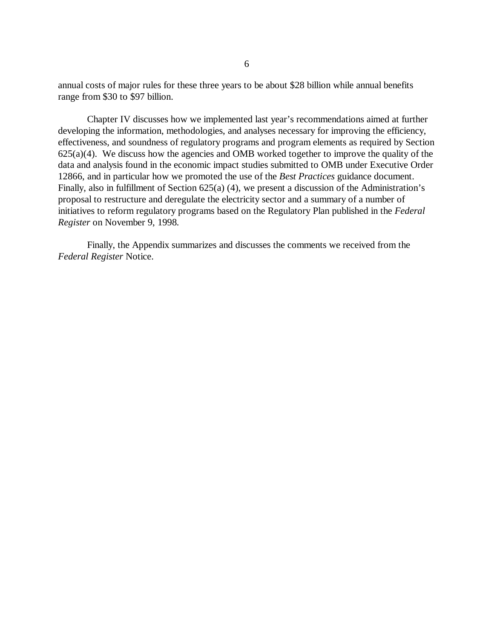annual costs of major rules for these three years to be about \$28 billion while annual benefits range from \$30 to \$97 billion.

Chapter IV discusses how we implemented last year's recommendations aimed at further developing the information, methodologies, and analyses necessary for improving the efficiency, effectiveness, and soundness of regulatory programs and program elements as required by Section  $625(a)(4)$ . We discuss how the agencies and OMB worked together to improve the quality of the data and analysis found in the economic impact studies submitted to OMB under Executive Order 12866, and in particular how we promoted the use of the *Best Practices* guidance document. Finally, also in fulfillment of Section 625(a) (4), we present a discussion of the Administration's proposal to restructure and deregulate the electricity sector and a summary of a number of initiatives to reform regulatory programs based on the Regulatory Plan published in the *Federal Register* on November 9, 1998*.* 

Finally, the Appendix summarizes and discusses the comments we received from the *Federal Register* Notice.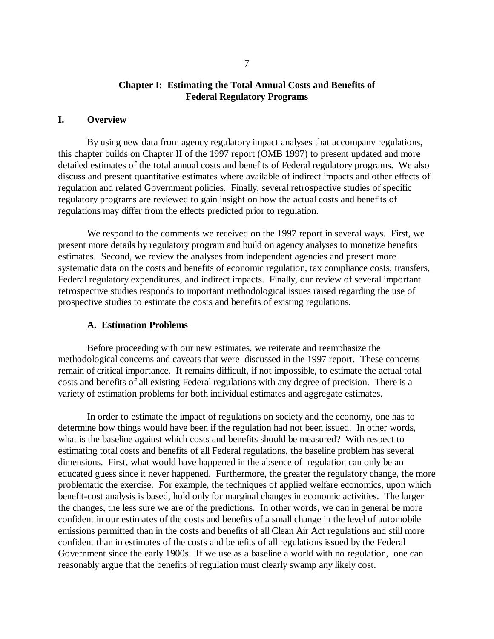# **Chapter I: Estimating the Total Annual Costs and Benefits of Federal Regulatory Programs**

## **I. Overview**

By using new data from agency regulatory impact analyses that accompany regulations, this chapter builds on Chapter II of the 1997 report (OMB 1997) to present updated and more detailed estimates of the total annual costs and benefits of Federal regulatory programs. We also discuss and present quantitative estimates where available of indirect impacts and other effects of regulation and related Government policies. Finally, several retrospective studies of specific regulatory programs are reviewed to gain insight on how the actual costs and benefits of regulations may differ from the effects predicted prior to regulation.

We respond to the comments we received on the 1997 report in several ways. First, we present more details by regulatory program and build on agency analyses to monetize benefits estimates. Second, we review the analyses from independent agencies and present more systematic data on the costs and benefits of economic regulation, tax compliance costs, transfers, Federal regulatory expenditures, and indirect impacts. Finally, our review of several important retrospective studies responds to important methodological issues raised regarding the use of prospective studies to estimate the costs and benefits of existing regulations.

### **A. Estimation Problems**

Before proceeding with our new estimates, we reiterate and reemphasize the methodological concerns and caveats that were discussed in the 1997 report. These concerns remain of critical importance. It remains difficult, if not impossible, to estimate the actual total costs and benefits of all existing Federal regulations with any degree of precision. There is a variety of estimation problems for both individual estimates and aggregate estimates.

In order to estimate the impact of regulations on society and the economy, one has to determine how things would have been if the regulation had not been issued. In other words, what is the baseline against which costs and benefits should be measured? With respect to estimating total costs and benefits of all Federal regulations, the baseline problem has several dimensions. First, what would have happened in the absence of regulation can only be an educated guess since it never happened. Furthermore, the greater the regulatory change, the more problematic the exercise. For example, the techniques of applied welfare economics, upon which benefit-cost analysis is based, hold only for marginal changes in economic activities. The larger the changes, the less sure we are of the predictions. In other words, we can in general be more confident in our estimates of the costs and benefits of a small change in the level of automobile emissions permitted than in the costs and benefits of all Clean Air Act regulations and still more confident than in estimates of the costs and benefits of all regulations issued by the Federal Government since the early 1900s. If we use as a baseline a world with no regulation, one can reasonably argue that the benefits of regulation must clearly swamp any likely cost.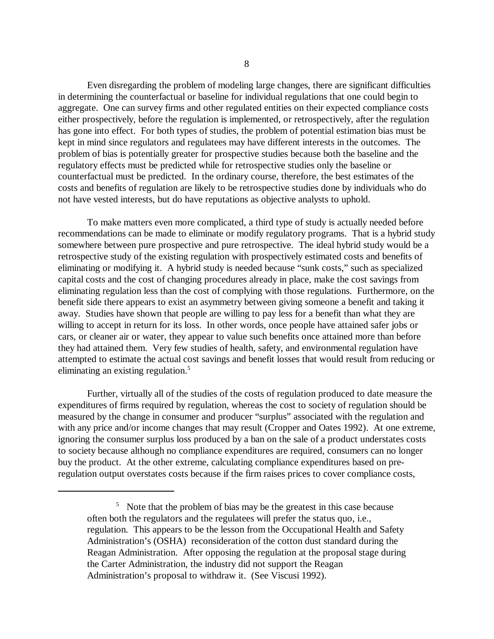Even disregarding the problem of modeling large changes, there are significant difficulties in determining the counterfactual or baseline for individual regulations that one could begin to aggregate. One can survey firms and other regulated entities on their expected compliance costs either prospectively, before the regulation is implemented, or retrospectively, after the regulation has gone into effect. For both types of studies, the problem of potential estimation bias must be kept in mind since regulators and regulatees may have different interests in the outcomes. The problem of bias is potentially greater for prospective studies because both the baseline and the regulatory effects must be predicted while for retrospective studies only the baseline or counterfactual must be predicted. In the ordinary course, therefore, the best estimates of the costs and benefits of regulation are likely to be retrospective studies done by individuals who do not have vested interests, but do have reputations as objective analysts to uphold.

To make matters even more complicated, a third type of study is actually needed before recommendations can be made to eliminate or modify regulatory programs. That is a hybrid study somewhere between pure prospective and pure retrospective. The ideal hybrid study would be a retrospective study of the existing regulation with prospectively estimated costs and benefits of eliminating or modifying it. A hybrid study is needed because "sunk costs," such as specialized capital costs and the cost of changing procedures already in place, make the cost savings from eliminating regulation less than the cost of complying with those regulations. Furthermore, on the benefit side there appears to exist an asymmetry between giving someone a benefit and taking it away. Studies have shown that people are willing to pay less for a benefit than what they are willing to accept in return for its loss. In other words, once people have attained safer jobs or cars, or cleaner air or water, they appear to value such benefits once attained more than before they had attained them. Very few studies of health, safety, and environmental regulation have attempted to estimate the actual cost savings and benefit losses that would result from reducing or eliminating an existing regulation.<sup>5</sup>

Further, virtually all of the studies of the costs of regulation produced to date measure the expenditures of firms required by regulation, whereas the cost to society of regulation should be measured by the change in consumer and producer "surplus" associated with the regulation and with any price and/or income changes that may result (Cropper and Oates 1992). At one extreme, ignoring the consumer surplus loss produced by a ban on the sale of a product understates costs to society because although no compliance expenditures are required, consumers can no longer buy the product. At the other extreme, calculating compliance expenditures based on preregulation output overstates costs because if the firm raises prices to cover compliance costs,

<sup>&</sup>lt;sup>5</sup> Note that the problem of bias may be the greatest in this case because often both the regulators and the regulatees will prefer the status quo, i.e., regulation. This appears to be the lesson from the Occupational Health and Safety Administration's (OSHA) reconsideration of the cotton dust standard during the Reagan Administration. After opposing the regulation at the proposal stage during the Carter Administration, the industry did not support the Reagan Administration's proposal to withdraw it. (See Viscusi 1992).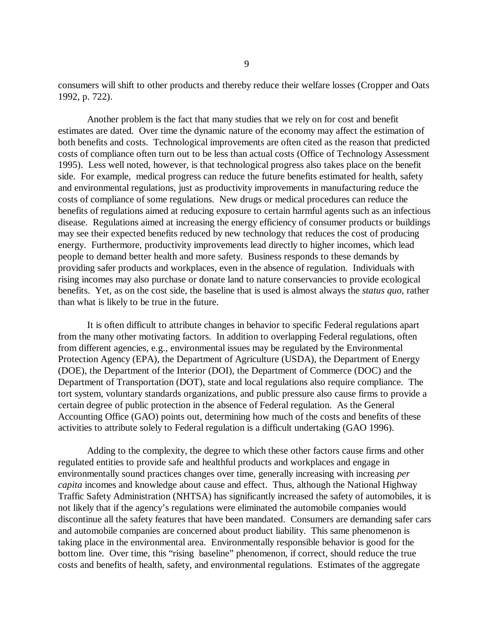consumers will shift to other products and thereby reduce their welfare losses (Cropper and Oats 1992, p. 722).

Another problem is the fact that many studies that we rely on for cost and benefit estimates are dated. Over time the dynamic nature of the economy may affect the estimation of both benefits and costs. Technological improvements are often cited as the reason that predicted costs of compliance often turn out to be less than actual costs (Office of Technology Assessment 1995). Less well noted, however, is that technological progress also takes place on the benefit side. For example, medical progress can reduce the future benefits estimated for health, safety and environmental regulations, just as productivity improvements in manufacturing reduce the costs of compliance of some regulations. New drugs or medical procedures can reduce the benefits of regulations aimed at reducing exposure to certain harmful agents such as an infectious disease. Regulations aimed at increasing the energy efficiency of consumer products or buildings may see their expected benefits reduced by new technology that reduces the cost of producing energy. Furthermore, productivity improvements lead directly to higher incomes, which lead people to demand better health and more safety. Business responds to these demands by providing safer products and workplaces, even in the absence of regulation. Individuals with rising incomes may also purchase or donate land to nature conservancies to provide ecological benefits. Yet, as on the cost side, the baseline that is used is almost always the *status quo,* rather than what is likely to be true in the future.

It is often difficult to attribute changes in behavior to specific Federal regulations apart from the many other motivating factors. In addition to overlapping Federal regulations, often from different agencies, e.g., environmental issues may be regulated by the Environmental Protection Agency (EPA), the Department of Agriculture (USDA), the Department of Energy (DOE), the Department of the Interior (DOI), the Department of Commerce (DOC) and the Department of Transportation (DOT), state and local regulations also require compliance. The tort system, voluntary standards organizations, and public pressure also cause firms to provide a certain degree of public protection in the absence of Federal regulation. As the General Accounting Office (GAO) points out, determining how much of the costs and benefits of these activities to attribute solely to Federal regulation is a difficult undertaking (GAO 1996).

Adding to the complexity, the degree to which these other factors cause firms and other regulated entities to provide safe and healthful products and workplaces and engage in environmentally sound practices changes over time, generally increasing with increasing *per capita* incomes and knowledge about cause and effect. Thus, although the National Highway Traffic Safety Administration (NHTSA) has significantly increased the safety of automobiles, it is not likely that if the agency's regulations were eliminated the automobile companies would discontinue all the safety features that have been mandated. Consumers are demanding safer cars and automobile companies are concerned about product liability. This same phenomenon is taking place in the environmental area. Environmentally responsible behavior is good for the bottom line. Over time, this "rising baseline" phenomenon, if correct, should reduce the true costs and benefits of health, safety, and environmental regulations. Estimates of the aggregate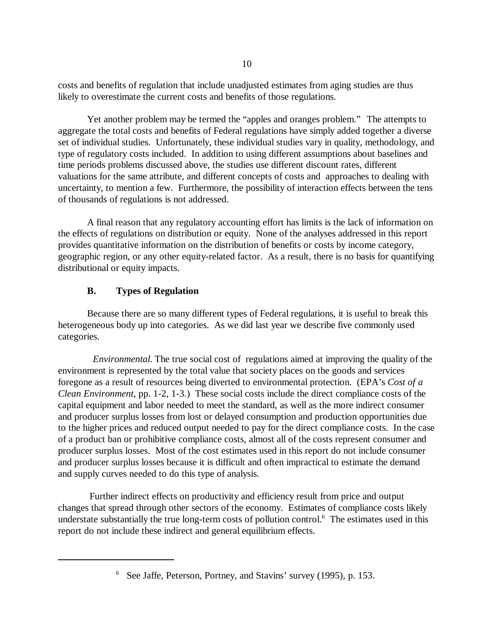costs and benefits of regulation that include unadjusted estimates from aging studies are thus likely to overestimate the current costs and benefits of those regulations.

Yet another problem may be termed the "apples and oranges problem." The attempts to aggregate the total costs and benefits of Federal regulations have simply added together a diverse set of individual studies. Unfortunately, these individual studies vary in quality, methodology, and type of regulatory costs included. In addition to using different assumptions about baselines and time periods problems discussed above, the studies use different discount rates, different valuations for the same attribute, and different concepts of costs and approaches to dealing with uncertainty, to mention a few. Furthermore, the possibility of interaction effects between the tens of thousands of regulations is not addressed.

A final reason that any regulatory accounting effort has limits is the lack of information on the effects of regulations on distribution or equity. None of the analyses addressed in this report provides quantitative information on the distribution of benefits or costs by income category, geographic region, or any other equity-related factor. As a result, there is no basis for quantifying distributional or equity impacts.

# **B. Types of Regulation**

Because there are so many different types of Federal regulations, it is useful to break this heterogeneous body up into categories. As we did last year we describe five commonly used categories.

*Environmental.* The true social cost of regulations aimed at improving the quality of the environment is represented by the total value that society places on the goods and services foregone as a result of resources being diverted to environmental protection. (EPA's *Cost of a Clean Environment,* pp. 1-2, 1-3.) These social costs include the direct compliance costs of the capital equipment and labor needed to meet the standard, as well as the more indirect consumer and producer surplus losses from lost or delayed consumption and production opportunities due to the higher prices and reduced output needed to pay for the direct compliance costs. In the case of a product ban or prohibitive compliance costs, almost all of the costs represent consumer and producer surplus losses. Most of the cost estimates used in this report do not include consumer and producer surplus losses because it is difficult and often impractical to estimate the demand and supply curves needed to do this type of analysis.

Further indirect effects on productivity and efficiency result from price and output changes that spread through other sectors of the economy. Estimates of compliance costs likely understate substantially the true long-term costs of pollution control.<sup>6</sup> The estimates used in this report do not include these indirect and general equilibrium effects.

<sup>&</sup>lt;sup>6</sup> See Jaffe, Peterson, Portney, and Stavins' survey (1995), p. 153.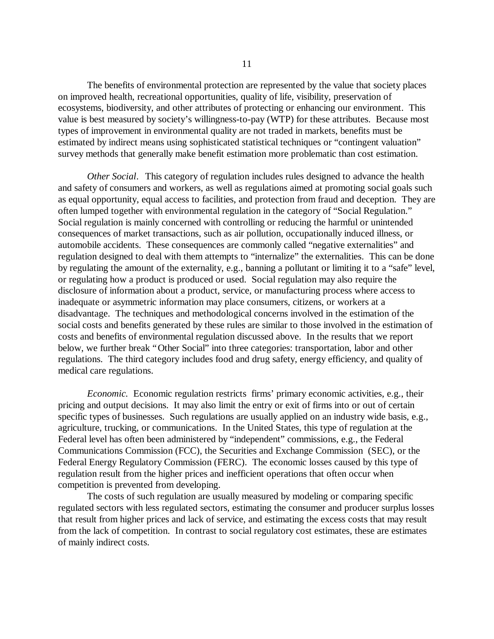The benefits of environmental protection are represented by the value that society places on improved health, recreational opportunities, quality of life, visibility, preservation of ecosystems, biodiversity, and other attributes of protecting or enhancing our environment. This value is best measured by society's willingness-to-pay (WTP) for these attributes. Because most types of improvement in environmental quality are not traded in markets, benefits must be estimated by indirect means using sophisticated statistical techniques or "contingent valuation" survey methods that generally make benefit estimation more problematic than cost estimation.

*Other Social*. This category of regulation includes rules designed to advance the health and safety of consumers and workers, as well as regulations aimed at promoting social goals such as equal opportunity, equal access to facilities, and protection from fraud and deception. They are often lumped together with environmental regulation in the category of "Social Regulation." Social regulation is mainly concerned with controlling or reducing the harmful or unintended consequences of market transactions, such as air pollution, occupationally induced illness, or automobile accidents. These consequences are commonly called "negative externalities" and regulation designed to deal with them attempts to "internalize" the externalities. This can be done by regulating the amount of the externality, e.g., banning a pollutant or limiting it to a "safe" level, or regulating how a product is produced or used. Social regulation may also require the disclosure of information about a product, service, or manufacturing process where access to inadequate or asymmetric information may place consumers, citizens, or workers at a disadvantage. The techniques and methodological concerns involved in the estimation of the social costs and benefits generated by these rules are similar to those involved in the estimation of costs and benefits of environmental regulation discussed above. In the results that we report below, we further break "Other Social" into three categories: transportation, labor and other regulations. The third category includes food and drug safety, energy efficiency, and quality of medical care regulations.

*Economic.* Economic regulation restricts firms' primary economic activities, e.g., their pricing and output decisions. It may also limit the entry or exit of firms into or out of certain specific types of businesses. Such regulations are usually applied on an industry wide basis, e.g., agriculture, trucking, or communications. In the United States, this type of regulation at the Federal level has often been administered by "independent" commissions, e.g., the Federal Communications Commission (FCC), the Securities and Exchange Commission (SEC), or the Federal Energy Regulatory Commission (FERC). The economic losses caused by this type of regulation result from the higher prices and inefficient operations that often occur when competition is prevented from developing.

The costs of such regulation are usually measured by modeling or comparing specific regulated sectors with less regulated sectors, estimating the consumer and producer surplus losses that result from higher prices and lack of service, and estimating the excess costs that may result from the lack of competition. In contrast to social regulatory cost estimates, these are estimates of mainly indirect costs.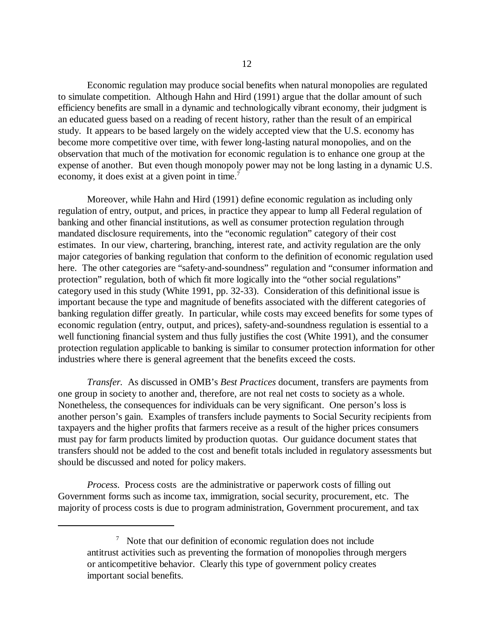Economic regulation may produce social benefits when natural monopolies are regulated to simulate competition. Although Hahn and Hird (1991) argue that the dollar amount of such efficiency benefits are small in a dynamic and technologically vibrant economy, their judgment is an educated guess based on a reading of recent history, rather than the result of an empirical study. It appears to be based largely on the widely accepted view that the U.S. economy has become more competitive over time, with fewer long-lasting natural monopolies, and on the observation that much of the motivation for economic regulation is to enhance one group at the expense of another. But even though monopoly power may not be long lasting in a dynamic U.S. economy, it does exist at a given point in time.<sup>7</sup>

Moreover, while Hahn and Hird (1991) define economic regulation as including only regulation of entry, output, and prices, in practice they appear to lump all Federal regulation of banking and other financial institutions, as well as consumer protection regulation through mandated disclosure requirements, into the "economic regulation" category of their cost estimates. In our view, chartering, branching, interest rate, and activity regulation are the only major categories of banking regulation that conform to the definition of economic regulation used here. The other categories are "safety-and-soundness" regulation and "consumer information and protection" regulation, both of which fit more logically into the "other social regulations" category used in this study (White 1991, pp. 32-33). Consideration of this definitional issue is important because the type and magnitude of benefits associated with the different categories of banking regulation differ greatly. In particular, while costs may exceed benefits for some types of economic regulation (entry, output, and prices), safety-and-soundness regulation is essential to a well functioning financial system and thus fully justifies the cost (White 1991), and the consumer protection regulation applicable to banking is similar to consumer protection information for other industries where there is general agreement that the benefits exceed the costs.

*Transfer.* As discussed in OMB's *Best Practices* document, transfers are payments from one group in society to another and, therefore, are not real net costs to society as a whole. Nonetheless, the consequences for individuals can be very significant. One person's loss is another person's gain. Examples of transfers include payments to Social Security recipients from taxpayers and the higher profits that farmers receive as a result of the higher prices consumers must pay for farm products limited by production quotas. Our guidance document states that transfers should not be added to the cost and benefit totals included in regulatory assessments but should be discussed and noted for policy makers.

*Process*. Process costs are the administrative or paperwork costs of filling out Government forms such as income tax, immigration, social security, procurement, etc. The majority of process costs is due to program administration, Government procurement, and tax

 $7$  Note that our definition of economic regulation does not include antitrust activities such as preventing the formation of monopolies through mergers or anticompetitive behavior. Clearly this type of government policy creates important social benefits.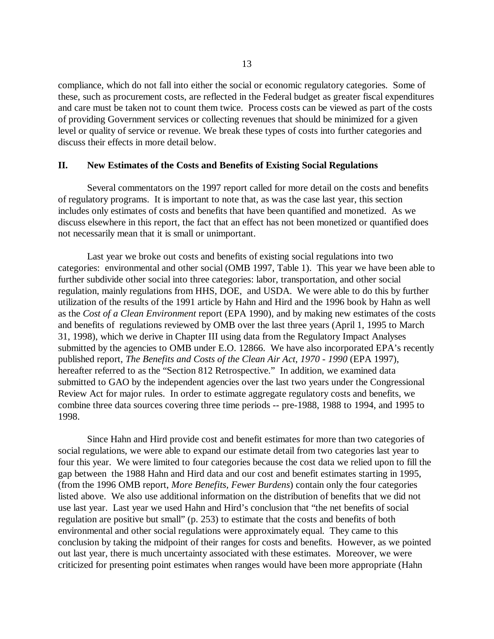compliance, which do not fall into either the social or economic regulatory categories. Some of these, such as procurement costs, are reflected in the Federal budget as greater fiscal expenditures and care must be taken not to count them twice. Process costs can be viewed as part of the costs of providing Government services or collecting revenues that should be minimized for a given level or quality of service or revenue. We break these types of costs into further categories and discuss their effects in more detail below.

### **II. New Estimates of the Costs and Benefits of Existing Social Regulations**

Several commentators on the 1997 report called for more detail on the costs and benefits of regulatory programs. It is important to note that, as was the case last year, this section includes only estimates of costs and benefits that have been quantified and monetized. As we discuss elsewhere in this report, the fact that an effect has not been monetized or quantified does not necessarily mean that it is small or unimportant.

Last year we broke out costs and benefits of existing social regulations into two categories: environmental and other social (OMB 1997, Table 1). This year we have been able to further subdivide other social into three categories: labor, transportation, and other social regulation, mainly regulations from HHS, DOE, and USDA. We were able to do this by further utilization of the results of the 1991 article by Hahn and Hird and the 1996 book by Hahn as well as the *Cost of a Clean Environment* report (EPA 1990), and by making new estimates of the costs and benefits of regulations reviewed by OMB over the last three years (April 1, 1995 to March 31, 1998), which we derive in Chapter III using data from the Regulatory Impact Analyses submitted by the agencies to OMB under E.O. 12866. We have also incorporated EPA's recently published report, *The Benefits and Costs of the Clean Air Act, 1970 - 1990* (EPA 1997), hereafter referred to as the "Section 812 Retrospective." In addition, we examined data submitted to GAO by the independent agencies over the last two years under the Congressional Review Act for major rules. In order to estimate aggregate regulatory costs and benefits, we combine three data sources covering three time periods -- pre-1988, 1988 to 1994, and 1995 to 1998.

Since Hahn and Hird provide cost and benefit estimates for more than two categories of social regulations, we were able to expand our estimate detail from two categories last year to four this year. We were limited to four categories because the cost data we relied upon to fill the gap between the 1988 Hahn and Hird data and our cost and benefit estimates starting in 1995, (from the 1996 OMB report, *More Benefits, Fewer Burdens*) contain only the four categories listed above. We also use additional information on the distribution of benefits that we did not use last year. Last year we used Hahn and Hird's conclusion that "the net benefits of social regulation are positive but small" (p. 253) to estimate that the costs and benefits of both environmental and other social regulations were approximately equal. They came to this conclusion by taking the midpoint of their ranges for costs and benefits. However, as we pointed out last year, there is much uncertainty associated with these estimates. Moreover, we were criticized for presenting point estimates when ranges would have been more appropriate (Hahn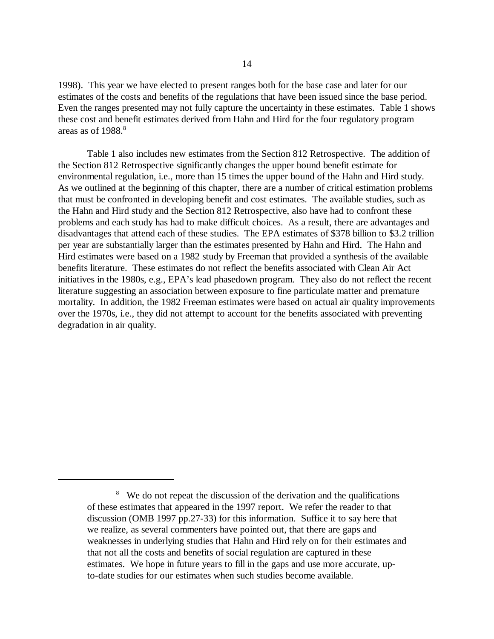1998). This year we have elected to present ranges both for the base case and later for our estimates of the costs and benefits of the regulations that have been issued since the base period. Even the ranges presented may not fully capture the uncertainty in these estimates. Table 1 shows these cost and benefit estimates derived from Hahn and Hird for the four regulatory program areas as of  $1988$ .<sup>8</sup>

Table 1 also includes new estimates from the Section 812 Retrospective. The addition of the Section 812 Retrospective significantly changes the upper bound benefit estimate for environmental regulation, i.e., more than 15 times the upper bound of the Hahn and Hird study. As we outlined at the beginning of this chapter, there are a number of critical estimation problems that must be confronted in developing benefit and cost estimates. The available studies, such as the Hahn and Hird study and the Section 812 Retrospective, also have had to confront these problems and each study has had to make difficult choices. As a result, there are advantages and disadvantages that attend each of these studies. The EPA estimates of \$378 billion to \$3.2 trillion per year are substantially larger than the estimates presented by Hahn and Hird. The Hahn and Hird estimates were based on a 1982 study by Freeman that provided a synthesis of the available benefits literature. These estimates do not reflect the benefits associated with Clean Air Act initiatives in the 1980s, e.g., EPA's lead phasedown program. They also do not reflect the recent literature suggesting an association between exposure to fine particulate matter and premature mortality. In addition, the 1982 Freeman estimates were based on actual air quality improvements over the 1970s, i.e., they did not attempt to account for the benefits associated with preventing degradation in air quality.

<sup>&</sup>lt;sup>8</sup> We do not repeat the discussion of the derivation and the qualifications of these estimates that appeared in the 1997 report. We refer the reader to that discussion (OMB 1997 pp.27-33) for this information. Suffice it to say here that we realize, as several commenters have pointed out, that there are gaps and weaknesses in underlying studies that Hahn and Hird rely on for their estimates and that not all the costs and benefits of social regulation are captured in these estimates. We hope in future years to fill in the gaps and use more accurate, upto-date studies for our estimates when such studies become available.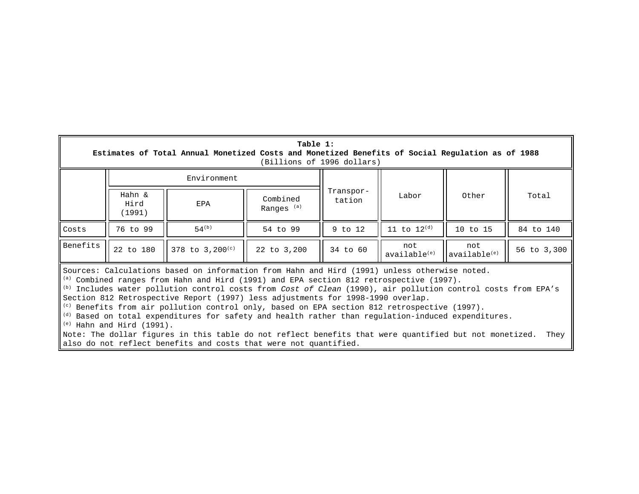| Table 1:<br>Estimates of Total Annual Monetized Costs and Monetized Benefits of Social Regulation as of 1988<br>(Billions of 1996 dollars)                                                                                                                                                                                                                                                                                                                                                                                                                                                                                                                                                                                                                                                                                                                                                                                        |                          |                      |                                   |                     |                                 |                                 |             |
|-----------------------------------------------------------------------------------------------------------------------------------------------------------------------------------------------------------------------------------------------------------------------------------------------------------------------------------------------------------------------------------------------------------------------------------------------------------------------------------------------------------------------------------------------------------------------------------------------------------------------------------------------------------------------------------------------------------------------------------------------------------------------------------------------------------------------------------------------------------------------------------------------------------------------------------|--------------------------|----------------------|-----------------------------------|---------------------|---------------------------------|---------------------------------|-------------|
|                                                                                                                                                                                                                                                                                                                                                                                                                                                                                                                                                                                                                                                                                                                                                                                                                                                                                                                                   | Environment              |                      |                                   |                     |                                 |                                 |             |
|                                                                                                                                                                                                                                                                                                                                                                                                                                                                                                                                                                                                                                                                                                                                                                                                                                                                                                                                   | Hahn &<br>Hird<br>(1991) | EPA                  | Combined<br>Ranges <sup>(a)</sup> | Transpor-<br>tation | Labor                           | Other                           | Total       |
| Costs                                                                                                                                                                                                                                                                                                                                                                                                                                                                                                                                                                                                                                                                                                                                                                                                                                                                                                                             | 76 to 99                 | $54^{(b)}$           | 54 to 99                          | $9$ to 12           | 11 to $12^{(d)}$                | 10 to 15                        | 84 to 140   |
| Benefits                                                                                                                                                                                                                                                                                                                                                                                                                                                                                                                                                                                                                                                                                                                                                                                                                                                                                                                          | 22 to 180                | 378 to $3,200^{(c)}$ | 22 to 3,200                       | 34 to 60            | not<br>available <sup>(e)</sup> | not<br>available <sup>(e)</sup> | 56 to 3,300 |
| Sources: Calculations based on information from Hahn and Hird (1991) unless otherwise noted.<br>$\vert$ (a) Combined ranges from Hahn and Hird (1991) and EPA section 812 retrospective (1997).<br>$\parallel$ <sup>(b)</sup> Includes water pollution control costs from Cost of Clean (1990), air pollution control costs from EPA's<br>Section 812 Retrospective Report (1997) less adjustments for 1998-1990 overlap.<br>$\parallel$ <sup>(c)</sup> Benefits from air pollution control only, based on EPA section 812 retrospective (1997).<br>$\parallel$ <sup>(d)</sup> Based on total expenditures for safety and health rather than regulation-induced expenditures.<br>$\left\vert \begin{array}{cc} (e) &$ Hahn and Hird (1991).<br>Note: The dollar figures in this table do not reflect benefits that were quantified but not monetized.<br>They<br>also do not reflect benefits and costs that were not quantified. |                          |                      |                                   |                     |                                 |                                 |             |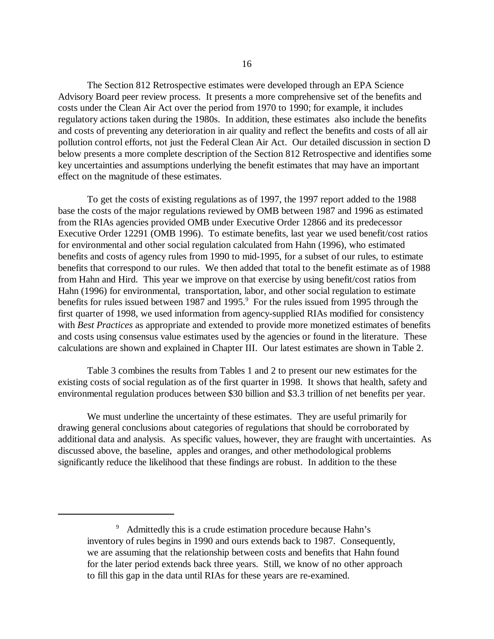The Section 812 Retrospective estimates were developed through an EPA Science Advisory Board peer review process. It presents a more comprehensive set of the benefits and costs under the Clean Air Act over the period from 1970 to 1990; for example, it includes regulatory actions taken during the 1980s. In addition, these estimates also include the benefits and costs of preventing any deterioration in air quality and reflect the benefits and costs of all air pollution control efforts, not just the Federal Clean Air Act. Our detailed discussion in section D below presents a more complete description of the Section 812 Retrospective and identifies some key uncertainties and assumptions underlying the benefit estimates that may have an important effect on the magnitude of these estimates.

To get the costs of existing regulations as of 1997, the 1997 report added to the 1988 base the costs of the major regulations reviewed by OMB between 1987 and 1996 as estimated from the RIAs agencies provided OMB under Executive Order 12866 and its predecessor Executive Order 12291 (OMB 1996). To estimate benefits, last year we used benefit/cost ratios for environmental and other social regulation calculated from Hahn (1996), who estimated benefits and costs of agency rules from 1990 to mid-1995, for a subset of our rules, to estimate benefits that correspond to our rules. We then added that total to the benefit estimate as of 1988 from Hahn and Hird. This year we improve on that exercise by using benefit/cost ratios from Hahn (1996) for environmental, transportation, labor, and other social regulation to estimate benefits for rules issued between 1987 and 1995.<sup>9</sup> For the rules issued from 1995 through the first quarter of 1998, we used information from agency-supplied RIAs modified for consistency with *Best Practices* as appropriate and extended to provide more monetized estimates of benefits and costs using consensus value estimates used by the agencies or found in the literature. These calculations are shown and explained in Chapter III. Our latest estimates are shown in Table 2.

Table 3 combines the results from Tables 1 and 2 to present our new estimates for the existing costs of social regulation as of the first quarter in 1998. It shows that health, safety and environmental regulation produces between \$30 billion and \$3.3 trillion of net benefits per year.

We must underline the uncertainty of these estimates. They are useful primarily for drawing general conclusions about categories of regulations that should be corroborated by additional data and analysis. As specific values, however, they are fraught with uncertainties. As discussed above, the baseline, apples and oranges, and other methodological problems significantly reduce the likelihood that these findings are robust. In addition to the these

<sup>9</sup> Admittedly this is a crude estimation procedure because Hahn's inventory of rules begins in 1990 and ours extends back to 1987. Consequently, we are assuming that the relationship between costs and benefits that Hahn found for the later period extends back three years. Still, we know of no other approach to fill this gap in the data until RIAs for these years are re-examined.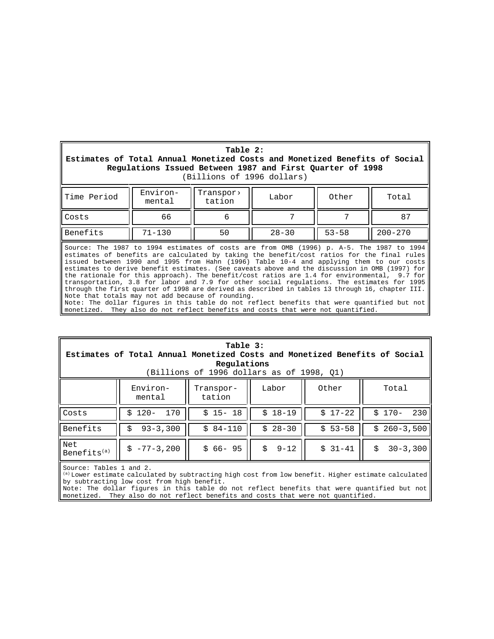| Table 2:<br>Estimates of Total Annual Monetized Costs and Monetized Benefits of Social<br>Regulations Issued Between 1987 and First Quarter of 1998<br>(Billions of 1996 dollars)                                                                                                                                                                                                                                                                                                                                                                                                                                                                                                                                                                                                                                                                                                                                             |                    |                     |           |           |             |
|-------------------------------------------------------------------------------------------------------------------------------------------------------------------------------------------------------------------------------------------------------------------------------------------------------------------------------------------------------------------------------------------------------------------------------------------------------------------------------------------------------------------------------------------------------------------------------------------------------------------------------------------------------------------------------------------------------------------------------------------------------------------------------------------------------------------------------------------------------------------------------------------------------------------------------|--------------------|---------------------|-----------|-----------|-------------|
| Time Period                                                                                                                                                                                                                                                                                                                                                                                                                                                                                                                                                                                                                                                                                                                                                                                                                                                                                                                   | Environ-<br>mental | Transpor><br>tation | Labor     | Other     | Total       |
| Costs                                                                                                                                                                                                                                                                                                                                                                                                                                                                                                                                                                                                                                                                                                                                                                                                                                                                                                                         | 66                 | 6                   |           | 7         | 87          |
| Benefits                                                                                                                                                                                                                                                                                                                                                                                                                                                                                                                                                                                                                                                                                                                                                                                                                                                                                                                      | $71 - 130$         | 50                  | $28 - 30$ | $53 - 58$ | $200 - 270$ |
| Source: The 1987 to 1994 estimates of costs are from OMB (1996) p. A-5. The 1987 to 1994<br>estimates of benefits are calculated by taking the benefit/cost ratios for the final rules<br>issued between 1990 and 1995 from Hahn (1996) Table 10-4 and applying them to our costs<br>estimates to derive benefit estimates. (See caveats above and the discussion in OMB (1997) for<br>the rationale for this approach). The benefit/cost ratios are 1.4 for environmental, 9.7 for<br>transportation, 3.8 for labor and 7.9 for other social regulations. The estimates for 1995<br>through the first quarter of 1998 are derived as described in tables 13 through 16, chapter III.<br>Note that totals may not add because of rounding.<br>Note: The dollar figures in this table do not reflect benefits that were quantified but not<br>monetized. They also do not reflect benefits and costs that were not quantified. |                    |                     |           |           |             |

| Table 3:<br>Estimates of Total Annual Monetized Costs and Monetized Benefits of Social<br>Regulations<br>(Billions of 1996 dollars as of 1998, O1) |                    |                     |                |            |                    |  |
|----------------------------------------------------------------------------------------------------------------------------------------------------|--------------------|---------------------|----------------|------------|--------------------|--|
|                                                                                                                                                    | Environ-<br>mental | Transpor-<br>tation | Labor          | Other      | Total              |  |
| Costs                                                                                                                                              | $$120-$<br>170     | $$15-18$            | $$18-19$       | $$17-22$   | $$170-$<br>230     |  |
| Benefits                                                                                                                                           | $93 - 3,300$       | $$84-110$           | $$28-30$       | $$53 - 58$ | $$260-3.500$       |  |
| Net<br>Benefits <sup>(a)</sup>                                                                                                                     | $$ -77-3, 200$     | $$66 - 95$          | $9 - 12$<br>Ŝ. | $$31-41$   | $30 - 3,300$<br>\$ |  |
| Source: Tables 1 and 2                                                                                                                             |                    |                     |                |            |                    |  |

Source: Tables 1 and 2.

(a) Lower estimate calculated by subtracting high cost from low benefit. Higher estimate calculated by subtracting low cost from high benefit.

Note: The dollar figures in this table do not reflect benefits that were quantified but not monetized. They also do not reflect benefits and costs that were not quantified.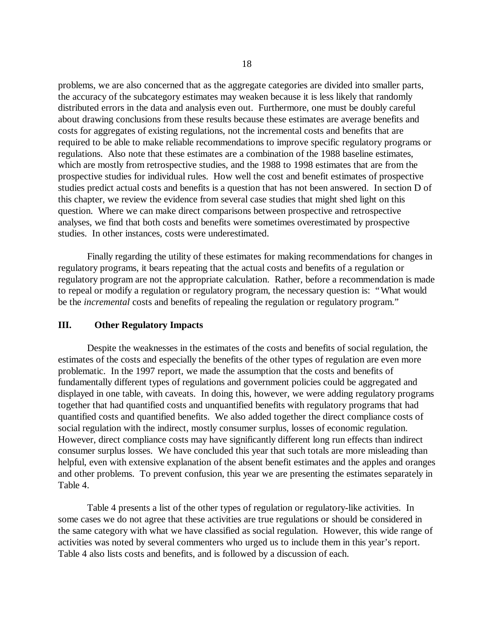problems, we are also concerned that as the aggregate categories are divided into smaller parts, the accuracy of the subcategory estimates may weaken because it is less likely that randomly distributed errors in the data and analysis even out. Furthermore, one must be doubly careful about drawing conclusions from these results because these estimates are average benefits and costs for aggregates of existing regulations, not the incremental costs and benefits that are required to be able to make reliable recommendations to improve specific regulatory programs or regulations. Also note that these estimates are a combination of the 1988 baseline estimates, which are mostly from retrospective studies, and the 1988 to 1998 estimates that are from the prospective studies for individual rules. How well the cost and benefit estimates of prospective studies predict actual costs and benefits is a question that has not been answered. In section D of this chapter, we review the evidence from several case studies that might shed light on this question. Where we can make direct comparisons between prospective and retrospective analyses, we find that both costs and benefits were sometimes overestimated by prospective studies. In other instances, costs were underestimated.

Finally regarding the utility of these estimates for making recommendations for changes in regulatory programs, it bears repeating that the actual costs and benefits of a regulation or regulatory program are not the appropriate calculation. Rather, before a recommendation is made to repeal or modify a regulation or regulatory program, the necessary question is: "What would be the *incremental* costs and benefits of repealing the regulation or regulatory program."

## **III. Other Regulatory Impacts**

Despite the weaknesses in the estimates of the costs and benefits of social regulation, the estimates of the costs and especially the benefits of the other types of regulation are even more problematic. In the 1997 report, we made the assumption that the costs and benefits of fundamentally different types of regulations and government policies could be aggregated and displayed in one table, with caveats. In doing this, however, we were adding regulatory programs together that had quantified costs and unquantified benefits with regulatory programs that had quantified costs and quantified benefits. We also added together the direct compliance costs of social regulation with the indirect, mostly consumer surplus, losses of economic regulation. However, direct compliance costs may have significantly different long run effects than indirect consumer surplus losses. We have concluded this year that such totals are more misleading than helpful, even with extensive explanation of the absent benefit estimates and the apples and oranges and other problems. To prevent confusion, this year we are presenting the estimates separately in Table 4.

Table 4 presents a list of the other types of regulation or regulatory-like activities. In some cases we do not agree that these activities are true regulations or should be considered in the same category with what we have classified as social regulation. However, this wide range of activities was noted by several commenters who urged us to include them in this year's report. Table 4 also lists costs and benefits, and is followed by a discussion of each.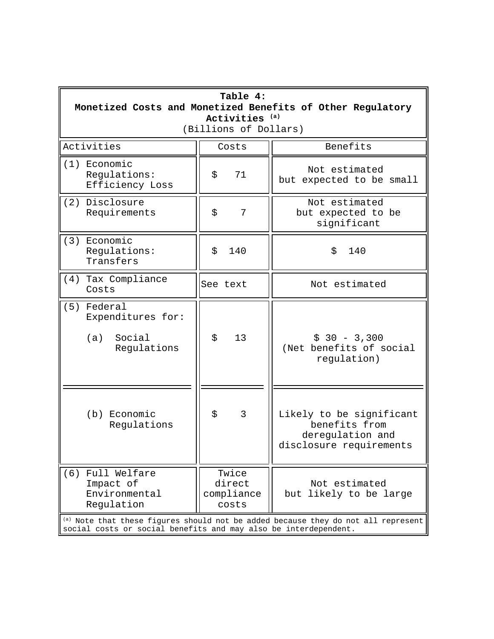| Table 4:<br>Monetized Costs and Monetized Benefits of Other Regulatory<br>Activities <sup>(a)</sup><br>(Billions of Dollars)                         |                                        |                                                                                          |  |  |  |
|------------------------------------------------------------------------------------------------------------------------------------------------------|----------------------------------------|------------------------------------------------------------------------------------------|--|--|--|
| Activities                                                                                                                                           | Costs                                  | Benefits                                                                                 |  |  |  |
| (1) Economic<br>Regulations:<br>Efficiency Loss                                                                                                      | 71<br>\$                               | Not estimated<br>but expected to be small                                                |  |  |  |
| (2) Disclosure<br>Requirements                                                                                                                       | \$<br>7                                | Not estimated<br>but expected to be<br>significant                                       |  |  |  |
| (3) Economic<br>Regulations:<br>Transfers                                                                                                            | 140<br>\$                              | 140<br>\$                                                                                |  |  |  |
| Tax Compliance<br>(4)<br>Costs                                                                                                                       | See text                               | Not estimated                                                                            |  |  |  |
| (5) Federal<br>Expenditures for:<br>(a)<br>Social<br>Regulations                                                                                     | \$<br>13                               | $$30 - 3,300$<br>(Net benefits of social<br>regulation)                                  |  |  |  |
| (b) Economic<br>Regulations                                                                                                                          | \$<br>3                                | Likely to be significant<br>benefits from<br>deregulation and<br>disclosure requirements |  |  |  |
| Full Welfare<br>(6)<br>Impact of<br>Environmental<br>Regulation                                                                                      | Twice<br>direct<br>compliance<br>costs | Not estimated<br>but likely to be large                                                  |  |  |  |
| (a) Note that these figures should not be added because they do not all represent<br>social costs or social benefits and may also be interdependent. |                                        |                                                                                          |  |  |  |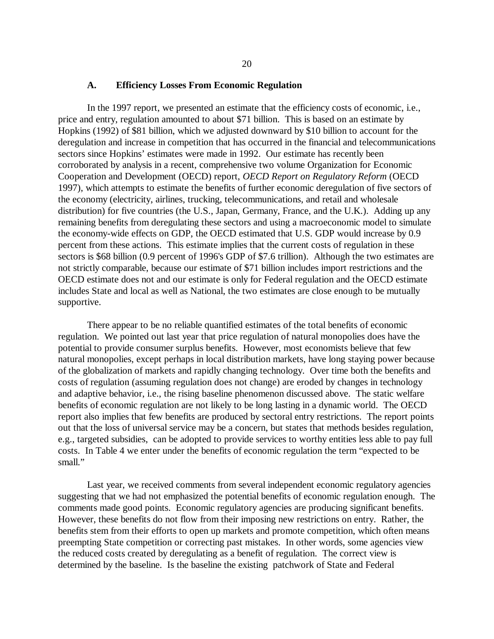#### **A. Efficiency Losses From Economic Regulation**

In the 1997 report, we presented an estimate that the efficiency costs of economic, i.e., price and entry, regulation amounted to about \$71 billion. This is based on an estimate by Hopkins (1992) of \$81 billion, which we adjusted downward by \$10 billion to account for the deregulation and increase in competition that has occurred in the financial and telecommunications sectors since Hopkins' estimates were made in 1992. Our estimate has recently been corroborated by analysis in a recent, comprehensive two volume Organization for Economic Cooperation and Development (OECD) report, *OECD Report on Regulatory Reform* (OECD 1997), which attempts to estimate the benefits of further economic deregulation of five sectors of the economy (electricity, airlines, trucking, telecommunications, and retail and wholesale distribution) for five countries (the U.S., Japan, Germany, France, and the U.K.). Adding up any remaining benefits from deregulating these sectors and using a macroeconomic model to simulate the economy-wide effects on GDP, the OECD estimated that U.S. GDP would increase by 0.9 percent from these actions. This estimate implies that the current costs of regulation in these sectors is \$68 billion (0.9 percent of 1996's GDP of \$7.6 trillion). Although the two estimates are not strictly comparable, because our estimate of \$71 billion includes import restrictions and the OECD estimate does not and our estimate is only for Federal regulation and the OECD estimate includes State and local as well as National, the two estimates are close enough to be mutually supportive.

There appear to be no reliable quantified estimates of the total benefits of economic regulation. We pointed out last year that price regulation of natural monopolies does have the potential to provide consumer surplus benefits. However, most economists believe that few natural monopolies, except perhaps in local distribution markets, have long staying power because of the globalization of markets and rapidly changing technology. Over time both the benefits and costs of regulation (assuming regulation does not change) are eroded by changes in technology and adaptive behavior, i.e., the rising baseline phenomenon discussed above. The static welfare benefits of economic regulation are not likely to be long lasting in a dynamic world. The OECD report also implies that few benefits are produced by sectoral entry restrictions. The report points out that the loss of universal service may be a concern, but states that methods besides regulation, e.g., targeted subsidies, can be adopted to provide services to worthy entities less able to pay full costs. In Table 4 we enter under the benefits of economic regulation the term "expected to be small."

Last year, we received comments from several independent economic regulatory agencies suggesting that we had not emphasized the potential benefits of economic regulation enough. The comments made good points. Economic regulatory agencies are producing significant benefits. However, these benefits do not flow from their imposing new restrictions on entry. Rather, the benefits stem from their efforts to open up markets and promote competition, which often means preempting State competition or correcting past mistakes. In other words, some agencies view the reduced costs created by deregulating as a benefit of regulation. The correct view is determined by the baseline. Is the baseline the existing patchwork of State and Federal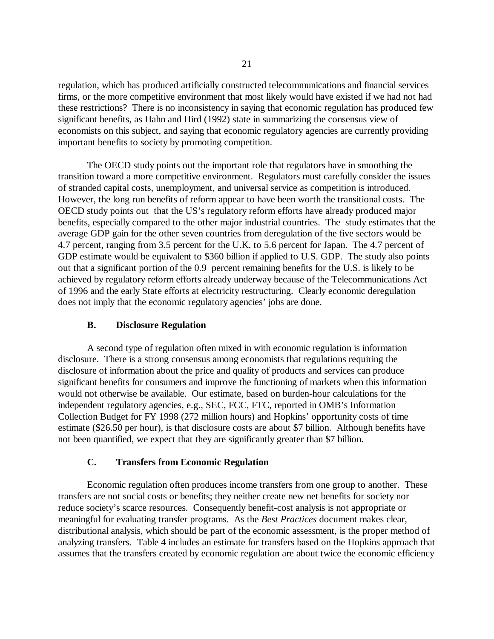regulation, which has produced artificially constructed telecommunications and financial services firms, or the more competitive environment that most likely would have existed if we had not had these restrictions? There is no inconsistency in saying that economic regulation has produced few significant benefits, as Hahn and Hird (1992) state in summarizing the consensus view of economists on this subject, and saying that economic regulatory agencies are currently providing important benefits to society by promoting competition.

The OECD study points out the important role that regulators have in smoothing the transition toward a more competitive environment. Regulators must carefully consider the issues of stranded capital costs, unemployment, and universal service as competition is introduced. However, the long run benefits of reform appear to have been worth the transitional costs. The OECD study points out that the US's regulatory reform efforts have already produced major benefits, especially compared to the other major industrial countries. The study estimates that the average GDP gain for the other seven countries from deregulation of the five sectors would be 4.7 percent, ranging from 3.5 percent for the U.K. to 5.6 percent for Japan. The 4.7 percent of GDP estimate would be equivalent to \$360 billion if applied to U.S. GDP. The study also points out that a significant portion of the 0.9 percent remaining benefits for the U.S. is likely to be achieved by regulatory reform efforts already underway because of the Telecommunications Act of 1996 and the early State efforts at electricity restructuring. Clearly economic deregulation does not imply that the economic regulatory agencies' jobs are done.

# **B. Disclosure Regulation**

A second type of regulation often mixed in with economic regulation is information disclosure. There is a strong consensus among economists that regulations requiring the disclosure of information about the price and quality of products and services can produce significant benefits for consumers and improve the functioning of markets when this information would not otherwise be available. Our estimate, based on burden-hour calculations for the independent regulatory agencies, e.g., SEC, FCC, FTC, reported in OMB's Information Collection Budget for FY 1998 (272 million hours) and Hopkins'opportunity costs of time estimate (\$26.50 per hour), is that disclosure costs are about \$7 billion. Although benefits have not been quantified, we expect that they are significantly greater than \$7 billion.

# **C. Transfers from Economic Regulation**

Economic regulation often produces income transfers from one group to another. These transfers are not social costs or benefits; they neither create new net benefits for society nor reduce society's scarce resources. Consequently benefit-cost analysis is not appropriate or meaningful for evaluating transfer programs. As the *Best Practices* document makes clear, distributional analysis, which should be part of the economic assessment, is the proper method of analyzing transfers. Table 4 includes an estimate for transfers based on the Hopkins approach that assumes that the transfers created by economic regulation are about twice the economic efficiency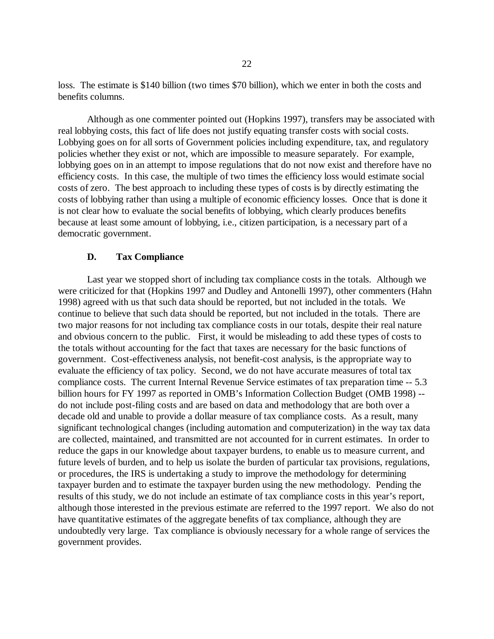loss. The estimate is \$140 billion (two times \$70 billion), which we enter in both the costs and benefits columns.

Although as one commenter pointed out (Hopkins 1997), transfers may be associated with real lobbying costs, this fact of life does not justify equating transfer costs with social costs. Lobbying goes on for all sorts of Government policies including expenditure, tax, and regulatory policies whether they exist or not, which are impossible to measure separately. For example, lobbying goes on in an attempt to impose regulations that do not now exist and therefore have no efficiency costs. In this case, the multiple of two times the efficiency loss would estimate social costs of zero. The best approach to including these types of costs is by directly estimating the costs of lobbying rather than using a multiple of economic efficiency losses. Once that is done it is not clear how to evaluate the social benefits of lobbying, which clearly produces benefits because at least some amount of lobbying, i.e., citizen participation, is a necessary part of a democratic government.

#### **D. Tax Compliance**

Last year we stopped short of including tax compliance costs in the totals. Although we were criticized for that (Hopkins 1997 and Dudley and Antonelli 1997), other commenters (Hahn 1998) agreed with us that such data should be reported, but not included in the totals. We continue to believe that such data should be reported, but not included in the totals. There are two major reasons for not including tax compliance costs in our totals, despite their real nature and obvious concern to the public. First, it would be misleading to add these types of costs to the totals without accounting for the fact that taxes are necessary for the basic functions of government. Cost-effectiveness analysis, not benefit-cost analysis, is the appropriate way to evaluate the efficiency of tax policy. Second, we do not have accurate measures of total tax compliance costs. The current Internal Revenue Service estimates of tax preparation time -- 5.3 billion hours for FY 1997 as reported in OMB's Information Collection Budget (OMB 1998) - do not include post-filing costs and are based on data and methodology that are both over a decade old and unable to provide a dollar measure of tax compliance costs. As a result, many significant technological changes (including automation and computerization) in the way tax data are collected, maintained, and transmitted are not accounted for in current estimates. In order to reduce the gaps in our knowledge about taxpayer burdens, to enable us to measure current, and future levels of burden, and to help us isolate the burden of particular tax provisions, regulations, or procedures, the IRS is undertaking a study to improve the methodology for determining taxpayer burden and to estimate the taxpayer burden using the new methodology. Pending the results of this study, we do not include an estimate of tax compliance costs in this year's report, although those interested in the previous estimate are referred to the 1997 report. We also do not have quantitative estimates of the aggregate benefits of tax compliance, although they are undoubtedly very large. Tax compliance is obviously necessary for a whole range of services the government provides.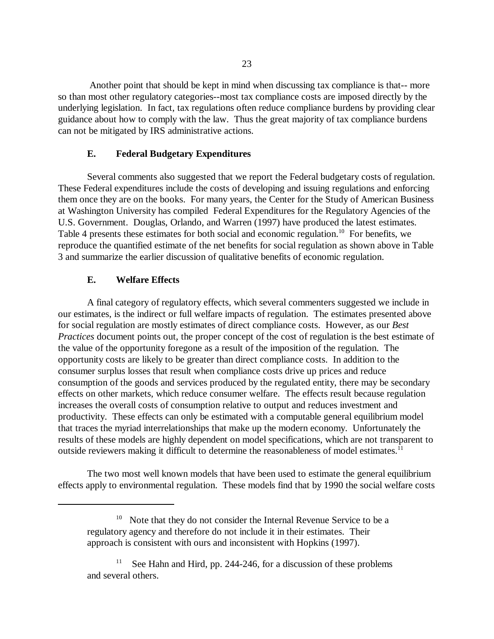Another point that should be kept in mind when discussing tax compliance is that-- more so than most other regulatory categories--most tax compliance costs are imposed directly by the underlying legislation. In fact, tax regulations often reduce compliance burdens by providing clear guidance about how to comply with the law. Thus the great majority of tax compliance burdens can not be mitigated by IRS administrative actions.

### **E. Federal Budgetary Expenditures**

Several comments also suggested that we report the Federal budgetary costs of regulation. These Federal expenditures include the costs of developing and issuing regulations and enforcing them once they are on the books. For many years, the Center for the Study of American Business at Washington University has compiled Federal Expenditures for the Regulatory Agencies of the U.S. Government. Douglas, Orlando, and Warren (1997) have produced the latest estimates. Table 4 presents these estimates for both social and economic regulation.<sup>10</sup> For benefits, we reproduce the quantified estimate of the net benefits for social regulation as shown above in Table 3 and summarize the earlier discussion of qualitative benefits of economic regulation.

## **E. Welfare Effects**

A final category of regulatory effects, which several commenters suggested we include in our estimates, is the indirect or full welfare impacts of regulation. The estimates presented above for social regulation are mostly estimates of direct compliance costs. However, as our *Best Practices* document points out, the proper concept of the cost of regulation is the best estimate of the value of the opportunity foregone as a result of the imposition of the regulation. The opportunity costs are likely to be greater than direct compliance costs. In addition to the consumer surplus losses that result when compliance costs drive up prices and reduce consumption of the goods and services produced by the regulated entity, there may be secondary effects on other markets, which reduce consumer welfare. The effects result because regulation increases the overall costs of consumption relative to output and reduces investment and productivity. These effects can only be estimated with a computable general equilibrium model that traces the myriad interrelationships that make up the modern economy. Unfortunately the results of these models are highly dependent on model specifications, which are not transparent to outside reviewers making it difficult to determine the reasonableness of model estimates.<sup>11</sup>

The two most well known models that have been used to estimate the general equilibrium effects apply to environmental regulation. These models find that by 1990 the social welfare costs

Note that they do not consider the Internal Revenue Service to be a regulatory agency and therefore do not include it in their estimates. Their approach is consistent with ours and inconsistent with Hopkins (1997).

See Hahn and Hird, pp. 244-246, for a discussion of these problems and several others.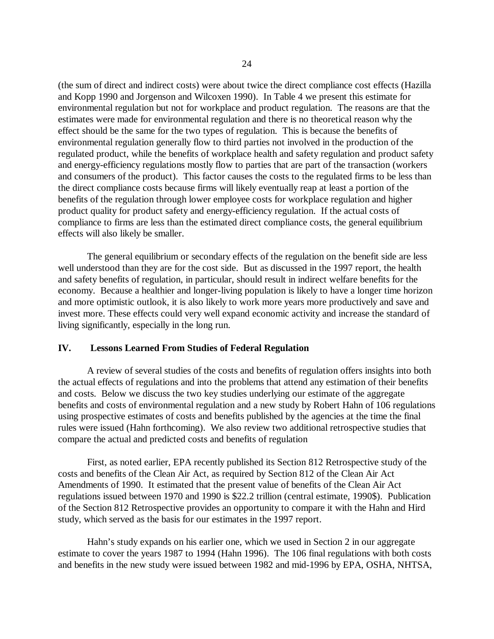(the sum of direct and indirect costs) were about twice the direct compliance cost effects (Hazilla and Kopp 1990 and Jorgenson and Wilcoxen 1990). In Table 4 we present this estimate for environmental regulation but not for workplace and product regulation. The reasons are that the estimates were made for environmental regulation and there is no theoretical reason why the effect should be the same for the two types of regulation. This is because the benefits of environmental regulation generally flow to third parties not involved in the production of the regulated product, while the benefits of workplace health and safety regulation and product safety and energy-efficiency regulations mostly flow to parties that are part of the transaction (workers and consumers of the product). This factor causes the costs to the regulated firms to be less than the direct compliance costs because firms will likely eventually reap at least a portion of the benefits of the regulation through lower employee costs for workplace regulation and higher product quality for product safety and energy-efficiency regulation. If the actual costs of compliance to firms are less than the estimated direct compliance costs, the general equilibrium effects will also likely be smaller.

The general equilibrium or secondary effects of the regulation on the benefit side are less well understood than they are for the cost side. But as discussed in the 1997 report, the health and safety benefits of regulation, in particular, should result in indirect welfare benefits for the economy. Because a healthier and longer-living population is likely to have a longer time horizon and more optimistic outlook, it is also likely to work more years more productively and save and invest more. These effects could very well expand economic activity and increase the standard of living significantly, especially in the long run.

### **IV. Lessons Learned From Studies of Federal Regulation**

A review of several studies of the costs and benefits of regulation offers insights into both the actual effects of regulations and into the problems that attend any estimation of their benefits and costs. Below we discuss the two key studies underlying our estimate of the aggregate benefits and costs of environmental regulation and a new study by Robert Hahn of 106 regulations using prospective estimates of costs and benefits published by the agencies at the time the final rules were issued (Hahn forthcoming). We also review two additional retrospective studies that compare the actual and predicted costs and benefits of regulation

First, as noted earlier, EPA recently published its Section 812 Retrospective study of the costs and benefits of the Clean Air Act, as required by Section 812 of the Clean Air Act Amendments of 1990. It estimated that the present value of benefits of the Clean Air Act regulations issued between 1970 and 1990 is \$22.2 trillion (central estimate, 1990\$). Publication of the Section 812 Retrospective provides an opportunity to compare it with the Hahn and Hird study, which served as the basis for our estimates in the 1997 report.

Hahn's study expands on his earlier one, which we used in Section 2 in our aggregate estimate to cover the years 1987 to 1994 (Hahn 1996). The 106 final regulations with both costs and benefits in the new study were issued between 1982 and mid-1996 by EPA, OSHA, NHTSA,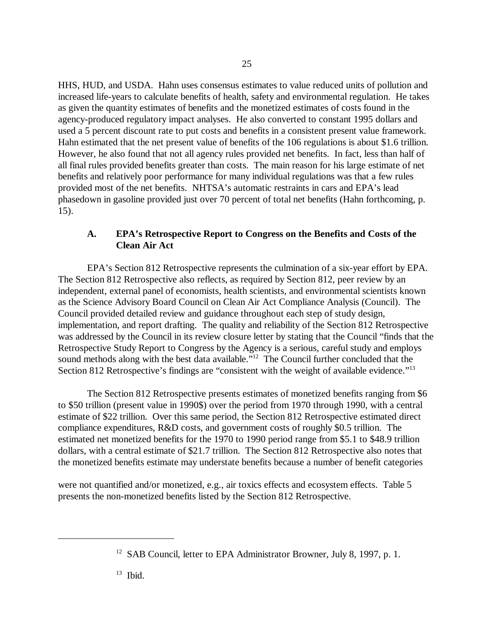HHS, HUD, and USDA. Hahn uses consensus estimates to value reduced units of pollution and increased life-years to calculate benefits of health, safety and environmental regulation. He takes as given the quantity estimates of benefits and the monetized estimates of costs found in the agency-produced regulatory impact analyses. He also converted to constant 1995 dollars and used a 5 percent discount rate to put costs and benefits in a consistent present value framework. Hahn estimated that the net present value of benefits of the 106 regulations is about \$1.6 trillion. However, he also found that not all agency rules provided net benefits. In fact, less than half of all final rules provided benefits greater than costs. The main reason for his large estimate of net benefits and relatively poor performance for many individual regulations was that a few rules provided most of the net benefits. NHTSA's automatic restraints in cars and EPA's lead phasedown in gasoline provided just over 70 percent of total net benefits (Hahn forthcoming, p. 15).

# **A. EPA's Retrospective Report to Congress on the Benefits and Costs of the Clean Air Act**

EPA's Section 812 Retrospective represents the culmination of a six-year effort by EPA. The Section 812 Retrospective also reflects, as required by Section 812, peer review by an independent, external panel of economists, health scientists, and environmental scientists known as the Science Advisory Board Council on Clean Air Act Compliance Analysis (Council). The Council provided detailed review and guidance throughout each step of study design, implementation, and report drafting. The quality and reliability of the Section 812 Retrospective was addressed by the Council in its review closure letter by stating that the Council "finds that the Retrospective Study Report to Congress by the Agency is a serious, careful study and employs sound methods along with the best data available."<sup>12</sup> The Council further concluded that the Section 812 Retrospective's findings are "consistent with the weight of available evidence."<sup>13</sup>

The Section 812 Retrospective presents estimates of monetized benefits ranging from \$6 to \$50 trillion (present value in 1990\$) over the period from 1970 through 1990, with a central estimate of \$22 trillion. Over this same period, the Section 812 Retrospective estimated direct compliance expenditures, R&D costs, and government costs of roughly \$0.5 trillion. The estimated net monetized benefits for the 1970 to 1990 period range from \$5.1 to \$48.9 trillion dollars, with a central estimate of \$21.7 trillion. The Section 812 Retrospective also notes that the monetized benefits estimate may understate benefits because a number of benefit categories

were not quantified and/or monetized, e.g., air toxics effects and ecosystem effects. Table 5 presents the non-monetized benefits listed by the Section 812 Retrospective.

<sup>&</sup>lt;sup>12</sup> SAB Council, letter to EPA Administrator Browner, July 8, 1997, p. 1.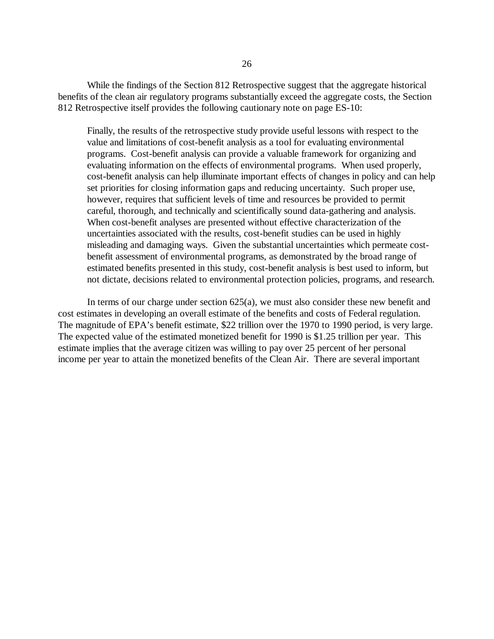While the findings of the Section 812 Retrospective suggest that the aggregate historical benefits of the clean air regulatory programs substantially exceed the aggregate costs, the Section 812 Retrospective itself provides the following cautionary note on page ES-10:

Finally, the results of the retrospective study provide useful lessons with respect to the value and limitations of cost-benefit analysis as a tool for evaluating environmental programs. Cost-benefit analysis can provide a valuable framework for organizing and evaluating information on the effects of environmental programs. When used properly, cost-benefit analysis can help illuminate important effects of changes in policy and can help set priorities for closing information gaps and reducing uncertainty. Such proper use, however, requires that sufficient levels of time and resources be provided to permit careful, thorough, and technically and scientifically sound data-gathering and analysis. When cost-benefit analyses are presented without effective characterization of the uncertainties associated with the results, cost-benefit studies can be used in highly misleading and damaging ways. Given the substantial uncertainties which permeate costbenefit assessment of environmental programs, as demonstrated by the broad range of estimated benefits presented in this study, cost-benefit analysis is best used to inform, but not dictate, decisions related to environmental protection policies, programs, and research.

In terms of our charge under section 625(a), we must also consider these new benefit and cost estimates in developing an overall estimate of the benefits and costs of Federal regulation. The magnitude of EPA's benefit estimate, \$22 trillion over the 1970 to 1990 period, is very large. The expected value of the estimated monetized benefit for 1990 is \$1.25 trillion per year. This estimate implies that the average citizen was willing to pay over 25 percent of her personal income per year to attain the monetized benefits of the Clean Air. There are several important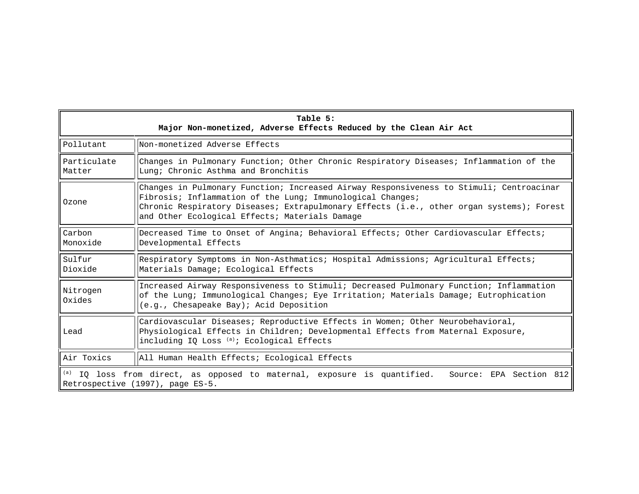| Table 5:<br>Major Non-monetized, Adverse Effects Reduced by the Clean Air Act                                                           |                                                                                                                                                                                                                                                                                                     |  |  |  |  |
|-----------------------------------------------------------------------------------------------------------------------------------------|-----------------------------------------------------------------------------------------------------------------------------------------------------------------------------------------------------------------------------------------------------------------------------------------------------|--|--|--|--|
| Pollutant                                                                                                                               | Non-monetized Adverse Effects                                                                                                                                                                                                                                                                       |  |  |  |  |
| Particulate<br>Matter                                                                                                                   | Changes in Pulmonary Function; Other Chronic Respiratory Diseases; Inflammation of the<br>Lung; Chronic Asthma and Bronchitis                                                                                                                                                                       |  |  |  |  |
| Ozone                                                                                                                                   | Changes in Pulmonary Function; Increased Airway Responsiveness to Stimuli; Centroacinar<br>Fibrosis; Inflammation of the Lung; Immunological Changes;<br>Chronic Respiratory Diseases; Extrapulmonary Effects (i.e., other organ systems); Forest<br>and Other Ecological Effects; Materials Damage |  |  |  |  |
| Carbon<br>Monoxide                                                                                                                      | Decreased Time to Onset of Angina; Behavioral Effects; Other Cardiovascular Effects;<br>Developmental Effects                                                                                                                                                                                       |  |  |  |  |
| Sulfur<br>Dioxide                                                                                                                       | Respiratory Symptoms in Non-Asthmatics; Hospital Admissions; Agricultural Effects;<br>Materials Damage; Ecological Effects                                                                                                                                                                          |  |  |  |  |
| Nitrogen<br>Oxides                                                                                                                      | Increased Airway Responsiveness to Stimuli; Decreased Pulmonary Function; Inflammation<br>of the Lung; Immunological Changes; Eye Irritation; Materials Damage; Eutrophication<br>(e.g., Chesapeake Bay); Acid Deposition                                                                           |  |  |  |  |
| Lead                                                                                                                                    | Cardiovascular Diseases; Reproductive Effects in Women; Other Neurobehavioral,<br>Physiological Effects in Children; Developmental Effects from Maternal Exposure,<br>including IQ Loss <sup>(a)</sup> ; Ecological Effects                                                                         |  |  |  |  |
| Air Toxics                                                                                                                              | All Human Health Effects; Ecological Effects                                                                                                                                                                                                                                                        |  |  |  |  |
| (a) IQ loss from direct, as opposed to maternal, exposure is quantified.<br>Source: EPA Section 812<br>Retrospective (1997), page ES-5. |                                                                                                                                                                                                                                                                                                     |  |  |  |  |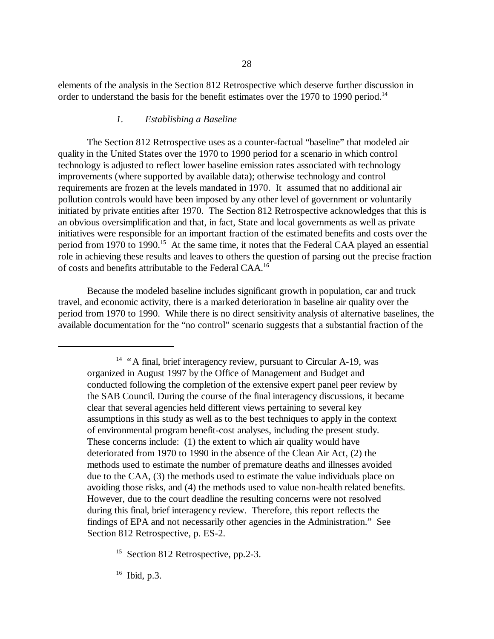elements of the analysis in the Section 812 Retrospective which deserve further discussion in order to understand the basis for the benefit estimates over the 1970 to 1990 period.<sup>14</sup>

### *1. Establishing a Baseline*

The Section 812 Retrospective uses as a counter-factual "baseline" that modeled air quality in the United States over the 1970 to 1990 period for a scenario in which control technology is adjusted to reflect lower baseline emission rates associated with technology improvements (where supported by available data); otherwise technology and control requirements are frozen at the levels mandated in 1970. It assumed that no additional air pollution controls would have been imposed by any other level of government or voluntarily initiated by private entities after 1970. The Section 812 Retrospective acknowledges that this is an obvious oversimplification and that, in fact, State and local governments as well as private initiatives were responsible for an important fraction of the estimated benefits and costs over the period from 1970 to 1990.<sup>15</sup> At the same time, it notes that the Federal CAA played an essential role in achieving these results and leaves to others the question of parsing out the precise fraction of costs and benefits attributable to the Federal CAA.16

Because the modeled baseline includes significant growth in population, car and truck travel, and economic activity, there is a marked deterioration in baseline air quality over the period from 1970 to 1990. While there is no direct sensitivity analysis of alternative baselines, the available documentation for the "no control" scenario suggests that a substantial fraction of the

16 Ibid, p.3.

<sup>&</sup>lt;sup>14</sup> "A final, brief interagency review, pursuant to Circular A-19, was organized in August 1997 by the Office of Management and Budget and conducted following the completion of the extensive expert panel peer review by the SAB Council. During the course of the final interagency discussions, it became clear that several agencies held different views pertaining to several key assumptions in this study as well as to the best techniques to apply in the context of environmental program benefit-cost analyses, including the present study. These concerns include: (1) the extent to which air quality would have deteriorated from 1970 to 1990 in the absence of the Clean Air Act, (2) the methods used to estimate the number of premature deaths and illnesses avoided due to the CAA, (3) the methods used to estimate the value individuals place on avoiding those risks, and (4) the methods used to value non-health related benefits. However, due to the court deadline the resulting concerns were not resolved during this final, brief interagency review. Therefore, this report reflects the findings of EPA and not necessarily other agencies in the Administration." See Section 812 Retrospective, p. ES-2.

<sup>&</sup>lt;sup>15</sup> Section 812 Retrospective, pp.2-3.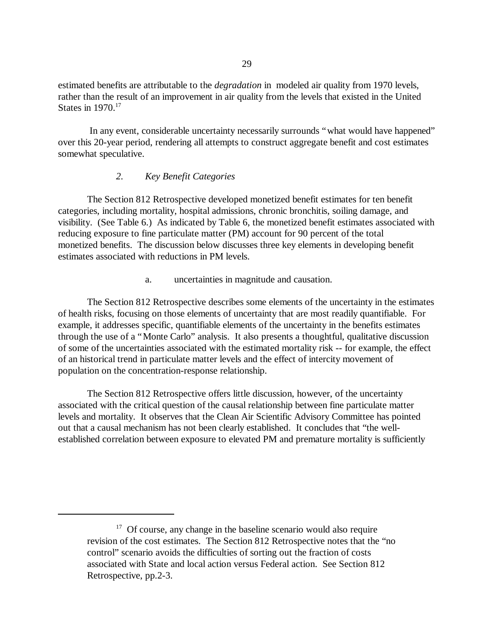estimated benefits are attributable to the *degradation* in modeled air quality from 1970 levels, rather than the result of an improvement in air quality from the levels that existed in the United States in 1970.<sup>17</sup>

In any event, considerable uncertainty necessarily surrounds "what would have happened" over this 20-year period, rendering all attempts to construct aggregate benefit and cost estimates somewhat speculative.

## *2. Key Benefit Categories*

The Section 812 Retrospective developed monetized benefit estimates for ten benefit categories, including mortality, hospital admissions, chronic bronchitis, soiling damage, and visibility. (See Table 6.) As indicated by Table 6, the monetized benefit estimates associated with reducing exposure to fine particulate matter (PM) account for 90 percent of the total monetized benefits. The discussion below discusses three key elements in developing benefit estimates associated with reductions in PM levels.

a. uncertainties in magnitude and causation.

The Section 812 Retrospective describes some elements of the uncertainty in the estimates of health risks, focusing on those elements of uncertainty that are most readily quantifiable. For example, it addresses specific, quantifiable elements of the uncertainty in the benefits estimates through the use of a "Monte Carlo" analysis. It also presents a thoughtful, qualitative discussion of some of the uncertainties associated with the estimated mortality risk -- for example, the effect of an historical trend in particulate matter levels and the effect of intercity movement of population on the concentration-response relationship.

The Section 812 Retrospective offers little discussion, however, of the uncertainty associated with the critical question of the causal relationship between fine particulate matter levels and mortality. It observes that the Clean Air Scientific Advisory Committee has pointed out that a causal mechanism has not been clearly established. It concludes that "the wellestablished correlation between exposure to elevated PM and premature mortality is sufficiently

 $17$  Of course, any change in the baseline scenario would also require revision of the cost estimates. The Section 812 Retrospective notes that the "no control" scenario avoids the difficulties of sorting out the fraction of costs associated with State and local action versus Federal action. See Section 812 Retrospective, pp.2-3.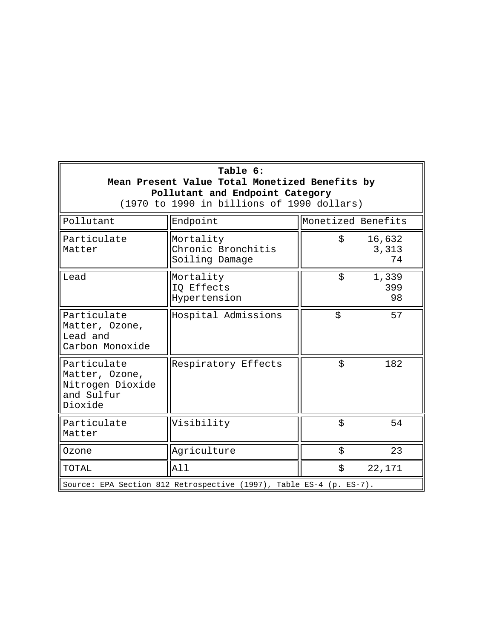| Table 6:<br>Mean Present Value Total Monetized Benefits by<br>Pollutant and Endpoint Category<br>(1970 to 1990 in billions of 1990 dollars) |                                                   |                    |                       |  |  |  |
|---------------------------------------------------------------------------------------------------------------------------------------------|---------------------------------------------------|--------------------|-----------------------|--|--|--|
| Pollutant                                                                                                                                   | Endpoint                                          | Monetized Benefits |                       |  |  |  |
| Particulate<br>Matter                                                                                                                       | Mortality<br>Chronic Bronchitis<br>Soiling Damage | Ŝ.                 | 16,632<br>3,313<br>74 |  |  |  |
| Lead                                                                                                                                        | Mortality<br>IQ Effects<br>Hypertension           | \$                 | 1,339<br>399<br>98    |  |  |  |
| Particulate<br>Matter, Ozone,<br>Lead and<br>Carbon Monoxide                                                                                | Hospital Admissions                               | \$                 | 57                    |  |  |  |
| Particulate<br>Matter, Ozone,<br>Nitrogen Dioxide<br>and Sulfur<br>Dioxide                                                                  | Respiratory Effects                               | \$                 | 182                   |  |  |  |
| Particulate<br>Matter                                                                                                                       | Visibility                                        | \$                 | 54                    |  |  |  |
| Ozone                                                                                                                                       | Agriculture                                       | \$                 | 23                    |  |  |  |
| TOTAL                                                                                                                                       | All                                               | \$                 | 22,171                |  |  |  |
| Source: EPA Section 812 Retrospective (1997), Table ES-4 (p. ES-7).                                                                         |                                                   |                    |                       |  |  |  |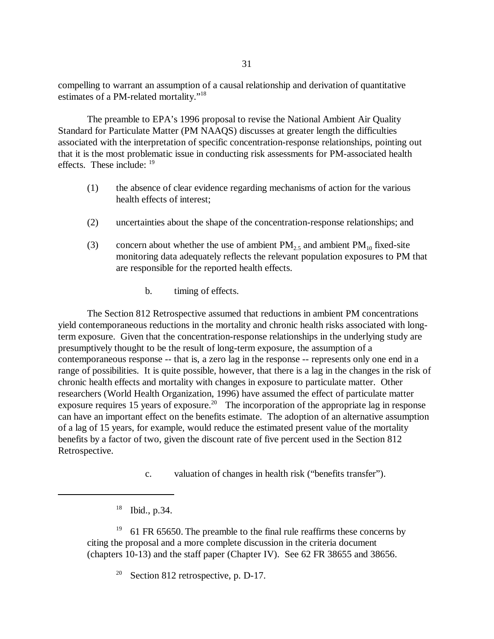compelling to warrant an assumption of a causal relationship and derivation of quantitative estimates of a PM-related mortality."18

The preamble to EPA's 1996 proposal to revise the National Ambient Air Quality Standard for Particulate Matter (PM NAAQS) discusses at greater length the difficulties associated with the interpretation of specific concentration-response relationships, pointing out that it is the most problematic issue in conducting risk assessments for PM-associated health effects. These include: 19

- (1) the absence of clear evidence regarding mechanisms of action for the various health effects of interest;
- (2) uncertainties about the shape of the concentration-response relationships; and
- (3) concern about whether the use of ambient  $PM_{2.5}$  and ambient  $PM_{10}$  fixed-site monitoring data adequately reflects the relevant population exposures to PM that are responsible for the reported health effects.
	- b. timing of effects.

The Section 812 Retrospective assumed that reductions in ambient PM concentrations yield contemporaneous reductions in the mortality and chronic health risks associated with longterm exposure. Given that the concentration-response relationships in the underlying study are presumptively thought to be the result of long-term exposure, the assumption of a contemporaneous response -- that is, a zero lag in the response -- represents only one end in a range of possibilities. It is quite possible, however, that there is a lag in the changes in the risk of chronic health effects and mortality with changes in exposure to particulate matter. Other researchers (World Health Organization, 1996) have assumed the effect of particulate matter exposure requires 15 years of exposure.<sup>20</sup> The incorporation of the appropriate lag in response can have an important effect on the benefits estimate. The adoption of an alternative assumption of a lag of 15 years, for example, would reduce the estimated present value of the mortality benefits by a factor of two, given the discount rate of five percent used in the Section 812 Retrospective.

c. valuation of changes in health risk ("benefits transfer").

<sup>19</sup> 61 FR 65650. The preamble to the final rule reaffirms these concerns by citing the proposal and a more complete discussion in the criteria document (chapters 10-13) and the staff paper (Chapter IV). See 62 FR 38655 and 38656.

<sup>20</sup> Section 812 retrospective, p. D-17.

<sup>18</sup> Ibid., p.34.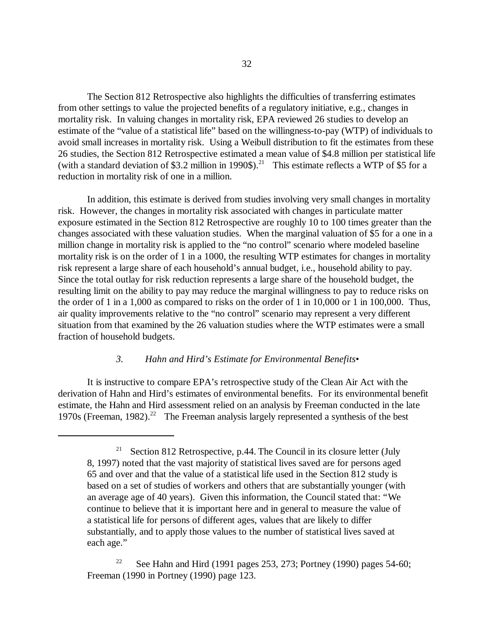The Section 812 Retrospective also highlights the difficulties of transferring estimates from other settings to value the projected benefits of a regulatory initiative, e.g., changes in mortality risk. In valuing changes in mortality risk, EPA reviewed 26 studies to develop an estimate of the "value of a statistical life"based on the willingness-to-pay (WTP) of individuals to avoid small increases in mortality risk. Using a Weibull distribution to fit the estimates from these 26 studies, the Section 812 Retrospective estimated a mean value of \$4.8 million per statistical life (with a standard deviation of \$3.2 million in 1990\$).<sup>21</sup> This estimate reflects a WTP of \$5 for a reduction in mortality risk of one in a million.

In addition, this estimate is derived from studies involving very small changes in mortality risk. However, the changes in mortality risk associated with changes in particulate matter exposure estimated in the Section 812 Retrospective are roughly 10 to 100 times greater than the changes associated with these valuation studies. When the marginal valuation of \$5 for a one in a million change in mortality risk is applied to the "no control" scenario where modeled baseline mortality risk is on the order of 1 in a 1000, the resulting WTP estimates for changes in mortality risk represent a large share of each household's annual budget, i.e., household ability to pay. Since the total outlay for risk reduction represents a large share of the household budget, the resulting limit on the ability to pay may reduce the marginal willingness to pay to reduce risks on the order of 1 in a 1,000 as compared to risks on the order of 1 in 10,000 or 1 in 100,000. Thus, air quality improvements relative to the "no control"scenario may represent a very different situation from that examined by the 26 valuation studies where the WTP estimates were a small fraction of household budgets.

# *3. Hahn and Hird's Estimate for Environmental Benefits•*

It is instructive to compare EPA's retrospective study of the Clean Air Act with the derivation of Hahn and Hird's estimates of environmental benefits. For its environmental benefit estimate, the Hahn and Hird assessment relied on an analysis by Freeman conducted in the late 1970s (Freeman, 1982).<sup>22</sup> The Freeman analysis largely represented a synthesis of the best

Section 812 Retrospective, p.44. The Council in its closure letter (July 8, 1997) noted that the vast majority of statistical lives saved are for persons aged 65 and over and that the value of a statistical life used in the Section 812 study is based on a set of studies of workers and others that are substantially younger (with an average age of 40 years). Given this information, the Council stated that: "We continue to believe that it is important here and in general to measure the value of a statistical life for persons of different ages, values that are likely to differ substantially, and to apply those values to the number of statistical lives saved at each age."

<sup>22</sup> See Hahn and Hird (1991 pages 253, 273; Portney (1990) pages 54-60; Freeman (1990 in Portney (1990) page 123.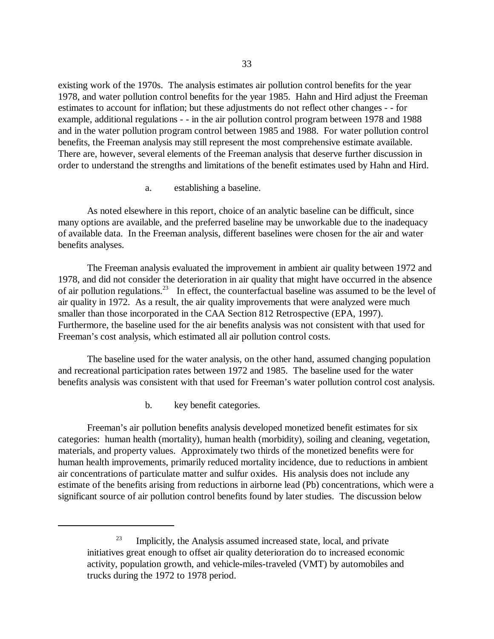existing work of the 1970s. The analysis estimates air pollution control benefits for the year 1978, and water pollution control benefits for the year 1985. Hahn and Hird adjust the Freeman estimates to account for inflation; but these adjustments do not reflect other changes - - for example, additional regulations - - in the air pollution control program between 1978 and 1988 and in the water pollution program control between 1985 and 1988. For water pollution control benefits, the Freeman analysis may still represent the most comprehensive estimate available. There are, however, several elements of the Freeman analysis that deserve further discussion in order to understand the strengths and limitations of the benefit estimates used by Hahn and Hird.

a. establishing a baseline.

As noted elsewhere in this report, choice of an analytic baseline can be difficult, since many options are available, and the preferred baseline may be unworkable due to the inadequacy of available data. In the Freeman analysis, different baselines were chosen for the air and water benefits analyses.

The Freeman analysis evaluated the improvement in ambient air quality between 1972 and 1978, and did not consider the deterioration in air quality that might have occurred in the absence of air pollution regulations.<sup>23</sup> In effect, the counterfactual baseline was assumed to be the level of air quality in 1972. As a result, the air quality improvements that were analyzed were much smaller than those incorporated in the CAA Section 812 Retrospective (EPA, 1997). Furthermore, the baseline used for the air benefits analysis was not consistent with that used for Freeman's cost analysis, which estimated all air pollution control costs.

The baseline used for the water analysis, on the other hand, assumed changing population and recreational participation rates between 1972 and 1985. The baseline used for the water benefits analysis was consistent with that used for Freeman's water pollution control cost analysis.

b. key benefit categories.

Freeman's air pollution benefits analysis developed monetized benefit estimates for six categories: human health (mortality), human health (morbidity), soiling and cleaning, vegetation, materials, and property values. Approximately two thirds of the monetized benefits were for human health improvements, primarily reduced mortality incidence, due to reductions in ambient air concentrations of particulate matter and sulfur oxides. His analysis does not include any estimate of the benefits arising from reductions in airborne lead (Pb) concentrations, which were a significant source of air pollution control benefits found by later studies. The discussion below

 $23$  Implicitly, the Analysis assumed increased state, local, and private initiatives great enough to offset air quality deterioration do to increased economic activity, population growth, and vehicle-miles-traveled (VMT) by automobiles and trucks during the 1972 to 1978 period.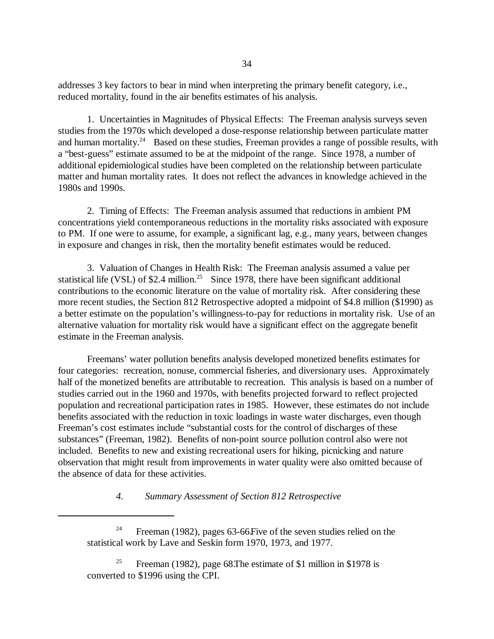addresses 3 key factors to bear in mind when interpreting the primary benefit category, i.e., reduced mortality, found in the air benefits estimates of his analysis.

1. Uncertainties in Magnitudes of Physical Effects: The Freeman analysis surveys seven studies from the 1970s which developed a dose-response relationship between particulate matter and human mortality.<sup>24</sup> Based on these studies, Freeman provides a range of possible results, with a "best-guess"estimate assumed to be at the midpoint of the range. Since 1978, a number of additional epidemiological studies have been completed on the relationship between particulate matter and human mortality rates. It does not reflect the advances in knowledge achieved in the 1980s and 1990s.

2. Timing of Effects: The Freeman analysis assumed that reductions in ambient PM concentrations yield contemporaneous reductions in the mortality risks associated with exposure to PM. If one were to assume, for example, a significant lag, e.g., many years, between changes in exposure and changes in risk, then the mortality benefit estimates would be reduced.

3. Valuation of Changes in Health Risk: The Freeman analysis assumed a value per statistical life (VSL) of \$2.4 million.<sup>25</sup> Since 1978, there have been significant additional contributions to the economic literature on the value of mortality risk. After considering these more recent studies, the Section 812 Retrospective adopted a midpoint of \$4.8 million (\$1990) as a better estimate on the population's willingness-to-pay for reductions in mortality risk. Use of an alternative valuation for mortality risk would have a significant effect on the aggregate benefit estimate in the Freeman analysis.

Freemans'water pollution benefits analysis developed monetized benefits estimates for four categories: recreation, nonuse, commercial fisheries, and diversionary uses. Approximately half of the monetized benefits are attributable to recreation. This analysis is based on a number of studies carried out in the 1960 and 1970s, with benefits projected forward to reflect projected population and recreational participation rates in 1985. However, these estimates do not include benefits associated with the reduction in toxic loadings in waste water discharges, even though Freeman's cost estimates include "substantial costs for the control of discharges of these substances"(Freeman, 1982). Benefits of non-point source pollution control also were not included. Benefits to new and existing recreational users for hiking, picnicking and nature observation that might result from improvements in water quality were also omitted because of the absence of data for these activities.

*4. Summary Assessment of Section 812 Retrospective* 

<sup>&</sup>lt;sup>24</sup> Freeman (1982), pages 63-66 Five of the seven studies relied on the statistical work by Lave and Seskin form 1970, 1973, and 1977.

Freeman (1982), page 68. The estimate of \$1 million in \$1978 is converted to \$1996 using the CPI.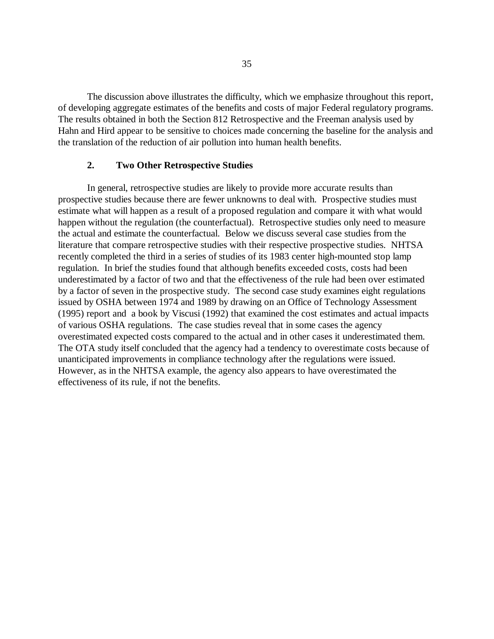The discussion above illustrates the difficulty, which we emphasize throughout this report, of developing aggregate estimates of the benefits and costs of major Federal regulatory programs. The results obtained in both the Section 812 Retrospective and the Freeman analysis used by Hahn and Hird appear to be sensitive to choices made concerning the baseline for the analysis and the translation of the reduction of air pollution into human health benefits.

## **2. Two Other Retrospective Studies**

In general, retrospective studies are likely to provide more accurate results than prospective studies because there are fewer unknowns to deal with. Prospective studies must estimate what will happen as a result of a proposed regulation and compare it with what would happen without the regulation (the counterfactual). Retrospective studies only need to measure the actual and estimate the counterfactual. Below we discuss several case studies from the literature that compare retrospective studies with their respective prospective studies. NHTSA recently completed the third in a series of studies of its 1983 center high-mounted stop lamp regulation. In brief the studies found that although benefits exceeded costs, costs had been underestimated by a factor of two and that the effectiveness of the rule had been over estimated by a factor of seven in the prospective study. The second case study examines eight regulations issued by OSHA between 1974 and 1989 by drawing on an Office of Technology Assessment (1995) report and a book by Viscusi (1992) that examined the cost estimates and actual impacts of various OSHA regulations. The case studies reveal that in some cases the agency overestimated expected costs compared to the actual and in other cases it underestimated them. The OTA study itself concluded that the agency had a tendency to overestimate costs because of unanticipated improvements in compliance technology after the regulations were issued. However, as in the NHTSA example, the agency also appears to have overestimated the effectiveness of its rule, if not the benefits.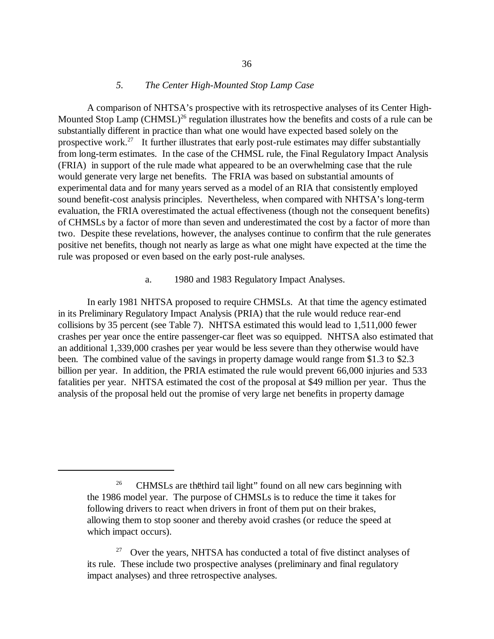# *5. The Center High-Mounted Stop Lamp Case*

A comparison of NHTSA's prospective with its retrospective analyses of its Center High-Mounted Stop Lamp (CHMSL)<sup>26</sup> regulation illustrates how the benefits and costs of a rule can be substantially different in practice than what one would have expected based solely on the prospective work.<sup>27</sup> It further illustrates that early post-rule estimates may differ substantially from long-term estimates. In the case of the CHMSL rule, the Final Regulatory Impact Analysis (FRIA) in support of the rule made what appeared to be an overwhelming case that the rule would generate very large net benefits. The FRIA was based on substantial amounts of experimental data and for many years served as a model of an RIA that consistently employed sound benefit-cost analysis principles. Nevertheless, when compared with NHTSA's long-term evaluation, the FRIA overestimated the actual effectiveness (though not the consequent benefits) of CHMSLs by a factor of more than seven and underestimated the cost by a factor of more than two. Despite these revelations, however, the analyses continue to confirm that the rule generates positive net benefits, though not nearly as large as what one might have expected at the time the rule was proposed or even based on the early post-rule analyses.

a. 1980 and 1983 Regulatory Impact Analyses.

In early 1981 NHTSA proposed to require CHMSLs. At that time the agency estimated in its Preliminary Regulatory Impact Analysis (PRIA) that the rule would reduce rear-end collisions by 35 percent (see Table 7). NHTSA estimated this would lead to 1,511,000 fewer crashes per year once the entire passenger-car fleet was so equipped. NHTSA also estimated that an additional 1,339,000 crashes per year would be less severe than they otherwise would have been. The combined value of the savings in property damage would range from \$1.3 to \$2.3 billion per year. In addition, the PRIA estimated the rule would prevent 66,000 injuries and 533 fatalities per year. NHTSA estimated the cost of the proposal at \$49 million per year. Thus the analysis of the proposal held out the promise of very large net benefits in property damage

<sup>&</sup>lt;sup>26</sup> CHMSLs are the third tail light" found on all new cars beginning with the 1986 model year. The purpose of CHMSLs is to reduce the time it takes for following drivers to react when drivers in front of them put on their brakes, allowing them to stop sooner and thereby avoid crashes (or reduce the speed at which impact occurs).

Over the years, NHTSA has conducted a total of five distinct analyses of its rule. These include two prospective analyses (preliminary and final regulatory impact analyses) and three retrospective analyses.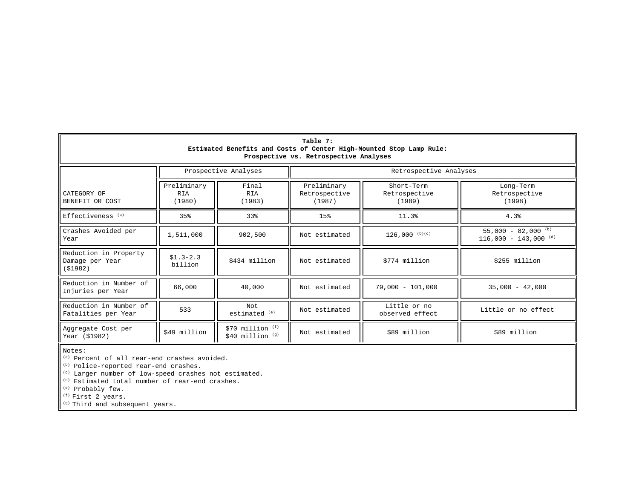| Table 7:<br>Estimated Benefits and Costs of Center High-Mounted Stop Lamp Rule:<br>Prospective vs. Retrospective Analyses |                              |                                         |                                        |                                       |                                                           |  |
|---------------------------------------------------------------------------------------------------------------------------|------------------------------|-----------------------------------------|----------------------------------------|---------------------------------------|-----------------------------------------------------------|--|
|                                                                                                                           |                              | Prospective Analyses                    |                                        | Retrospective Analyses                |                                                           |  |
| CATEGORY OF<br>BENEFIT OR COST                                                                                            | Preliminary<br>RIA<br>(1980) | Final<br><b>RIA</b><br>(1983)           | Preliminary<br>Retrospective<br>(1987) | Short-Term<br>Retrospective<br>(1989) | Long-Term<br>Retrospective<br>(1998)                      |  |
| Effectiveness <sup>(a)</sup>                                                                                              | 35%                          | 33%                                     | 15%                                    | 11.3%                                 | 4.3%                                                      |  |
| Crashes Avoided per<br>Year                                                                                               | 1,511,000                    | 902,500                                 | Not estimated                          | $126,000$ (b)(c)                      | 55,000 - 82,000 (b)<br>$116,000 - 143,000$ <sup>(d)</sup> |  |
| Reduction in Property<br>Damage per Year<br>( \$1982)                                                                     | $$1.3-2.3$<br>billion        | \$434 million                           | Not estimated                          | \$774 million                         | \$255 million                                             |  |
| Reduction in Number of<br>Injuries per Year                                                                               | 66,000                       | 40,000                                  | Not estimated                          | $79,000 - 101,000$                    | $35,000 - 42,000$                                         |  |
| Reduction in Number of<br>Fatalities per Year                                                                             | 533                          | Not.<br>estimated <sup>(e)</sup>        | Not estimated                          | Little or no<br>observed effect       | Little or no effect                                       |  |
| Aggregate Cost per<br>Year (\$1982)                                                                                       | \$49 million                 | $$70$ million $(F)$<br>\$40 million (g) | Not estimated                          | \$89 million                          | \$89 million                                              |  |

Notes:

<sup>(a)</sup> Percent of all rear-end crashes avoided.<br><sup>(b)</sup> Police-reported rear-end crashes.

(c) Larger number of low-speed crashes not estimated.

<sup>(d)</sup> Estimated total number of rear-end crashes.

(e) Probably few.

<sup>(f)</sup> First 2 years.

(g) Third and subsequent years.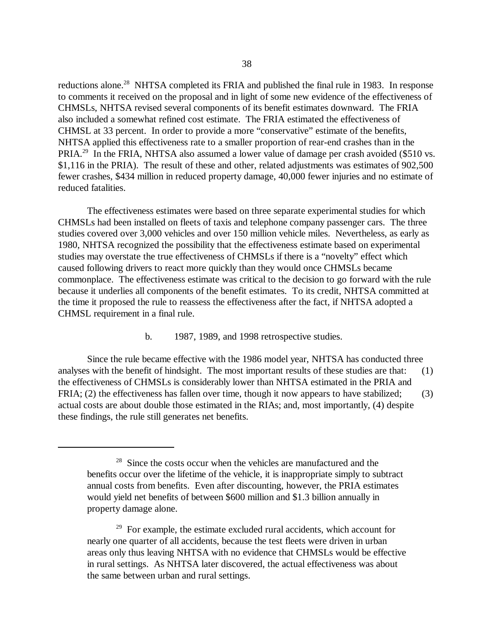reductions alone.<sup>28</sup> NHTSA completed its FRIA and published the final rule in 1983. In response to comments it received on the proposal and in light of some new evidence of the effectiveness of CHMSLs, NHTSA revised several components of its benefit estimates downward. The FRIA also included a somewhat refined cost estimate. The FRIA estimated the effectiveness of CHMSL at 33 percent. In order to provide a more "conservative" estimate of the benefits, NHTSA applied this effectiveness rate to a smaller proportion of rear-end crashes than in the PRIA.<sup>29</sup> In the FRIA, NHTSA also assumed a lower value of damage per crash avoided (\$510 vs. \$1,116 in the PRIA). The result of these and other, related adjustments was estimates of 902,500 fewer crashes, \$434 million in reduced property damage, 40,000 fewer injuries and no estimate of reduced fatalities.

The effectiveness estimates were based on three separate experimental studies for which CHMSLs had been installed on fleets of taxis and telephone company passenger cars. The three studies covered over 3,000 vehicles and over 150 million vehicle miles. Nevertheless, as early as 1980, NHTSA recognized the possibility that the effectiveness estimate based on experimental studies may overstate the true effectiveness of CHMSLs if there is a "novelty" effect which caused following drivers to react more quickly than they would once CHMSLs became commonplace. The effectiveness estimate was critical to the decision to go forward with the rule because it underlies all components of the benefit estimates. To its credit, NHTSA committed at the time it proposed the rule to reassess the effectiveness after the fact, if NHTSA adopted a CHMSL requirement in a final rule.

b. 1987, 1989, and 1998 retrospective studies.

Since the rule became effective with the 1986 model year, NHTSA has conducted three analyses with the benefit of hindsight. The most important results of these studies are that: (1) the effectiveness of CHMSLs is considerably lower than NHTSA estimated in the PRIA and FRIA; (2) the effectiveness has fallen over time, though it now appears to have stabilized; (3) actual costs are about double those estimated in the RIAs; and, most importantly, (4) despite these findings, the rule still generates net benefits.

<sup>&</sup>lt;sup>28</sup> Since the costs occur when the vehicles are manufactured and the benefits occur over the lifetime of the vehicle, it is inappropriate simply to subtract annual costs from benefits. Even after discounting, however, the PRIA estimates would yield net benefits of between \$600 million and \$1.3 billion annually in property damage alone.

 $29$  For example, the estimate excluded rural accidents, which account for nearly one quarter of all accidents, because the test fleets were driven in urban areas only thus leaving NHTSA with no evidence that CHMSLs would be effective in rural settings. As NHTSA later discovered, the actual effectiveness was about the same between urban and rural settings.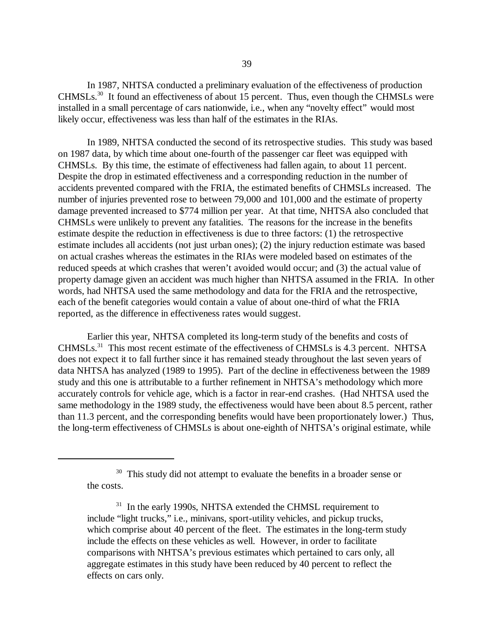In 1987, NHTSA conducted a preliminary evaluation of the effectiveness of production CHMSLs.30 It found an effectiveness of about 15 percent. Thus, even though the CHMSLs were installed in a small percentage of cars nationwide, i.e., when any "novelty effect" would most likely occur, effectiveness was less than half of the estimates in the RIAs.

In 1989, NHTSA conducted the second of its retrospective studies. This study was based on 1987 data, by which time about one-fourth of the passenger car fleet was equipped with CHMSLs. By this time, the estimate of effectiveness had fallen again, to about 11 percent. Despite the drop in estimated effectiveness and a corresponding reduction in the number of accidents prevented compared with the FRIA, the estimated benefits of CHMSLs increased. The number of injuries prevented rose to between 79,000 and 101,000 and the estimate of property damage prevented increased to \$774 million per year. At that time, NHTSA also concluded that CHMSLs were unlikely to prevent any fatalities. The reasons for the increase in the benefits estimate despite the reduction in effectiveness is due to three factors: (1) the retrospective estimate includes all accidents (not just urban ones); (2) the injury reduction estimate was based on actual crashes whereas the estimates in the RIAs were modeled based on estimates of the reduced speeds at which crashes that weren't avoided would occur; and (3) the actual value of property damage given an accident was much higher than NHTSA assumed in the FRIA. In other words, had NHTSA used the same methodology and data for the FRIA and the retrospective, each of the benefit categories would contain a value of about one-third of what the FRIA reported, as the difference in effectiveness rates would suggest.

Earlier this year, NHTSA completed its long-term study of the benefits and costs of CHMSLs.31 This most recent estimate of the effectiveness of CHMSLs is 4.3 percent. NHTSA does not expect it to fall further since it has remained steady throughout the last seven years of data NHTSA has analyzed (1989 to 1995). Part of the decline in effectiveness between the 1989 study and this one is attributable to a further refinement in NHTSA's methodology which more accurately controls for vehicle age, which is a factor in rear-end crashes. (Had NHTSA used the same methodology in the 1989 study, the effectiveness would have been about 8.5 percent, rather than 11.3 percent, and the corresponding benefits would have been proportionately lower.) Thus, the long-term effectiveness of CHMSLs is about one-eighth of NHTSA's original estimate, while

<sup>&</sup>lt;sup>30</sup> This study did not attempt to evaluate the benefits in a broader sense or the costs.

<sup>&</sup>lt;sup>31</sup> In the early 1990s, NHTSA extended the CHMSL requirement to include "light trucks," i.e., minivans, sport-utility vehicles, and pickup trucks, which comprise about 40 percent of the fleet. The estimates in the long-term study include the effects on these vehicles as well. However, in order to facilitate comparisons with NHTSA's previous estimates which pertained to cars only, all aggregate estimates in this study have been reduced by 40 percent to reflect the effects on cars only.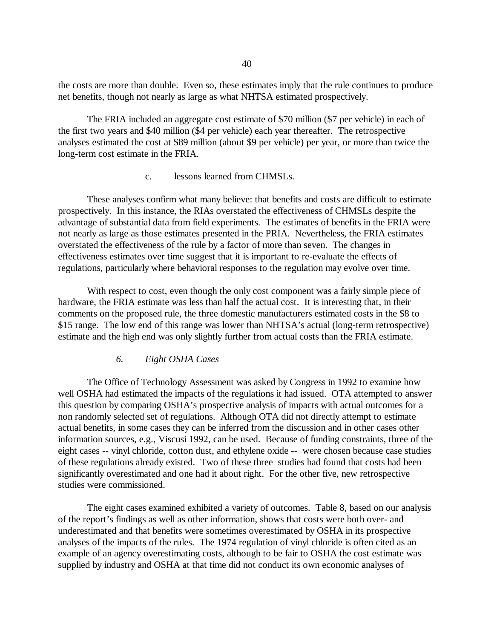the costs are more than double. Even so, these estimates imply that the rule continues to produce net benefits, though not nearly as large as what NHTSA estimated prospectively.

The FRIA included an aggregate cost estimate of \$70 million (\$7 per vehicle) in each of the first two years and \$40 million (\$4 per vehicle) each year thereafter. The retrospective analyses estimated the cost at \$89 million (about \$9 per vehicle) per year, or more than twice the long-term cost estimate in the FRIA.

#### c. lessons learned from CHMSLs.

These analyses confirm what many believe: that benefits and costs are difficult to estimate prospectively. In this instance, the RIAs overstated the effectiveness of CHMSLs despite the advantage of substantial data from field experiments. The estimates of benefits in the FRIA were not nearly as large as those estimates presented in the PRIA. Nevertheless, the FRIA estimates overstated the effectiveness of the rule by a factor of more than seven. The changes in effectiveness estimates over time suggest that it is important to re-evaluate the effects of regulations, particularly where behavioral responses to the regulation may evolve over time.

With respect to cost, even though the only cost component was a fairly simple piece of hardware, the FRIA estimate was less than half the actual cost. It is interesting that, in their comments on the proposed rule, the three domestic manufacturers estimated costs in the \$8 to \$15 range. The low end of this range was lower than NHTSA's actual (long-term retrospective) estimate and the high end was only slightly further from actual costs than the FRIA estimate.

## *6. Eight OSHA Cases*

The Office of Technology Assessment was asked by Congress in 1992 to examine how well OSHA had estimated the impacts of the regulations it had issued. OTA attempted to answer this question by comparing OSHA's prospective analysis of impacts with actual outcomes for a non randomly selected set of regulations. Although OTA did not directly attempt to estimate actual benefits, in some cases they can be inferred from the discussion and in other cases other information sources, e.g., Viscusi 1992, can be used. Because of funding constraints, three of the eight cases -- vinyl chloride, cotton dust, and ethylene oxide -- were chosen because case studies of these regulations already existed. Two of these three studies had found that costs had been significantly overestimated and one had it about right. For the other five, new retrospective studies were commissioned.

The eight cases examined exhibited a variety of outcomes. Table 8, based on our analysis of the report's findings as well as other information, shows that costs were both over- and underestimated and that benefits were sometimes overestimated by OSHA in its prospective analyses of the impacts of the rules. The 1974 regulation of vinyl chloride is often cited as an example of an agency overestimating costs, although to be fair to OSHA the cost estimate was supplied by industry and OSHA at that time did not conduct its own economic analyses of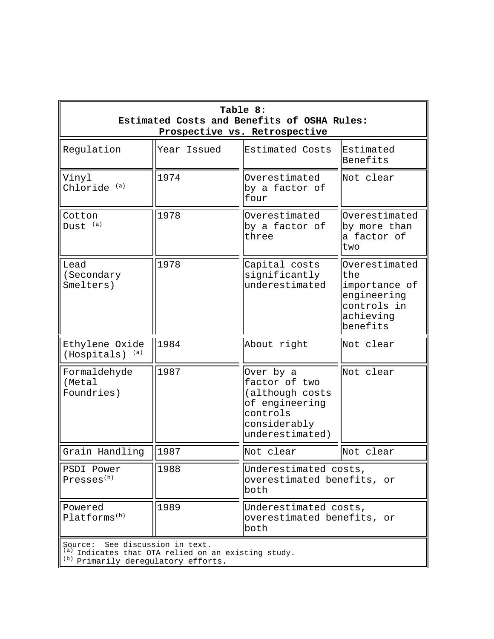| Table 8:<br>Estimated Costs and Benefits of OSHA Rules:<br>Prospective vs. Retrospective |                                                                            |                                                                                                                |                                                                                              |  |
|------------------------------------------------------------------------------------------|----------------------------------------------------------------------------|----------------------------------------------------------------------------------------------------------------|----------------------------------------------------------------------------------------------|--|
| Regulation                                                                               | Year Issued                                                                | Estimated Costs                                                                                                | Estimated<br>Benefits                                                                        |  |
| Vinyl<br>Chloride <sup>(a)</sup>                                                         | 1974                                                                       | Overestimated<br>by a factor of<br>four                                                                        | Not clear                                                                                    |  |
| Cotton<br>Dust <sup>(a)</sup>                                                            | 1978                                                                       | Overestimated<br>by a factor of<br>three                                                                       | Overestimated<br>by more than<br>a factor of<br>two                                          |  |
| Lead<br>(Secondary<br>Smelters)                                                          | 1978                                                                       | Capital costs<br>significantly<br>underestimated                                                               | Overestimated<br>the<br>importance of<br>engineering<br>controls in<br>achieving<br>benefits |  |
| Ethylene Oxide<br>(a)<br>(Hospitals)                                                     | 1984                                                                       | About right                                                                                                    | Not clear                                                                                    |  |
| Formaldehyde<br>(Metal<br>Foundries)                                                     | 1987                                                                       | Over by a<br>factor of two<br>(although costs<br>of engineering<br>controls<br>considerably<br>underestimated) | Not clear                                                                                    |  |
| Grain Handling                                                                           | 1987                                                                       | Not clear                                                                                                      | Not clear                                                                                    |  |
| PSDI Power<br>Presses <sup>(b)</sup>                                                     | 1988                                                                       | Underestimated costs,<br>overestimated benefits, or<br>both                                                    |                                                                                              |  |
| Powered<br>Platforms <sup>(b)</sup>                                                      | 1989                                                                       | Underestimated costs,<br>overestimated benefits, or<br>both                                                    |                                                                                              |  |
| Source:                                                                                  | See discussion in text.<br>Indicates that OTA relied on an existing study. |                                                                                                                |                                                                                              |  |

(b) Primarily deregulatory efforts.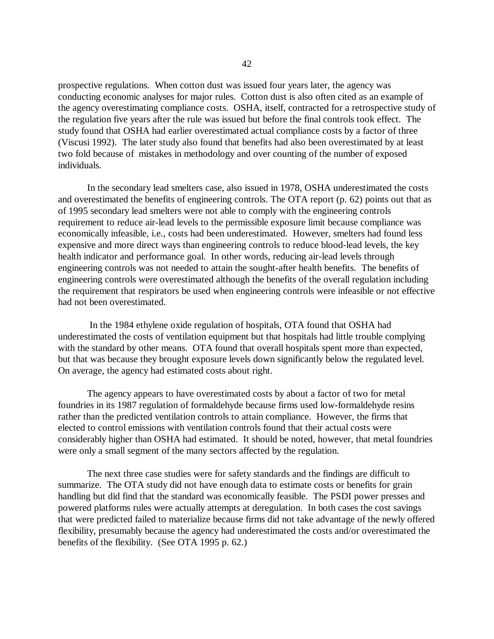prospective regulations. When cotton dust was issued four years later, the agency was conducting economic analyses for major rules. Cotton dust is also often cited as an example of the agency overestimating compliance costs. OSHA, itself, contracted for a retrospective study of the regulation five years after the rule was issued but before the final controls took effect. The study found that OSHA had earlier overestimated actual compliance costs by a factor of three (Viscusi 1992). The later study also found that benefits had also been overestimated by at least two fold because of mistakes in methodology and over counting of the number of exposed individuals.

In the secondary lead smelters case, also issued in 1978, OSHA underestimated the costs and overestimated the benefits of engineering controls. The OTA report (p. 62) points out that as of 1995 secondary lead smelters were not able to comply with the engineering controls requirement to reduce air-lead levels to the permissible exposure limit because compliance was economically infeasible, i.e., costs had been underestimated. However, smelters had found less expensive and more direct ways than engineering controls to reduce blood-lead levels, the key health indicator and performance goal. In other words, reducing air-lead levels through engineering controls was not needed to attain the sought-after health benefits. The benefits of engineering controls were overestimated although the benefits of the overall regulation including the requirement that respirators be used when engineering controls were infeasible or not effective had not been overestimated.

In the 1984 ethylene oxide regulation of hospitals, OTA found that OSHA had underestimated the costs of ventilation equipment but that hospitals had little trouble complying with the standard by other means. OTA found that overall hospitals spent more than expected, but that was because they brought exposure levels down significantly below the regulated level. On average, the agency had estimated costs about right.

The agency appears to have overestimated costs by about a factor of two for metal foundries in its 1987 regulation of formaldehyde because firms used low-formaldehyde resins rather than the predicted ventilation controls to attain compliance. However, the firms that elected to control emissions with ventilation controls found that their actual costs were considerably higher than OSHA had estimated. It should be noted, however, that metal foundries were only a small segment of the many sectors affected by the regulation.

The next three case studies were for safety standards and the findings are difficult to summarize. The OTA study did not have enough data to estimate costs or benefits for grain handling but did find that the standard was economically feasible. The PSDI power presses and powered platforms rules were actually attempts at deregulation. In both cases the cost savings that were predicted failed to materialize because firms did not take advantage of the newly offered flexibility, presumably because the agency had underestimated the costs and/or overestimated the benefits of the flexibility. (See OTA 1995 p. 62.)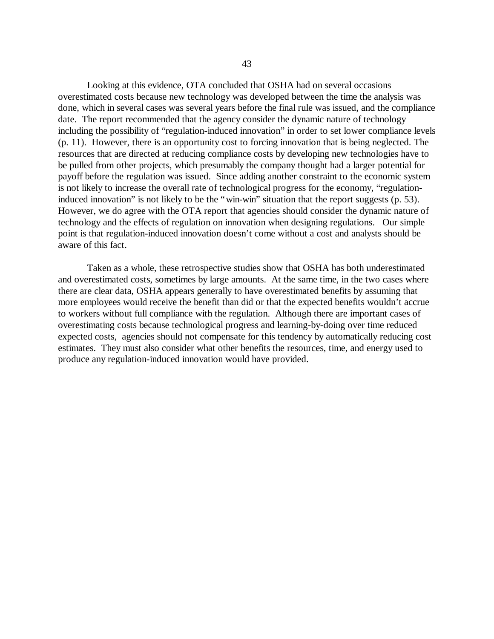Looking at this evidence, OTA concluded that OSHA had on several occasions overestimated costs because new technology was developed between the time the analysis was done, which in several cases was several years before the final rule was issued, and the compliance date. The report recommended that the agency consider the dynamic nature of technology including the possibility of "regulation-induced innovation" in order to set lower compliance levels (p. 11). However, there is an opportunity cost to forcing innovation that is being neglected. The resources that are directed at reducing compliance costs by developing new technologies have to be pulled from other projects, which presumably the company thought had a larger potential for payoff before the regulation was issued. Since adding another constraint to the economic system is not likely to increase the overall rate of technological progress for the economy, "regulationinduced innovation" is not likely to be the "win-win" situation that the report suggests (p. 53). However, we do agree with the OTA report that agencies should consider the dynamic nature of technology and the effects of regulation on innovation when designing regulations. Our simple point is that regulation-induced innovation doesn't come without a cost and analysts should be aware of this fact.

Taken as a whole, these retrospective studies show that OSHA has both underestimated and overestimated costs, sometimes by large amounts. At the same time, in the two cases where there are clear data, OSHA appears generally to have overestimated benefits by assuming that more employees would receive the benefit than did or that the expected benefits wouldn't accrue to workers without full compliance with the regulation. Although there are important cases of overestimating costs because technological progress and learning-by-doing over time reduced expected costs, agencies should not compensate for this tendency by automatically reducing cost estimates. They must also consider what other benefits the resources, time, and energy used to produce any regulation-induced innovation would have provided.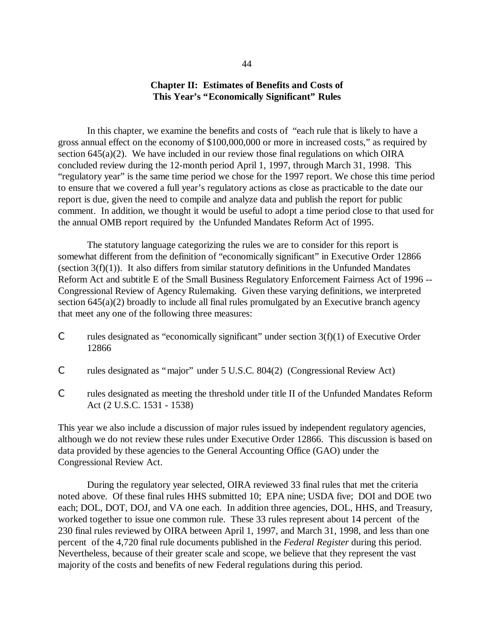## **Chapter II: Estimates of Benefits and Costs of This Year's "Economically Significant" Rules**

In this chapter, we examine the benefits and costs of "each rule that is likely to have a gross annual effect on the economy of \$100,000,000 or more in increased costs," as required by section  $645(a)(2)$ . We have included in our review those final regulations on which OIRA concluded review during the 12-month period April 1, 1997, through March 31, 1998. This "regulatory year" is the same time period we chose for the 1997 report. We chose this time period to ensure that we covered a full year's regulatory actions as close as practicable to the date our report is due, given the need to compile and analyze data and publish the report for public comment. In addition, we thought it would be useful to adopt a time period close to that used for the annual OMB report required by the Unfunded Mandates Reform Act of 1995.

The statutory language categorizing the rules we are to consider for this report is somewhat different from the definition of "economically significant" in Executive Order 12866 (section  $3(f)(1)$ ). It also differs from similar statutory definitions in the Unfunded Mandates Reform Act and subtitle E of the Small Business Regulatory Enforcement Fairness Act of 1996 -- Congressional Review of Agency Rulemaking. Given these varying definitions, we interpreted section 645(a)(2) broadly to include all final rules promulgated by an Executive branch agency that meet any one of the following three measures:

- C rules designated as "economically significant" under section  $3(f)(1)$  of Executive Order 12866
- C rules designated as "major" under 5 U.S.C. 804(2) (Congressional Review Act)
- C rules designated as meeting the threshold under title II of the Unfunded Mandates Reform Act (2 U.S.C. 1531 - 1538)

This year we also include a discussion of major rules issued by independent regulatory agencies, although we do not review these rules under Executive Order 12866. This discussion is based on data provided by these agencies to the General Accounting Office (GAO) under the Congressional Review Act.

During the regulatory year selected, OIRA reviewed 33 final rules that met the criteria noted above. Of these final rules HHS submitted 10; EPA nine; USDA five; DOI and DOE two each; DOL, DOT, DOJ, and VA one each. In addition three agencies, DOL, HHS, and Treasury, worked together to issue one common rule. These 33 rules represent about 14 percent of the 230 final rules reviewed by OIRA between April 1, 1997, and March 31, 1998, and less than one percent of the 4,720 final rule documents published in the *Federal Register* during this period. Nevertheless, because of their greater scale and scope, we believe that they represent the vast majority of the costs and benefits of new Federal regulations during this period.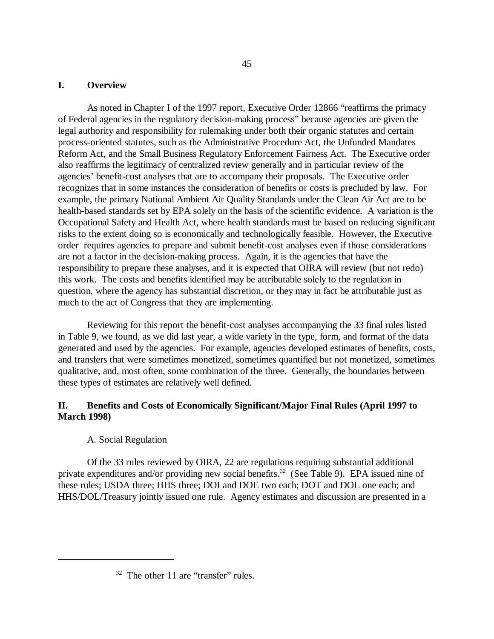### **I. Overview**

As noted in Chapter I of the 1997 report*,* Executive Order 12866 "reaffirms the primacy of Federal agencies in the regulatory decision-making process" because agencies are given the legal authority and responsibility for rulemaking under both their organic statutes and certain process-oriented statutes, such as the Administrative Procedure Act, the Unfunded Mandates Reform Act, and the Small Business Regulatory Enforcement Fairness Act. The Executive order also reaffirms the legitimacy of centralized review generally and in particular review of the agencies'benefit-cost analyses that are to accompany their proposals. The Executive order recognizes that in some instances the consideration of benefits or costs is precluded by law. For example, the primary National Ambient Air Quality Standards under the Clean Air Act are to be health-based standards set by EPA solely on the basis of the scientific evidence. A variation is the Occupational Safety and Health Act, where health standards must be based on reducing significant risks to the extent doing so is economically and technologically feasible. However, the Executive order requires agencies to prepare and submit benefit-cost analyses even if those considerations are not a factor in the decision-making process. Again, it is the agencies that have the responsibility to prepare these analyses, and it is expected that OIRA will review (but not redo) this work. The costs and benefits identified may be attributable solely to the regulation in question, where the agency has substantial discretion, or they may in fact be attributable just as much to the act of Congress that they are implementing.

Reviewing for this report the benefit-cost analyses accompanying the 33 final rules listed in Table 9, we found, as we did last year, a wide variety in the type, form, and format of the data generated and used by the agencies. For example, agencies developed estimates of benefits, costs, and transfers that were sometimes monetized, sometimes quantified but not monetized, sometimes qualitative, and, most often, some combination of the three. Generally, the boundaries between these types of estimates are relatively well defined.

## **II. Benefits and Costs of Economically Significant/Major Final Rules (April 1997 to March 1998)**

## A. Social Regulation

Of the 33 rules reviewed by OIRA, 22 are regulations requiring substantial additional private expenditures and/or providing new social benefits.<sup>32</sup> (See Table 9). EPA issued nine of these rules; USDA three; HHS three; DOI and DOE two each; DOT and DOL one each; and HHS/DOL/Treasury jointly issued one rule. Agency estimates and discussion are presented in a

 $32$  The other 11 are "transfer" rules.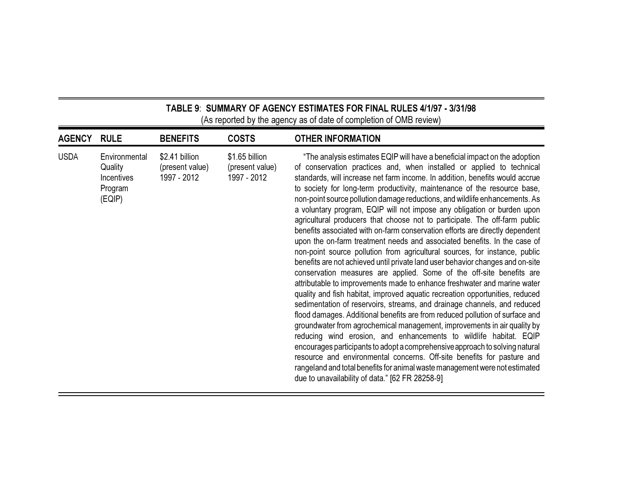| TABLE 9: SUMMARY OF AGENCY ESTIMATES FOR FINAL RULES 4/1/97 - 3/31/98 |  |
|-----------------------------------------------------------------------|--|
| (As reported by the agency as of date of completion of OMB review)    |  |

--

<u> 1989 - Johann Barnett, fransk politiker (d. 1989)</u>

 $\equiv$ 

<u> Termin a shekara ta 1989 na shekara ta 1989 na shekara ta 1989 na shekara ta 1989 na shekara ta 1989 na sheka</u>

| <b>AGENCY</b> | <b>RULE</b>                                                        | <b>BENEFITS</b>                                  | <b>COSTS</b>                                     | <b>OTHER INFORMATION</b>                                                                                                                                                                                                                                                                                                                                                                                                                                                                                                                                                                                                                                                                                                                                                                                                                                                                                                                                                                                                                                                                                                                                                                                                                                                                                                                                                                                                                                                                                                                                                                                                                                                                                                         |
|---------------|--------------------------------------------------------------------|--------------------------------------------------|--------------------------------------------------|----------------------------------------------------------------------------------------------------------------------------------------------------------------------------------------------------------------------------------------------------------------------------------------------------------------------------------------------------------------------------------------------------------------------------------------------------------------------------------------------------------------------------------------------------------------------------------------------------------------------------------------------------------------------------------------------------------------------------------------------------------------------------------------------------------------------------------------------------------------------------------------------------------------------------------------------------------------------------------------------------------------------------------------------------------------------------------------------------------------------------------------------------------------------------------------------------------------------------------------------------------------------------------------------------------------------------------------------------------------------------------------------------------------------------------------------------------------------------------------------------------------------------------------------------------------------------------------------------------------------------------------------------------------------------------------------------------------------------------|
| <b>USDA</b>   | Environmental<br>Quality<br><b>Incentives</b><br>Program<br>(EQIP) | \$2.41 billion<br>(present value)<br>1997 - 2012 | \$1.65 billion<br>(present value)<br>1997 - 2012 | "The analysis estimates EQIP will have a beneficial impact on the adoption<br>of conservation practices and, when installed or applied to technical<br>standards, will increase net farm income. In addition, benefits would accrue<br>to society for long-term productivity, maintenance of the resource base,<br>non-point source pollution damage reductions, and wildlife enhancements. As<br>a voluntary program, EQIP will not impose any obligation or burden upon<br>agricultural producers that choose not to participate. The off-farm public<br>benefits associated with on-farm conservation efforts are directly dependent<br>upon the on-farm treatment needs and associated benefits. In the case of<br>non-point source pollution from agricultural sources, for instance, public<br>benefits are not achieved until private land user behavior changes and on-site<br>conservation measures are applied. Some of the off-site benefits are<br>attributable to improvements made to enhance freshwater and marine water<br>quality and fish habitat, improved aquatic recreation opportunities, reduced<br>sedimentation of reservoirs, streams, and drainage channels, and reduced<br>flood damages. Additional benefits are from reduced pollution of surface and<br>groundwater from agrochemical management, improvements in air quality by<br>reducing wind erosion, and enhancements to wildlife habitat. EQIP<br>encourages participants to adopt a comprehensive approach to solving natural<br>resource and environmental concerns. Off-site benefits for pasture and<br>rangeland and total benefits for animal waste management were not estimated<br>due to unavailability of data." [62 FR 28258-9] |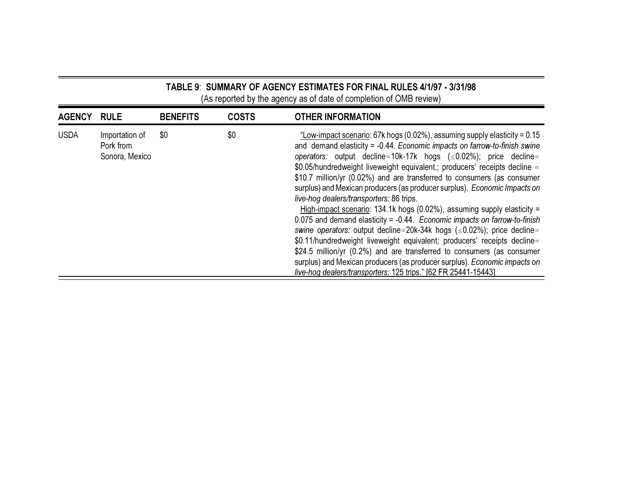# TABLE 9: SUMMARY OF AGENCY ESTIMATES FOR FINAL RULES 4/1/97 - 3/31/98 (As reported by the agency as of date of completion of OMB review)

| <b>AGENCY</b> | <b>RULE</b>                                   | <b>BENEFITS</b> | <b>COSTS</b> | <b>OTHER INFORMATION</b>                                                                                                                                                                                                                                                                                                                                                                                                                                                                                                                                                                                                                                                                                                                                                                                                                                                                                                                                                                                                                                                                                         |
|---------------|-----------------------------------------------|-----------------|--------------|------------------------------------------------------------------------------------------------------------------------------------------------------------------------------------------------------------------------------------------------------------------------------------------------------------------------------------------------------------------------------------------------------------------------------------------------------------------------------------------------------------------------------------------------------------------------------------------------------------------------------------------------------------------------------------------------------------------------------------------------------------------------------------------------------------------------------------------------------------------------------------------------------------------------------------------------------------------------------------------------------------------------------------------------------------------------------------------------------------------|
| <b>USDA</b>   | Importation of<br>Pork from<br>Sonora, Mexico | \$0             | \$0          | "Low-impact scenario: 67k hogs (0.02%), assuming supply elasticity = 0.15<br>and demand elasticity = -0.44. Economic impacts on farrow-to-finish swine<br>operators: output decline $\approx$ 10k-17k hogs ( $\leq$ 0.02%); price decline $\approx$<br>\$0.05/hundredweight liveweight equivalent .; producers' receipts decline $\approx$<br>\$10.7 million/yr (0.02%) and are transferred to consumers (as consumer<br>surplus) and Mexican producers (as producer surplus). Economic Impacts on<br>live-hog dealers/transporters: 86 trips.<br>High-impact scenario: 134.1k hogs (0.02%), assuming supply elasticity =<br>0.075 and demand elasticity = $-0.44$ . Economic impacts on farrow-to-finish<br>swine operators: output decline $\approx$ 20k-34k hogs ( $\leq$ 0.02%); price decline $\approx$<br>\$0.11/hundredweight liveweight equivalent; producers' receipts decline<br>\$24.5 million/yr (0.2%) and are transferred to consumers (as consumer<br>surplus) and Mexican producers (as producer surplus). Economic impacts on<br>live-hog dealers/transporters: 125 trips." [62 FR 25441-15443] |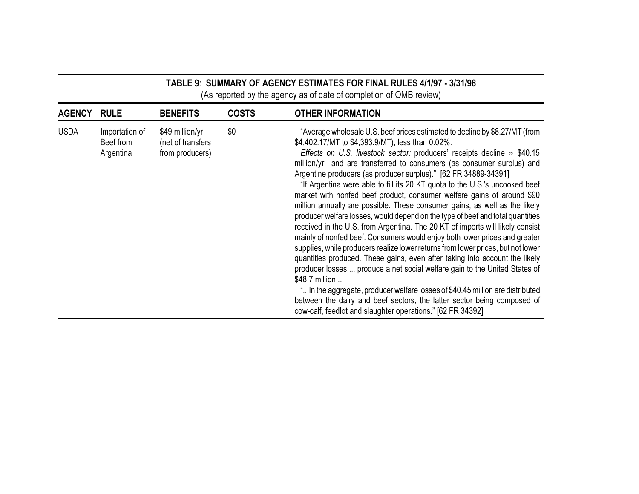# TABLE 9: SUMMARY OF AGENCY ESTIMATES FOR FINAL RULES 4/1/97 - 3/31/98 (As reported by the agency as of date of completion of OMB review)

| <b>AGENCY</b> | <b>RULE</b>                              | <b>BENEFITS</b>                                         | <b>COSTS</b> | <b>OTHER INFORMATION</b>                                                                                                                                                                                                                                                                                                                                                                                                                                                                                                                                                                                                                                                                                                                                                                                                                                                                                                                                                                                                                                                                                                                                                                                                                                                                                                                            |
|---------------|------------------------------------------|---------------------------------------------------------|--------------|-----------------------------------------------------------------------------------------------------------------------------------------------------------------------------------------------------------------------------------------------------------------------------------------------------------------------------------------------------------------------------------------------------------------------------------------------------------------------------------------------------------------------------------------------------------------------------------------------------------------------------------------------------------------------------------------------------------------------------------------------------------------------------------------------------------------------------------------------------------------------------------------------------------------------------------------------------------------------------------------------------------------------------------------------------------------------------------------------------------------------------------------------------------------------------------------------------------------------------------------------------------------------------------------------------------------------------------------------------|
| <b>USDA</b>   | Importation of<br>Beef from<br>Argentina | \$49 million/yr<br>(net of transfers<br>from producers) | \$0          | "Average wholesale U.S. beef prices estimated to decline by \$8.27/MT (from<br>\$4,402.17/MT to \$4,393.9/MT), less than 0.02%.<br>Effects on U.S. livestock sector: producers' receipts decline $\approx$ \$40.15<br>million/yr and are transferred to consumers (as consumer surplus) and<br>Argentine producers (as producer surplus)." [62 FR 34889-34391]<br>"If Argentina were able to fill its 20 KT quota to the U.S.'s uncooked beef<br>market with nonfed beef product, consumer welfare gains of around \$90<br>million annually are possible. These consumer gains, as well as the likely<br>producer welfare losses, would depend on the type of beef and total quantities<br>received in the U.S. from Argentina. The 20 KT of imports will likely consist<br>mainly of nonfed beef. Consumers would enjoy both lower prices and greater<br>supplies, while producers realize lower returns from lower prices, but not lower<br>quantities produced. These gains, even after taking into account the likely<br>producer losses  produce a net social welfare gain to the United States of<br>\$48.7 million<br>"In the aggregate, producer welfare losses of \$40.45 million are distributed<br>between the dairy and beef sectors, the latter sector being composed of<br>cow-calf, feedlot and slaughter operations." [62 FR 34392] |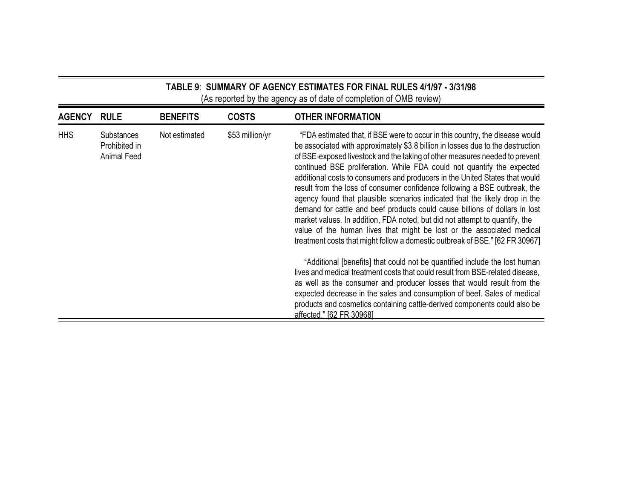# TABLE 9: SUMMARY OF AGENCY ESTIMATES FOR FINAL RULES 4/1/97 - 3/31/98 (As reported by the agency as of date of completion of OMB review)

| <b>AGENCY</b> | <b>RULE</b>                                       | <b>BENEFITS</b> | <b>COSTS</b>    | <b>OTHER INFORMATION</b>                                                                                                                                                                                                                                                                                                                                                                                                                                                                                                                                                                                                                                                                                                                                                                                                                                                                   |
|---------------|---------------------------------------------------|-----------------|-----------------|--------------------------------------------------------------------------------------------------------------------------------------------------------------------------------------------------------------------------------------------------------------------------------------------------------------------------------------------------------------------------------------------------------------------------------------------------------------------------------------------------------------------------------------------------------------------------------------------------------------------------------------------------------------------------------------------------------------------------------------------------------------------------------------------------------------------------------------------------------------------------------------------|
| <b>HHS</b>    | <b>Substances</b><br>Prohibited in<br>Animal Feed | Not estimated   | \$53 million/yr | "FDA estimated that, if BSE were to occur in this country, the disease would<br>be associated with approximately \$3.8 billion in losses due to the destruction<br>of BSE-exposed livestock and the taking of other measures needed to prevent<br>continued BSE proliferation. While FDA could not quantify the expected<br>additional costs to consumers and producers in the United States that would<br>result from the loss of consumer confidence following a BSE outbreak, the<br>agency found that plausible scenarios indicated that the likely drop in the<br>demand for cattle and beef products could cause billions of dollars in lost<br>market values. In addition, FDA noted, but did not attempt to quantify, the<br>value of the human lives that might be lost or the associated medical<br>treatment costs that might follow a domestic outbreak of BSE." [62 FR 30967] |
|               |                                                   |                 |                 | "Additional [benefits] that could not be quantified include the lost human<br>lives and medical treatment costs that could result from BSE-related disease,<br>as well as the consumer and producer losses that would result from the<br>expected decrease in the sales and consumption of beef. Sales of medical<br>products and cosmetics containing cattle-derived components could also be<br>affected." [62 FR 30968]                                                                                                                                                                                                                                                                                                                                                                                                                                                                 |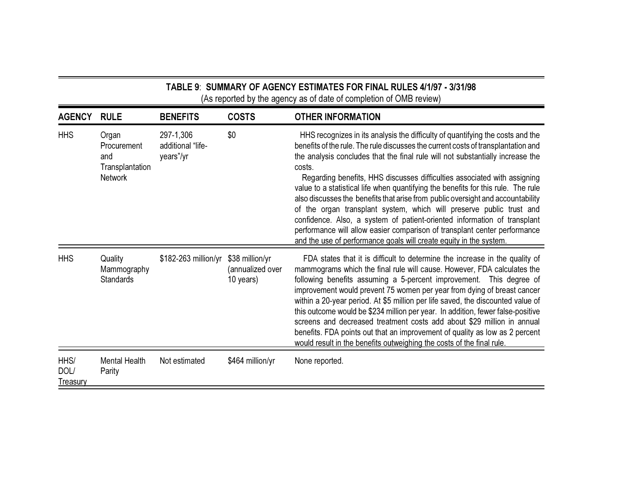# TABLE 9ː SUMMARY OF AGENCY ESTIMATES FOR FINAL RULES 4/1/97 - 3/31/98 (As reported by the agency as of date of completion of OMB review)

| <b>AGENCY</b>            | <b>RULE</b>                                                      | <b>BENEFITS</b>                             | <b>COSTS</b>                                     | <b>OTHER INFORMATION</b>                                                                                                                                                                                                                                                                                                                                                                                                                                                                                                                                                                                                                                                                                                                                                                                                   |
|--------------------------|------------------------------------------------------------------|---------------------------------------------|--------------------------------------------------|----------------------------------------------------------------------------------------------------------------------------------------------------------------------------------------------------------------------------------------------------------------------------------------------------------------------------------------------------------------------------------------------------------------------------------------------------------------------------------------------------------------------------------------------------------------------------------------------------------------------------------------------------------------------------------------------------------------------------------------------------------------------------------------------------------------------------|
| <b>HHS</b>               | Organ<br>Procurement<br>and<br>Transplantation<br><b>Network</b> | 297-1,306<br>additional "life-<br>years"/yr | \$0                                              | HHS recognizes in its analysis the difficulty of quantifying the costs and the<br>benefits of the rule. The rule discusses the current costs of transplantation and<br>the analysis concludes that the final rule will not substantially increase the<br>costs.<br>Regarding benefits, HHS discusses difficulties associated with assigning<br>value to a statistical life when quantifying the benefits for this rule. The rule<br>also discusses the benefits that arise from public oversight and accountability<br>of the organ transplant system, which will preserve public trust and<br>confidence. Also, a system of patient-oriented information of transplant<br>performance will allow easier comparison of transplant center performance<br>and the use of performance goals will create equity in the system. |
| <b>HHS</b>               | Quality<br>Mammography<br><b>Standards</b>                       | \$182-263 million/yr                        | \$38 million/yr<br>(annualized over<br>10 years) | FDA states that it is difficult to determine the increase in the quality of<br>mammograms which the final rule will cause. However, FDA calculates the<br>following benefits assuming a 5-percent improvement. This degree of<br>improvement would prevent 75 women per year from dying of breast cancer<br>within a 20-year period. At \$5 million per life saved, the discounted value of<br>this outcome would be \$234 million per year. In addition, fewer false-positive<br>screens and decreased treatment costs add about \$29 million in annual<br>benefits. FDA points out that an improvement of quality as low as 2 percent<br>would result in the benefits outweighing the costs of the final rule.                                                                                                           |
| HHS/<br>DOL/<br>Treasury | <b>Mental Health</b><br>Parity                                   | Not estimated                               | \$464 million/yr                                 | None reported.                                                                                                                                                                                                                                                                                                                                                                                                                                                                                                                                                                                                                                                                                                                                                                                                             |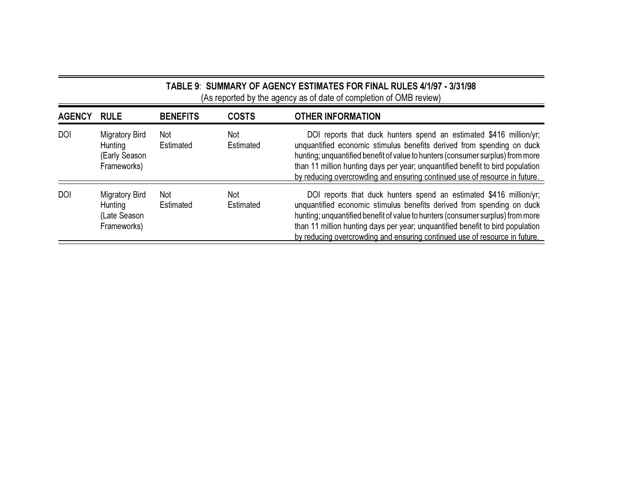# TABLE 9ː SUMMARY OF AGENCY ESTIMATES FOR FINAL RULES 4/1/97 - 3/31/98 (As reported by the agency as of date of completion of OMB review)

| <b>AGENCY</b> | <b>RULE</b>                                               | <b>BENEFITS</b>         | <b>COSTS</b>     | <b>OTHER INFORMATION</b>                                                                                                                                                                                                                                                                                                                                                                      |
|---------------|-----------------------------------------------------------|-------------------------|------------------|-----------------------------------------------------------------------------------------------------------------------------------------------------------------------------------------------------------------------------------------------------------------------------------------------------------------------------------------------------------------------------------------------|
| <b>DOI</b>    | Migratory Bird<br>Hunting<br>(Early Season<br>Frameworks) | Not<br>Estimated        | Not<br>Estimated | DOI reports that duck hunters spend an estimated \$416 million/yr;<br>unquantified economic stimulus benefits derived from spending on duck<br>hunting; unquantified benefit of value to hunters (consumer surplus) from more<br>than 11 million hunting days per year; unquantified benefit to bird population<br>by reducing overcrowding and ensuring continued use of resource in future. |
| <b>DOI</b>    | Migratory Bird<br>Hunting<br>(Late Season<br>Frameworks)  | <b>Not</b><br>Estimated | Not<br>Estimated | DOI reports that duck hunters spend an estimated \$416 million/yr;<br>unquantified economic stimulus benefits derived from spending on duck<br>hunting; unquantified benefit of value to hunters (consumer surplus) from more<br>than 11 million hunting days per year; unquantified benefit to bird population<br>by reducing overcrowding and ensuring continued use of resource in future. |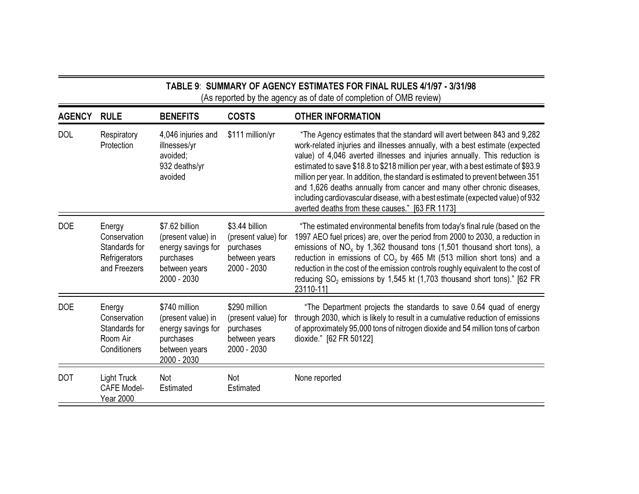# TABLE 9ː SUMMARY OF AGENCY ESTIMATES FOR FINAL RULES 4/1/97 - 3/31/98 (As reported by the agency as of date of completion of OMB review)

| <b>AGENCY</b> | <b>RULE</b>                                                              | <b>BENEFITS</b>                                                                                         | <b>COSTS</b>                                                                       | <b>OTHER INFORMATION</b>                                                                                                                                                                                                                                                                                                                                                                                                                                                                                                                                                                                                       |
|---------------|--------------------------------------------------------------------------|---------------------------------------------------------------------------------------------------------|------------------------------------------------------------------------------------|--------------------------------------------------------------------------------------------------------------------------------------------------------------------------------------------------------------------------------------------------------------------------------------------------------------------------------------------------------------------------------------------------------------------------------------------------------------------------------------------------------------------------------------------------------------------------------------------------------------------------------|
| <b>DOL</b>    | Respiratory<br>Protection                                                | 4,046 injuries and<br>illnesses/yr<br>avoided;<br>932 deaths/yr<br>avoided                              | \$111 million/yr                                                                   | "The Agency estimates that the standard will avert between 843 and 9,282<br>work-related injuries and illnesses annually, with a best estimate (expected<br>value) of 4,046 averted illnesses and injuries annually. This reduction is<br>estimated to save \$18.8 to \$218 million per year, with a best estimate of \$93.9<br>million per year. In addition, the standard is estimated to prevent between 351<br>and 1,626 deaths annually from cancer and many other chronic diseases,<br>including cardiovascular disease, with a best estimate (expected value) of 932<br>averted deaths from these causes." [63 FR 1173] |
| <b>DOE</b>    | Energy<br>Conservation<br>Standards for<br>Refrigerators<br>and Freezers | \$7.62 billion<br>(present value) in<br>energy savings for<br>purchases<br>between years<br>2000 - 2030 | \$3.44 billion<br>(present value) for<br>purchases<br>between years<br>2000 - 2030 | "The estimated environmental benefits from today's final rule (based on the<br>1997 AEO fuel prices) are, over the period from 2000 to 2030, a reduction in<br>emissions of $NO_x$ by 1,362 thousand tons (1,501 thousand short tons), a<br>reduction in emissions of $CO2$ by 465 Mt (513 million short tons) and a<br>reduction in the cost of the emission controls roughly equivalent to the cost of<br>reducing SO <sub>2</sub> emissions by 1,545 kt (1,703 thousand short tons)." [62 FR<br>23110-111                                                                                                                   |
| <b>DOE</b>    | Energy<br>Conservation<br>Standards for<br>Room Air<br>Conditioners      | \$740 million<br>(present value) in<br>energy savings for<br>purchases<br>between years<br>2000 - 2030  | \$290 million<br>(present value) for<br>purchases<br>between years<br>2000 - 2030  | "The Department projects the standards to save 0.64 quad of energy<br>through 2030, which is likely to result in a cumulative reduction of emissions<br>of approximately 95,000 tons of nitrogen dioxide and 54 million tons of carbon<br>dioxide." [62 FR 50122]                                                                                                                                                                                                                                                                                                                                                              |
| <b>DOT</b>    | Light Truck<br><b>CAFE Model-</b><br>Year 2000                           | <b>Not</b><br>Estimated                                                                                 | Not<br>Estimated                                                                   | None reported                                                                                                                                                                                                                                                                                                                                                                                                                                                                                                                                                                                                                  |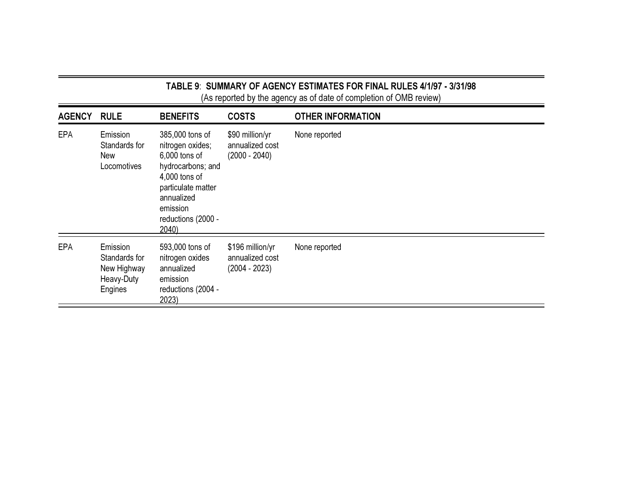|  |  | TABLE 9:  SUMMARY OF AGENCY ESTIMATES FOR FINAL RULES 4/1/97 - 3/31/98 |  |
|--|--|------------------------------------------------------------------------|--|
|  |  | (As reported by the agency as of date of completion of OMB review)     |  |

| <b>AGENCY</b> | <b>RULE</b>                                                       | <b>BENEFITS</b>                                                                                                                                                          | <b>COSTS</b>                                           | <b>OTHER INFORMATION</b> |
|---------------|-------------------------------------------------------------------|--------------------------------------------------------------------------------------------------------------------------------------------------------------------------|--------------------------------------------------------|--------------------------|
| <b>EPA</b>    | Emission<br>Standards for<br><b>New</b><br>Locomotives            | 385,000 tons of<br>nitrogen oxides;<br>6,000 tons of<br>hydrocarbons; and<br>4,000 tons of<br>particulate matter<br>annualized<br>emission<br>reductions (2000 -<br>2040 | \$90 million/yr<br>annualized cost<br>$(2000 - 2040)$  | None reported            |
| <b>EPA</b>    | Emission<br>Standards for<br>New Highway<br>Heavy-Duty<br>Engines | 593,000 tons of<br>nitrogen oxides<br>annualized<br>emission<br>reductions (2004 -<br>2023                                                                               | \$196 million/yr<br>annualized cost<br>$(2004 - 2023)$ | None reported            |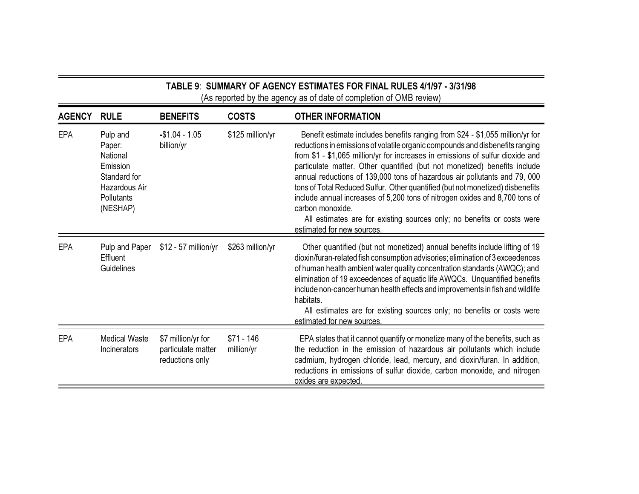| TABLE 9: SUMMARY OF AGENCY ESTIMATES FOR FINAL RULES 4/1/97 - 3/31/98 |
|-----------------------------------------------------------------------|
| (As reported by the agency as of date of completion of OMB review)    |

| <b>AGENCY</b> | <b>RULE</b>                                                                                                  | <b>BENEFITS</b>                                             | <b>COSTS</b>              | <b>OTHER INFORMATION</b>                                                                                                                                                                                                                                                                                                                                                                                                                                                                                                                                                                                                                                                                                |
|---------------|--------------------------------------------------------------------------------------------------------------|-------------------------------------------------------------|---------------------------|---------------------------------------------------------------------------------------------------------------------------------------------------------------------------------------------------------------------------------------------------------------------------------------------------------------------------------------------------------------------------------------------------------------------------------------------------------------------------------------------------------------------------------------------------------------------------------------------------------------------------------------------------------------------------------------------------------|
| <b>EPA</b>    | Pulp and<br>Paper:<br>National<br>Emission<br>Standard for<br>Hazardous Air<br><b>Pollutants</b><br>(NESHAP) | $-$1.04 - 1.05$<br>billion/yr                               | \$125 million/yr          | Benefit estimate includes benefits ranging from \$24 - \$1,055 million/yr for<br>reductions in emissions of volatile organic compounds and disbenefits ranging<br>from \$1 - \$1,065 million/yr for increases in emissions of sulfur dioxide and<br>particulate matter. Other quantified (but not monetized) benefits include<br>annual reductions of 139,000 tons of hazardous air pollutants and 79, 000<br>tons of Total Reduced Sulfur. Other quantified (but not monetized) disbenefits<br>include annual increases of 5,200 tons of nitrogen oxides and 8,700 tons of<br>carbon monoxide.<br>All estimates are for existing sources only; no benefits or costs were<br>estimated for new sources. |
| <b>EPA</b>    | Pulp and Paper<br>Effluent<br>Guidelines                                                                     | $$12 - 57$ million/yr                                       | \$263 million/yr          | Other quantified (but not monetized) annual benefits include lifting of 19<br>dioxin/furan-related fish consumption advisories; elimination of 3 exceedences<br>of human health ambient water quality concentration standards (AWQC); and<br>elimination of 19 exceedences of aquatic life AWQCs. Unquantified benefits<br>include non-cancer human health effects and improvements in fish and wildlife<br>habitats.<br>All estimates are for existing sources only; no benefits or costs were<br>estimated for new sources.                                                                                                                                                                           |
| EPA           | Medical Waste<br>Incinerators                                                                                | \$7 million/yr for<br>particulate matter<br>reductions only | $$71 - 146$<br>million/yr | EPA states that it cannot quantify or monetize many of the benefits, such as<br>the reduction in the emission of hazardous air pollutants which include<br>cadmium, hydrogen chloride, lead, mercury, and dioxin/furan. In addition,<br>reductions in emissions of sulfur dioxide, carbon monoxide, and nitrogen<br>oxides are expected.                                                                                                                                                                                                                                                                                                                                                                |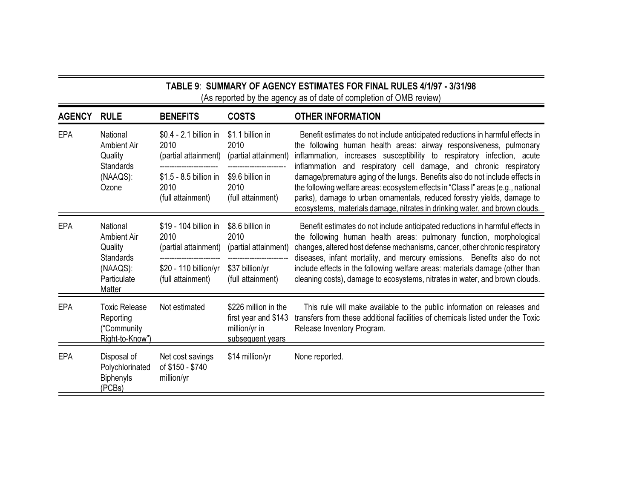| TABLE 9: SUMMARY OF AGENCY ESTIMATES FOR FINAL RULES 4/1/97 - 3/31/98<br>(As reported by the agency as of date of completion of OMB review) |                                                                                                    |                                                                              |                                                                                   |                                                                                                                                                                                                                                                                                                                                                                                                  |  |
|---------------------------------------------------------------------------------------------------------------------------------------------|----------------------------------------------------------------------------------------------------|------------------------------------------------------------------------------|-----------------------------------------------------------------------------------|--------------------------------------------------------------------------------------------------------------------------------------------------------------------------------------------------------------------------------------------------------------------------------------------------------------------------------------------------------------------------------------------------|--|
| <b>AGENCY</b>                                                                                                                               | <b>RULE</b>                                                                                        | <b>BENEFITS</b>                                                              | <b>COSTS</b>                                                                      | <b>OTHER INFORMATION</b>                                                                                                                                                                                                                                                                                                                                                                         |  |
| <b>EPA</b>                                                                                                                                  | National<br>Ambient Air<br>Quality<br><b>Standards</b><br>(NAAQS):<br>Ozone                        | \$0.4 - 2.1 billion in<br>2010<br>(partial attainment)                       | \$1.1 billion in<br>2010<br>(partial attainment)                                  | Benefit estimates do not include anticipated reductions in harmful effects in<br>the following human health areas: airway responsiveness, pulmonary<br>inflammation, increases susceptibility to respiratory infection, acute                                                                                                                                                                    |  |
|                                                                                                                                             |                                                                                                    | \$1.5 - 8.5 billion in<br>2010<br>(full attainment)                          | \$9.6 billion in<br>2010<br>(full attainment)                                     | inflammation and respiratory cell damage, and chronic respiratory<br>damage/premature aging of the lungs. Benefits also do not include effects in<br>the following welfare areas: ecosystem effects in "Class I" areas (e.g., national<br>parks), damage to urban ornamentals, reduced forestry yields, damage to<br>ecosystems, materials damage, nitrates in drinking water, and brown clouds. |  |
| <b>EPA</b>                                                                                                                                  | National<br>Ambient Air<br>Quality<br><b>Standards</b><br>(NAAQS):<br>Particulate<br><b>Matter</b> | \$19 - 104 billion in<br>2010<br>(partial attainment)<br>------------------- | \$8.6 billion in<br>2010<br>(partial attainment)                                  | Benefit estimates do not include anticipated reductions in harmful effects in<br>the following human health areas: pulmonary function, morphological<br>changes, altered host defense mechanisms, cancer, other chronic respiratory<br>diseases, infant mortality, and mercury emissions. Benefits also do not                                                                                   |  |
|                                                                                                                                             |                                                                                                    | \$20 - 110 billion/yr<br>(full attainment)                                   | \$37 billion/yr<br>(full attainment)                                              | include effects in the following welfare areas: materials damage (other than<br>cleaning costs), damage to ecosystems, nitrates in water, and brown clouds.                                                                                                                                                                                                                                      |  |
| <b>EPA</b>                                                                                                                                  | <b>Toxic Release</b><br>Reporting<br>("Community<br>Right-to-Know")                                | Not estimated                                                                | \$226 million in the<br>first year and \$143<br>million/yr in<br>subsequent years | This rule will make available to the public information on releases and<br>transfers from these additional facilities of chemicals listed under the Toxic<br>Release Inventory Program.                                                                                                                                                                                                          |  |
| <b>EPA</b>                                                                                                                                  | Disposal of<br>Polychlorinated<br><b>Biphenyls</b><br>(PCBs)                                       | Net cost savings<br>of \$150 - \$740<br>million/yr                           | \$14 million/yr                                                                   | None reported.                                                                                                                                                                                                                                                                                                                                                                                   |  |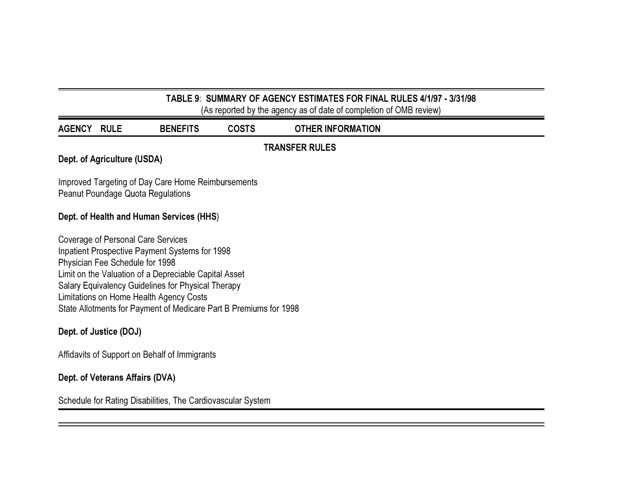# TABLE 9: SUMMARY OF AGENCY ESTIMATES FOR FINAL RULES 4/1/97 - 3/31/98

(As reported by the agency as of date of completion of OMB review)

| <b>AGENCY</b>                                                                                                                                                                                                                                                                                                                                          | <b>RULE</b>                              | <b>BENEFITS</b> | <b>COSTS</b> | <b>OTHER INFORMATION</b> |  |  |  |
|--------------------------------------------------------------------------------------------------------------------------------------------------------------------------------------------------------------------------------------------------------------------------------------------------------------------------------------------------------|------------------------------------------|-----------------|--------------|--------------------------|--|--|--|
|                                                                                                                                                                                                                                                                                                                                                        | <b>TRANSFER RULES</b>                    |                 |              |                          |  |  |  |
|                                                                                                                                                                                                                                                                                                                                                        | Dept. of Agriculture (USDA)              |                 |              |                          |  |  |  |
| Improved Targeting of Day Care Home Reimbursements<br>Peanut Poundage Quota Regulations                                                                                                                                                                                                                                                                |                                          |                 |              |                          |  |  |  |
|                                                                                                                                                                                                                                                                                                                                                        | Dept. of Health and Human Services (HHS) |                 |              |                          |  |  |  |
| Coverage of Personal Care Services<br>Inpatient Prospective Payment Systems for 1998<br>Physician Fee Schedule for 1998<br>Limit on the Valuation of a Depreciable Capital Asset<br>Salary Equivalency Guidelines for Physical Therapy<br>Limitations on Home Health Agency Costs<br>State Allotments for Payment of Medicare Part B Premiums for 1998 |                                          |                 |              |                          |  |  |  |
| Dept. of Justice (DOJ)                                                                                                                                                                                                                                                                                                                                 |                                          |                 |              |                          |  |  |  |
| Affidavits of Support on Behalf of Immigrants                                                                                                                                                                                                                                                                                                          |                                          |                 |              |                          |  |  |  |

# Dept. of Veterans Affairs (DVA)

Schedule for Rating Disabilities, The Cardiovascular System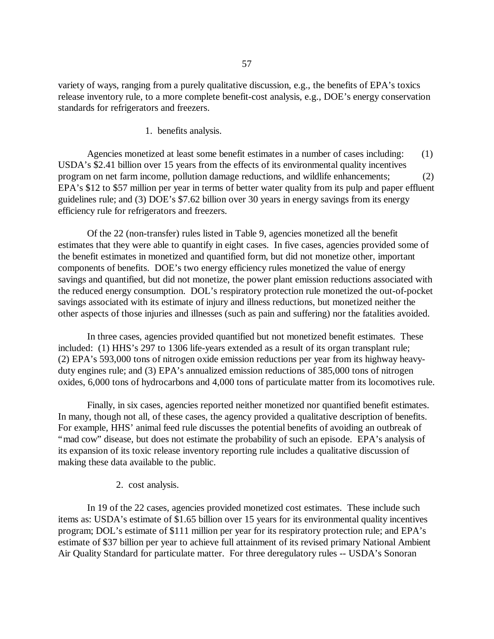variety of ways, ranging from a purely qualitative discussion, e.g., the benefits of EPA's toxics release inventory rule, to a more complete benefit-cost analysis, e.g., DOE's energy conservation standards for refrigerators and freezers.

1. benefits analysis.

Agencies monetized at least some benefit estimates in a number of cases including: (1) USDA's \$2.41 billion over 15 years from the effects of its environmental quality incentives program on net farm income, pollution damage reductions, and wildlife enhancements; (2) EPA's \$12 to \$57 million per year in terms of better water quality from its pulp and paper effluent guidelines rule; and (3) DOE's \$7.62 billion over 30 years in energy savings from its energy efficiency rule for refrigerators and freezers.

Of the 22 (non-transfer) rules listed in Table 9, agencies monetized all the benefit estimates that they were able to quantify in eight cases. In five cases, agencies provided some of the benefit estimates in monetized and quantified form, but did not monetize other, important components of benefits. DOE's two energy efficiency rules monetized the value of energy savings and quantified, but did not monetize, the power plant emission reductions associated with the reduced energy consumption. DOL's respiratory protection rule monetized the out-of-pocket savings associated with its estimate of injury and illness reductions, but monetized neither the other aspects of those injuries and illnesses (such as pain and suffering) nor the fatalities avoided.

In three cases, agencies provided quantified but not monetized benefit estimates. These included: (1) HHS's 297 to 1306 life-years extended as a result of its organ transplant rule; (2) EPA's 593,000 tons of nitrogen oxide emission reductions per year from its highway heavyduty engines rule; and (3) EPA's annualized emission reductions of 385,000 tons of nitrogen oxides, 6,000 tons of hydrocarbons and 4,000 tons of particulate matter from its locomotives rule.

Finally, in six cases, agencies reported neither monetized nor quantified benefit estimates. In many, though not all, of these cases, the agency provided a qualitative description of benefits. For example, HHS' animal feed rule discusses the potential benefits of avoiding an outbreak of "mad cow" disease, but does not estimate the probability of such an episode. EPA's analysis of its expansion of its toxic release inventory reporting rule includes a qualitative discussion of making these data available to the public.

### 2. cost analysis.

In 19 of the 22 cases, agencies provided monetized cost estimates. These include such items as: USDA's estimate of \$1.65 billion over 15 years for its environmental quality incentives program; DOL's estimate of \$111 million per year for its respiratory protection rule; and EPA's estimate of \$37 billion per year to achieve full attainment of its revised primary National Ambient Air Quality Standard for particulate matter. For three deregulatory rules -- USDA's Sonoran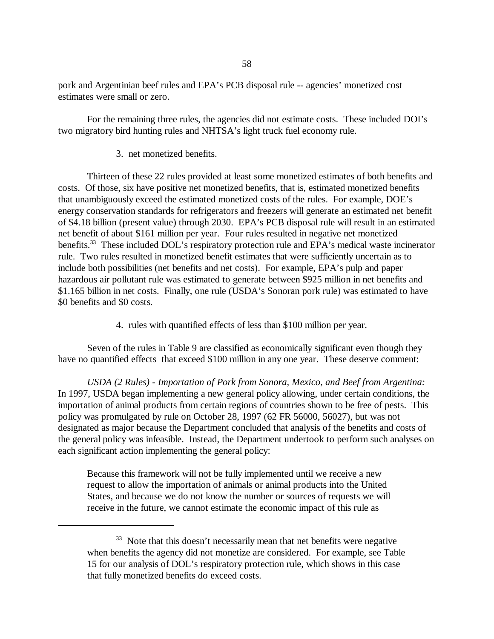pork and Argentinian beef rules and EPA's PCB disposal rule -- agencies'monetized cost estimates were small or zero.

For the remaining three rules, the agencies did not estimate costs. These included DOI's two migratory bird hunting rules and NHTSA's light truck fuel economy rule.

### 3. net monetized benefits.

Thirteen of these 22 rules provided at least some monetized estimates of both benefits and costs. Of those, six have positive net monetized benefits, that is, estimated monetized benefits that unambiguously exceed the estimated monetized costs of the rules. For example, DOE's energy conservation standards for refrigerators and freezers will generate an estimated net benefit of \$4.18 billion (present value) through 2030. EPA's PCB disposal rule will result in an estimated net benefit of about \$161 million per year. Four rules resulted in negative net monetized benefits.<sup>33</sup> These included DOL's respiratory protection rule and EPA's medical waste incinerator rule. Two rules resulted in monetized benefit estimates that were sufficiently uncertain as to include both possibilities (net benefits and net costs). For example, EPA's pulp and paper hazardous air pollutant rule was estimated to generate between \$925 million in net benefits and \$1.165 billion in net costs. Finally, one rule (USDA's Sonoran pork rule) was estimated to have \$0 benefits and \$0 costs.

4. rules with quantified effects of less than \$100 million per year.

Seven of the rules in Table 9 are classified as economically significant even though they have no quantified effects that exceed \$100 million in any one year. These deserve comment:

*USDA (2 Rules) - Importation of Pork from Sonora, Mexico, and Beef from Argentina:*  In 1997, USDA began implementing a new general policy allowing, under certain conditions, the importation of animal products from certain regions of countries shown to be free of pests. This policy was promulgated by rule on October 28, 1997 (62 FR 56000, 56027), but was not designated as major because the Department concluded that analysis of the benefits and costs of the general policy was infeasible. Instead, the Department undertook to perform such analyses on each significant action implementing the general policy:

Because this framework will not be fully implemented until we receive a new request to allow the importation of animals or animal products into the United States, and because we do not know the number or sources of requests we will receive in the future, we cannot estimate the economic impact of this rule as

<sup>&</sup>lt;sup>33</sup> Note that this doesn't necessarily mean that net benefits were negative when benefits the agency did not monetize are considered. For example, see Table 15 for our analysis of DOL's respiratory protection rule, which shows in this case that fully monetized benefits do exceed costs.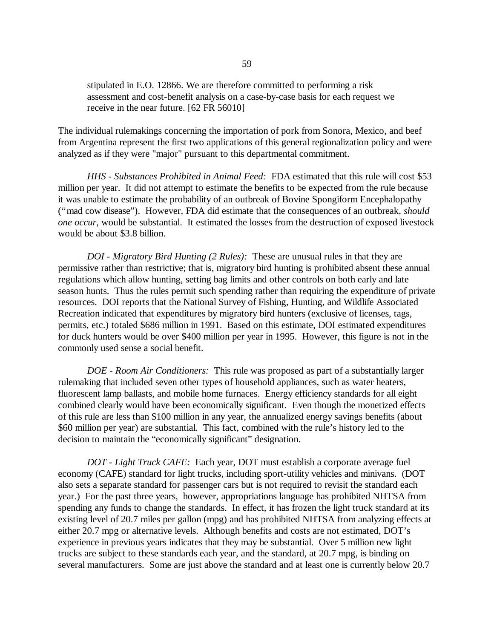stipulated in E.O. 12866. We are therefore committed to performing a risk assessment and cost-benefit analysis on a case-by-case basis for each request we receive in the near future. [62 FR 56010]

The individual rulemakings concerning the importation of pork from Sonora, Mexico, and beef from Argentina represent the first two applications of this general regionalization policy and were analyzed as if they were "major" pursuant to this departmental commitment.

*HHS - Substances Prohibited in Animal Feed:* FDA estimated that this rule will cost \$53 million per year. It did not attempt to estimate the benefits to be expected from the rule because it was unable to estimate the probability of an outbreak of Bovine Spongiform Encephalopathy ("mad cow disease"). However, FDA did estimate that the consequences of an outbreak, *should one occur*, would be substantial. It estimated the losses from the destruction of exposed livestock would be about \$3.8 billion.

*DOI - Migratory Bird Hunting (2 Rules):* These are unusual rules in that they are permissive rather than restrictive; that is, migratory bird hunting is prohibited absent these annual regulations which allow hunting, setting bag limits and other controls on both early and late season hunts. Thus the rules permit such spending rather than requiring the expenditure of private resources. DOI reports that the National Survey of Fishing, Hunting, and Wildlife Associated Recreation indicated that expenditures by migratory bird hunters (exclusive of licenses, tags, permits, etc.) totaled \$686 million in 1991. Based on this estimate, DOI estimated expenditures for duck hunters would be over \$400 million per year in 1995. However, this figure is not in the commonly used sense a social benefit.

*DOE - Room Air Conditioners:* This rule was proposed as part of a substantially larger rulemaking that included seven other types of household appliances, such as water heaters, fluorescent lamp ballasts, and mobile home furnaces. Energy efficiency standards for all eight combined clearly would have been economically significant. Even though the monetized effects of this rule are less than \$100 million in any year, the annualized energy savings benefits (about \$60 million per year) are substantial. This fact, combined with the rule's history led to the decision to maintain the "economically significant" designation.

*DOT - Light Truck CAFE:* Each year, DOT must establish a corporate average fuel economy (CAFE) standard for light trucks, including sport-utility vehicles and minivans. (DOT also sets a separate standard for passenger cars but is not required to revisit the standard each year.) For the past three years, however, appropriations language has prohibited NHTSA from spending any funds to change the standards. In effect, it has frozen the light truck standard at its existing level of 20.7 miles per gallon (mpg) and has prohibited NHTSA from analyzing effects at either 20.7 mpg or alternative levels. Although benefits and costs are not estimated, DOT's experience in previous years indicates that they may be substantial. Over 5 million new light trucks are subject to these standards each year, and the standard, at 20.7 mpg, is binding on several manufacturers. Some are just above the standard and at least one is currently below 20.7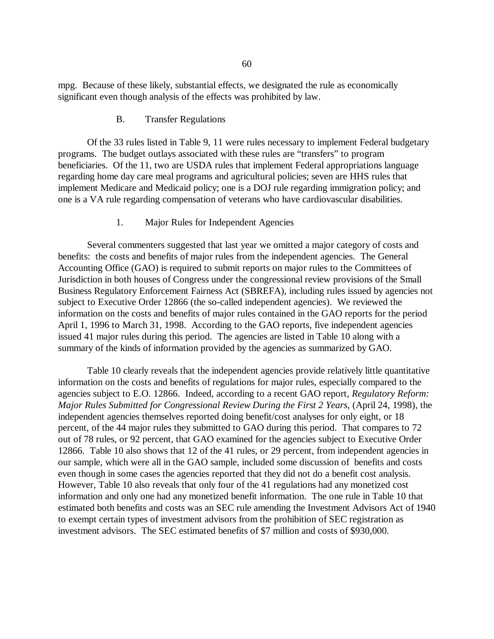mpg. Because of these likely, substantial effects, we designated the rule as economically significant even though analysis of the effects was prohibited by law.

### B. Transfer Regulations

Of the 33 rules listed in Table 9, 11 were rules necessary to implement Federal budgetary programs. The budget outlays associated with these rules are "transfers" to program beneficiaries. Of the 11, two are USDA rules that implement Federal appropriations language regarding home day care meal programs and agricultural policies; seven are HHS rules that implement Medicare and Medicaid policy; one is a DOJ rule regarding immigration policy; and one is a VA rule regarding compensation of veterans who have cardiovascular disabilities.

## 1. Major Rules for Independent Agencies

Several commenters suggested that last year we omitted a major category of costs and benefits: the costs and benefits of major rules from the independent agencies. The General Accounting Office (GAO) is required to submit reports on major rules to the Committees of Jurisdiction in both houses of Congress under the congressional review provisions of the Small Business Regulatory Enforcement Fairness Act (SBREFA), including rules issued by agencies not subject to Executive Order 12866 (the so-called independent agencies). We reviewed the information on the costs and benefits of major rules contained in the GAO reports for the period April 1, 1996 to March 31, 1998. According to the GAO reports, five independent agencies issued 41 major rules during this period. The agencies are listed in Table 10 along with a summary of the kinds of information provided by the agencies as summarized by GAO.

Table 10 clearly reveals that the independent agencies provide relatively little quantitative information on the costs and benefits of regulations for major rules, especially compared to the agencies subject to E.O. 12866. Indeed, according to a recent GAO report, *Regulatory Reform: Major Rules Submitted for Congressional Review During the First 2 Years*, (April 24, 1998), the independent agencies themselves reported doing benefit/cost analyses for only eight, or 18 percent, of the 44 major rules they submitted to GAO during this period. That compares to 72 out of 78 rules, or 92 percent, that GAO examined for the agencies subject to Executive Order 12866. Table 10 also shows that 12 of the 41 rules, or 29 percent, from independent agencies in our sample, which were all in the GAO sample, included some discussion of benefits and costs even though in some cases the agencies reported that they did not do a benefit cost analysis. However, Table 10 also reveals that only four of the 41 regulations had any monetized cost information and only one had any monetized benefit information. The one rule in Table 10 that estimated both benefits and costs was an SEC rule amending the Investment Advisors Act of 1940 to exempt certain types of investment advisors from the prohibition of SEC registration as investment advisors. The SEC estimated benefits of \$7 million and costs of \$930,000.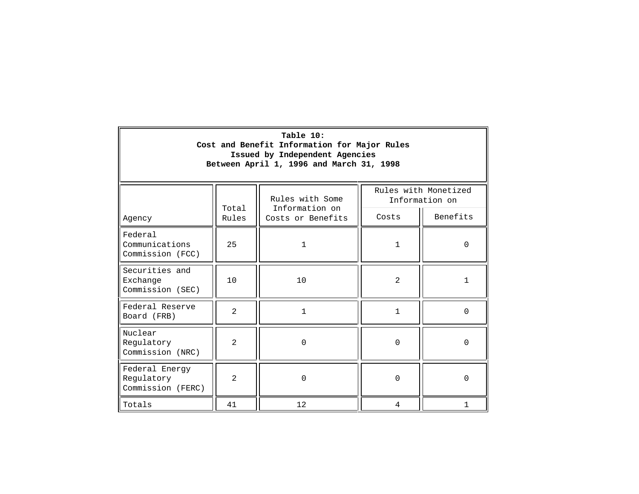| Table 10:<br>Cost and Benefit Information for Major Rules<br>Issued by Independent Agencies<br>Between April 1, 1996 and March 31, 1998 |                |                                   |              |                                        |
|-----------------------------------------------------------------------------------------------------------------------------------------|----------------|-----------------------------------|--------------|----------------------------------------|
|                                                                                                                                         | Total          | Rules with Some<br>Information on |              | Rules with Monetized<br>Information on |
| Agency                                                                                                                                  | Rules          | Costs or Benefits                 | Costs        | Benefits                               |
| Federal<br>Communications<br>Commission (FCC)                                                                                           | 25             | $\mathbf{1}$                      | $\mathbf{1}$ | $\Omega$                               |
| Securities and<br>Exchange<br>Commission (SEC)                                                                                          | 10             | 10                                | 2            | 1                                      |
| Federal Reserve<br>Board (FRB)                                                                                                          | $\overline{a}$ | $\mathbf{1}$                      | $\mathbf{1}$ | $\Omega$                               |
| Nuclear<br>Regulatory<br>Commission (NRC)                                                                                               | $\overline{2}$ | $\Omega$                          | $\Omega$     | $\Omega$                               |
| Federal Energy<br>Regulatory<br>Commission (FERC)                                                                                       | $\overline{a}$ | $\Omega$                          | $\Omega$     | $\Omega$                               |
| Totals                                                                                                                                  | 41             | 12                                | 4            | 1                                      |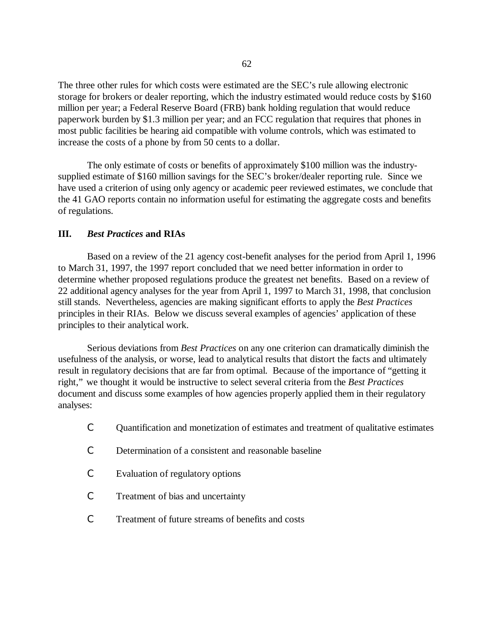The three other rules for which costs were estimated are the SEC's rule allowing electronic storage for brokers or dealer reporting, which the industry estimated would reduce costs by \$160 million per year; a Federal Reserve Board (FRB) bank holding regulation that would reduce paperwork burden by \$1.3 million per year; and an FCC regulation that requires that phones in most public facilities be hearing aid compatible with volume controls, which was estimated to increase the costs of a phone by from 50 cents to a dollar.

The only estimate of costs or benefits of approximately \$100 million was the industrysupplied estimate of \$160 million savings for the SEC's broker/dealer reporting rule. Since we have used a criterion of using only agency or academic peer reviewed estimates, we conclude that the 41 GAO reports contain no information useful for estimating the aggregate costs and benefits of regulations.

### **III.** *Best Practices* **and RIAs**

Based on a review of the 21 agency cost-benefit analyses for the period from April 1, 1996 to March 31, 1997, the 1997 report concluded that we need better information in order to determine whether proposed regulations produce the greatest net benefits. Based on a review of 22 additional agency analyses for the year from April 1, 1997 to March 31, 1998, that conclusion still stands. Nevertheless, agencies are making significant efforts to apply the *Best Practices*  principles in their RIAs. Below we discuss several examples of agencies'application of these principles to their analytical work.

Serious deviations from *Best Practices* on any one criterion can dramatically diminish the usefulness of the analysis, or worse, lead to analytical results that distort the facts and ultimately result in regulatory decisions that are far from optimal. Because of the importance of "getting it right," we thought it would be instructive to select several criteria from the *Best Practices*  document and discuss some examples of how agencies properly applied them in their regulatory analyses:

- C Quantification and monetization of estimates and treatment of qualitative estimates
- C Determination of a consistent and reasonable baseline
- C Evaluation of regulatory options
- C Treatment of bias and uncertainty
- C Treatment of future streams of benefits and costs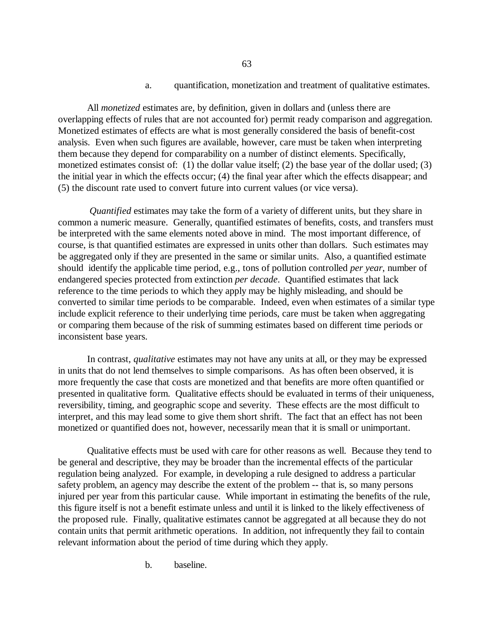### a. quantification, monetization and treatment of qualitative estimates.

All *monetized* estimates are, by definition, given in dollars and (unless there are overlapping effects of rules that are not accounted for) permit ready comparison and aggregation. Monetized estimates of effects are what is most generally considered the basis of benefit-cost analysis. Even when such figures are available, however, care must be taken when interpreting them because they depend for comparability on a number of distinct elements. Specifically, monetized estimates consist of: (1) the dollar value itself; (2) the base year of the dollar used; (3) the initial year in which the effects occur; (4) the final year after which the effects disappear; and (5) the discount rate used to convert future into current values (or vice versa).

*Quantified* estimates may take the form of a variety of different units, but they share in common a numeric measure. Generally, quantified estimates of benefits, costs, and transfers must be interpreted with the same elements noted above in mind. The most important difference, of course, is that quantified estimates are expressed in units other than dollars. Such estimates may be aggregated only if they are presented in the same or similar units. Also, a quantified estimate should identify the applicable time period, e.g., tons of pollution controlled *per year*, number of endangered species protected from extinction *per decade*. Quantified estimates that lack reference to the time periods to which they apply may be highly misleading, and should be converted to similar time periods to be comparable. Indeed, even when estimates of a similar type include explicit reference to their underlying time periods, care must be taken when aggregating or comparing them because of the risk of summing estimates based on different time periods or inconsistent base years.

In contrast, *qualitative* estimates may not have any units at all, or they may be expressed in units that do not lend themselves to simple comparisons. As has often been observed, it is more frequently the case that costs are monetized and that benefits are more often quantified or presented in qualitative form. Qualitative effects should be evaluated in terms of their uniqueness, reversibility, timing, and geographic scope and severity. These effects are the most difficult to interpret, and this may lead some to give them short shrift. The fact that an effect has not been monetized or quantified does not, however, necessarily mean that it is small or unimportant.

Qualitative effects must be used with care for other reasons as well. Because they tend to be general and descriptive, they may be broader than the incremental effects of the particular regulation being analyzed. For example, in developing a rule designed to address a particular safety problem, an agency may describe the extent of the problem -- that is, so many persons injured per year from this particular cause. While important in estimating the benefits of the rule, this figure itself is not a benefit estimate unless and until it is linked to the likely effectiveness of the proposed rule. Finally, qualitative estimates cannot be aggregated at all because they do not contain units that permit arithmetic operations. In addition, not infrequently they fail to contain relevant information about the period of time during which they apply.

b. baseline.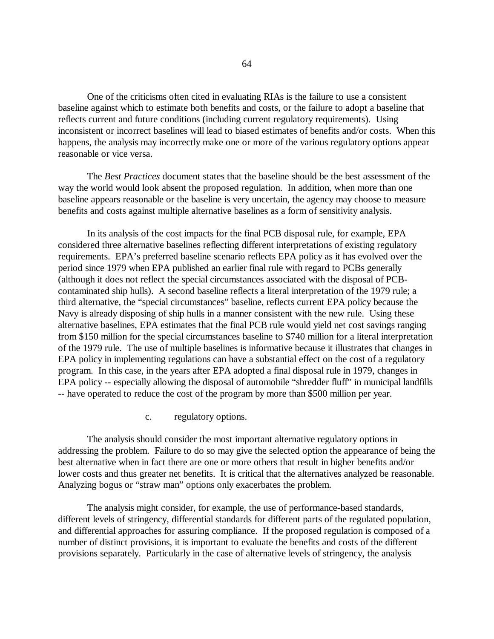One of the criticisms often cited in evaluating RIAs is the failure to use a consistent baseline against which to estimate both benefits and costs, or the failure to adopt a baseline that reflects current and future conditions (including current regulatory requirements). Using inconsistent or incorrect baselines will lead to biased estimates of benefits and/or costs. When this happens, the analysis may incorrectly make one or more of the various regulatory options appear reasonable or vice versa.

The *Best Practices* document states that the baseline should be the best assessment of the way the world would look absent the proposed regulation. In addition, when more than one baseline appears reasonable or the baseline is very uncertain, the agency may choose to measure benefits and costs against multiple alternative baselines as a form of sensitivity analysis.

In its analysis of the cost impacts for the final PCB disposal rule, for example, EPA considered three alternative baselines reflecting different interpretations of existing regulatory requirements. EPA's preferred baseline scenario reflects EPA policy as it has evolved over the period since 1979 when EPA published an earlier final rule with regard to PCBs generally (although it does not reflect the special circumstances associated with the disposal of PCBcontaminated ship hulls). A second baseline reflects a literal interpretation of the 1979 rule; a third alternative, the "special circumstances" baseline, reflects current EPA policy because the Navy is already disposing of ship hulls in a manner consistent with the new rule. Using these alternative baselines, EPA estimates that the final PCB rule would yield net cost savings ranging from \$150 million for the special circumstances baseline to \$740 million for a literal interpretation of the 1979 rule. The use of multiple baselines is informative because it illustrates that changes in EPA policy in implementing regulations can have a substantial effect on the cost of a regulatory program. In this case, in the years after EPA adopted a final disposal rule in 1979, changes in EPA policy -- especially allowing the disposal of automobile "shredder fluff" in municipal landfills -- have operated to reduce the cost of the program by more than \$500 million per year.

### c. regulatory options.

The analysis should consider the most important alternative regulatory options in addressing the problem. Failure to do so may give the selected option the appearance of being the best alternative when in fact there are one or more others that result in higher benefits and/or lower costs and thus greater net benefits. It is critical that the alternatives analyzed be reasonable. Analyzing bogus or "straw man" options only exacerbates the problem.

The analysis might consider, for example, the use of performance-based standards, different levels of stringency, differential standards for different parts of the regulated population, and differential approaches for assuring compliance. If the proposed regulation is composed of a number of distinct provisions, it is important to evaluate the benefits and costs of the different provisions separately. Particularly in the case of alternative levels of stringency, the analysis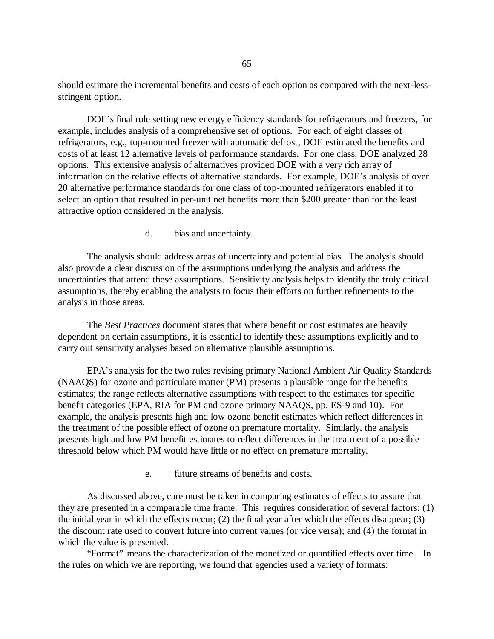should estimate the incremental benefits and costs of each option as compared with the next-lessstringent option.

DOE's final rule setting new energy efficiency standards for refrigerators and freezers, for example, includes analysis of a comprehensive set of options. For each of eight classes of refrigerators, e.g., top-mounted freezer with automatic defrost, DOE estimated the benefits and costs of at least 12 alternative levels of performance standards. For one class, DOE analyzed 28 options. This extensive analysis of alternatives provided DOE with a very rich array of information on the relative effects of alternative standards. For example, DOE's analysis of over 20 alternative performance standards for one class of top-mounted refrigerators enabled it to select an option that resulted in per-unit net benefits more than \$200 greater than for the least attractive option considered in the analysis.

d. bias and uncertainty.

The analysis should address areas of uncertainty and potential bias. The analysis should also provide a clear discussion of the assumptions underlying the analysis and address the uncertainties that attend these assumptions. Sensitivity analysis helps to identify the truly critical assumptions, thereby enabling the analysts to focus their efforts on further refinements to the analysis in those areas.

The *Best Practices* document states that where benefit or cost estimates are heavily dependent on certain assumptions, it is essential to identify these assumptions explicitly and to carry out sensitivity analyses based on alternative plausible assumptions.

EPA's analysis for the two rules revising primary National Ambient Air Quality Standards (NAAQS) for ozone and particulate matter (PM) presents a plausible range for the benefits estimates; the range reflects alternative assumptions with respect to the estimates for specific benefit categories (EPA, RIA for PM and ozone primary NAAQS, pp. ES-9 and 10). For example, the analysis presents high and low ozone benefit estimates which reflect differences in the treatment of the possible effect of ozone on premature mortality. Similarly, the analysis presents high and low PM benefit estimates to reflect differences in the treatment of a possible threshold below which PM would have little or no effect on premature mortality.

e. future streams of benefits and costs.

As discussed above, care must be taken in comparing estimates of effects to assure that they are presented in a comparable time frame. This requires consideration of several factors: (1) the initial year in which the effects occur; (2) the final year after which the effects disappear; (3) the discount rate used to convert future into current values (or vice versa); and (4) the format in which the value is presented.

"Format" means the characterization of the monetized or quantified effects over time. In the rules on which we are reporting, we found that agencies used a variety of formats: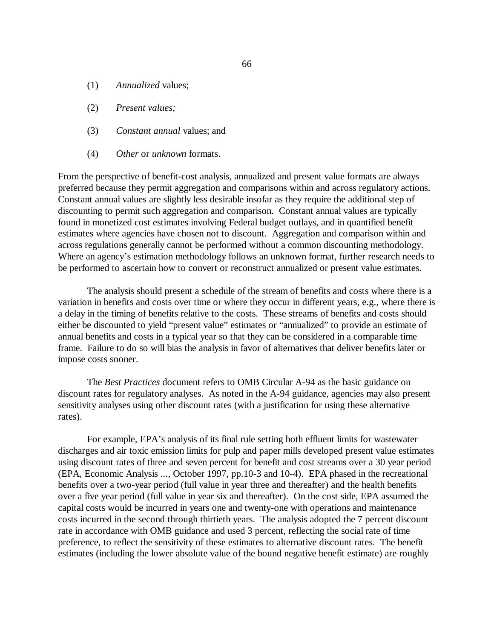- (1) *Annualized* values;
- (2) *Present values;*
- (3) *Constant annual* values; and
- (4) *Other* or *unknown* formats.

From the perspective of benefit-cost analysis, annualized and present value formats are always preferred because they permit aggregation and comparisons within and across regulatory actions. Constant annual values are slightly less desirable insofar as they require the additional step of discounting to permit such aggregation and comparison. Constant annual values are typically found in monetized cost estimates involving Federal budget outlays, and in quantified benefit estimates where agencies have chosen not to discount. Aggregation and comparison within and across regulations generally cannot be performed without a common discounting methodology. Where an agency's estimation methodology follows an unknown format, further research needs to be performed to ascertain how to convert or reconstruct annualized or present value estimates.

The analysis should present a schedule of the stream of benefits and costs where there is a variation in benefits and costs over time or where they occur in different years, e.g., where there is a delay in the timing of benefits relative to the costs. These streams of benefits and costs should either be discounted to yield "present value" estimates or "annualized" to provide an estimate of annual benefits and costs in a typical year so that they can be considered in a comparable time frame. Failure to do so will bias the analysis in favor of alternatives that deliver benefits later or impose costs sooner.

The *Best Practices* document refers to OMB Circular A-94 as the basic guidance on discount rates for regulatory analyses. As noted in the A-94 guidance, agencies may also present sensitivity analyses using other discount rates (with a justification for using these alternative rates).

For example, EPA's analysis of its final rule setting both effluent limits for wastewater discharges and air toxic emission limits for pulp and paper mills developed present value estimates using discount rates of three and seven percent for benefit and cost streams over a 30 year period (EPA, Economic Analysis ..., October 1997, pp.10-3 and 10-4). EPA phased in the recreational benefits over a two-year period (full value in year three and thereafter) and the health benefits over a five year period (full value in year six and thereafter). On the cost side, EPA assumed the capital costs would be incurred in years one and twenty-one with operations and maintenance costs incurred in the second through thirtieth years. The analysis adopted the 7 percent discount rate in accordance with OMB guidance and used 3 percent, reflecting the social rate of time preference, to reflect the sensitivity of these estimates to alternative discount rates. The benefit estimates (including the lower absolute value of the bound negative benefit estimate) are roughly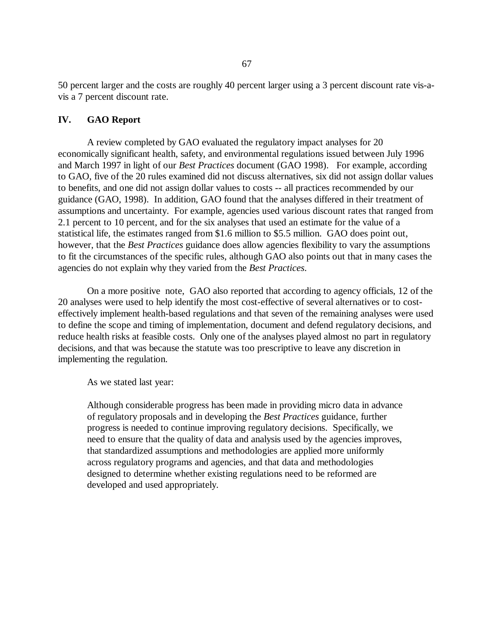50 percent larger and the costs are roughly 40 percent larger using a 3 percent discount rate vis-avis a 7 percent discount rate.

## **IV. GAO Report**

A review completed by GAO evaluated the regulatory impact analyses for 20 economically significant health, safety, and environmental regulations issued between July 1996 and March 1997 in light of our *Best Practices* document (GAO 1998). For example, according to GAO, five of the 20 rules examined did not discuss alternatives, six did not assign dollar values to benefits, and one did not assign dollar values to costs -- all practices recommended by our guidance (GAO, 1998). In addition, GAO found that the analyses differed in their treatment of assumptions and uncertainty. For example, agencies used various discount rates that ranged from 2.1 percent to 10 percent, and for the six analyses that used an estimate for the value of a statistical life, the estimates ranged from \$1.6 million to \$5.5 million. GAO does point out, however, that the *Best Practices* guidance does allow agencies flexibility to vary the assumptions to fit the circumstances of the specific rules, although GAO also points out that in many cases the agencies do not explain why they varied from the *Best Practices*.

On a more positive note, GAO also reported that according to agency officials, 12 of the 20 analyses were used to help identify the most cost-effective of several alternatives or to costeffectively implement health-based regulations and that seven of the remaining analyses were used to define the scope and timing of implementation, document and defend regulatory decisions, and reduce health risks at feasible costs. Only one of the analyses played almost no part in regulatory decisions, and that was because the statute was too prescriptive to leave any discretion in implementing the regulation.

As we stated last year:

Although considerable progress has been made in providing micro data in advance of regulatory proposals and in developing the *Best Practices* guidance, further progress is needed to continue improving regulatory decisions. Specifically, we need to ensure that the quality of data and analysis used by the agencies improves, that standardized assumptions and methodologies are applied more uniformly across regulatory programs and agencies, and that data and methodologies designed to determine whether existing regulations need to be reformed are developed and used appropriately.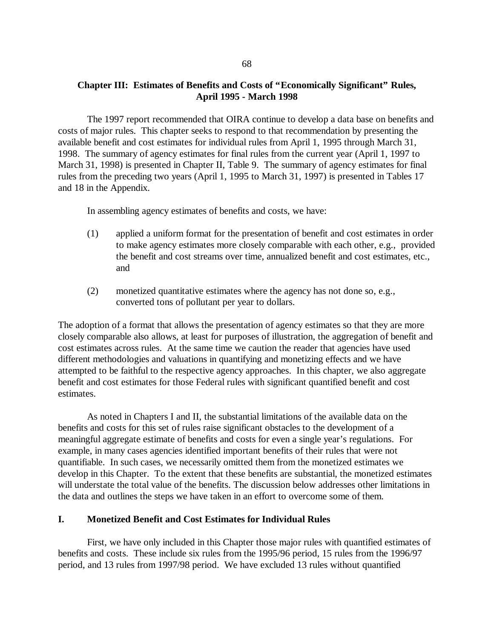## **Chapter III: Estimates of Benefits and Costs of "Economically Significant" Rules, April 1995 - March 1998**

The 1997 report recommended that OIRA continue to develop a data base on benefits and costs of major rules. This chapter seeks to respond to that recommendation by presenting the available benefit and cost estimates for individual rules from April 1, 1995 through March 31, 1998. The summary of agency estimates for final rules from the current year (April 1, 1997 to March 31, 1998) is presented in Chapter II, Table 9. The summary of agency estimates for final rules from the preceding two years (April 1, 1995 to March 31, 1997) is presented in Tables 17 and 18 in the Appendix.

In assembling agency estimates of benefits and costs, we have:

- (1) applied a uniform format for the presentation of benefit and cost estimates in order to make agency estimates more closely comparable with each other, e.g., provided the benefit and cost streams over time, annualized benefit and cost estimates, etc., and
- (2) monetized quantitative estimates where the agency has not done so, e.g., converted tons of pollutant per year to dollars.

The adoption of a format that allows the presentation of agency estimates so that they are more closely comparable also allows, at least for purposes of illustration, the aggregation of benefit and cost estimates across rules. At the same time we caution the reader that agencies have used different methodologies and valuations in quantifying and monetizing effects and we have attempted to be faithful to the respective agency approaches. In this chapter, we also aggregate benefit and cost estimates for those Federal rules with significant quantified benefit and cost estimates.

As noted in Chapters I and II, the substantial limitations of the available data on the benefits and costs for this set of rules raise significant obstacles to the development of a meaningful aggregate estimate of benefits and costs for even a single year's regulations. For example, in many cases agencies identified important benefits of their rules that were not quantifiable. In such cases, we necessarily omitted them from the monetized estimates we develop in this Chapter. To the extent that these benefits are substantial, the monetized estimates will understate the total value of the benefits. The discussion below addresses other limitations in the data and outlines the steps we have taken in an effort to overcome some of them.

### **I. Monetized Benefit and Cost Estimates for Individual Rules**

First, we have only included in this Chapter those major rules with quantified estimates of benefits and costs. These include six rules from the 1995/96 period, 15 rules from the 1996/97 period, and 13 rules from 1997/98 period. We have excluded 13 rules without quantified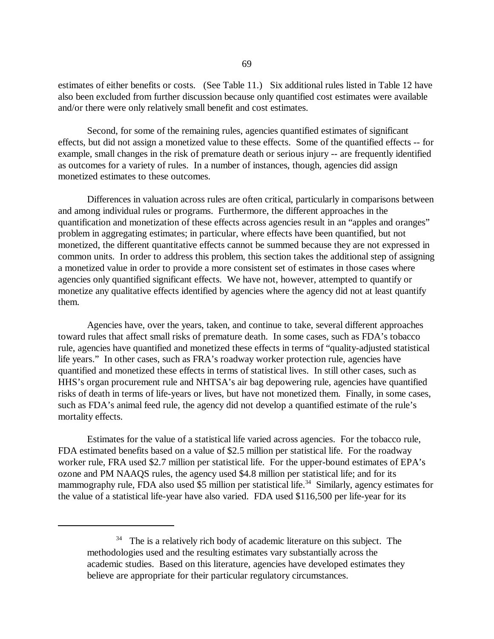estimates of either benefits or costs. (See Table 11.) Six additional rules listed in Table 12 have also been excluded from further discussion because only quantified cost estimates were available and/or there were only relatively small benefit and cost estimates.

Second, for some of the remaining rules, agencies quantified estimates of significant effects, but did not assign a monetized value to these effects. Some of the quantified effects -- for example, small changes in the risk of premature death or serious injury -- are frequently identified as outcomes for a variety of rules. In a number of instances, though, agencies did assign monetized estimates to these outcomes.

Differences in valuation across rules are often critical, particularly in comparisons between and among individual rules or programs. Furthermore, the different approaches in the quantification and monetization of these effects across agencies result in an "apples and oranges" problem in aggregating estimates; in particular, where effects have been quantified, but not monetized, the different quantitative effects cannot be summed because they are not expressed in common units. In order to address this problem, this section takes the additional step of assigning a monetized value in order to provide a more consistent set of estimates in those cases where agencies only quantified significant effects. We have not, however, attempted to quantify or monetize any qualitative effects identified by agencies where the agency did not at least quantify them.

Agencies have, over the years, taken, and continue to take, several different approaches toward rules that affect small risks of premature death. In some cases, such as FDA's tobacco rule, agencies have quantified and monetized these effects in terms of "quality-adjusted statistical life years." In other cases, such as FRA's roadway worker protection rule, agencies have quantified and monetized these effects in terms of statistical lives. In still other cases, such as HHS's organ procurement rule and NHTSA's air bag depowering rule, agencies have quantified risks of death in terms of life-years or lives, but have not monetized them. Finally, in some cases, such as FDA's animal feed rule, the agency did not develop a quantified estimate of the rule's mortality effects.

Estimates for the value of a statistical life varied across agencies. For the tobacco rule, FDA estimated benefits based on a value of \$2.5 million per statistical life. For the roadway worker rule, FRA used \$2.7 million per statistical life. For the upper-bound estimates of EPA's ozone and PM NAAQS rules, the agency used \$4.8 million per statistical life; and for its mammography rule, FDA also used \$5 million per statistical life.<sup>34</sup> Similarly, agency estimates for the value of a statistical life-year have also varied. FDA used \$116,500 per life-year for its

<sup>&</sup>lt;sup>34</sup> The is a relatively rich body of academic literature on this subject. The methodologies used and the resulting estimates vary substantially across the academic studies. Based on this literature, agencies have developed estimates they believe are appropriate for their particular regulatory circumstances.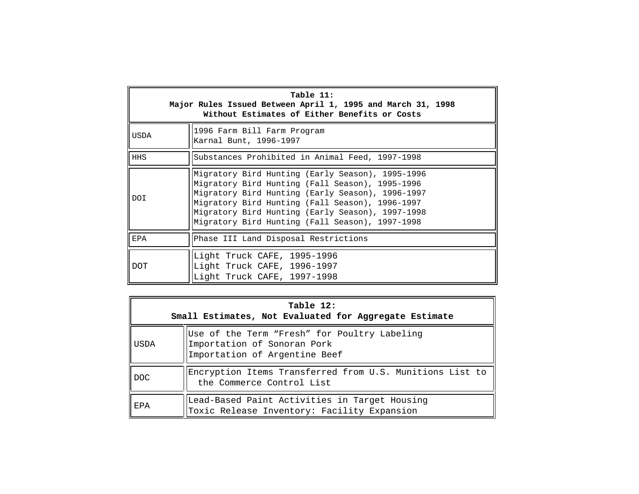| Table 11:<br>Major Rules Issued Between April 1, 1995 and March 31, 1998<br>Without Estimates of Either Benefits or Costs |                                                                                                                                                                                                                                                                                                                   |  |  |  |
|---------------------------------------------------------------------------------------------------------------------------|-------------------------------------------------------------------------------------------------------------------------------------------------------------------------------------------------------------------------------------------------------------------------------------------------------------------|--|--|--|
| USDA                                                                                                                      | 1996 Farm Bill Farm Program<br>Karnal Bunt, 1996-1997                                                                                                                                                                                                                                                             |  |  |  |
| <b>HHS</b>                                                                                                                | Substances Prohibited in Animal Feed, 1997-1998                                                                                                                                                                                                                                                                   |  |  |  |
| <b>DOI</b>                                                                                                                | Migratory Bird Hunting (Early Season), 1995-1996<br>Migratory Bird Hunting (Fall Season), 1995-1996<br>Migratory Bird Hunting (Early Season), 1996-1997<br>Migratory Bird Hunting (Fall Season), 1996-1997<br>Migratory Bird Hunting (Early Season), 1997-1998<br>Migratory Bird Hunting (Fall Season), 1997-1998 |  |  |  |
| EPA                                                                                                                       | Phase III Land Disposal Restrictions                                                                                                                                                                                                                                                                              |  |  |  |
| <b>DOT</b>                                                                                                                | Light Truck CAFE, 1995-1996<br>Light Truck CAFE, 1996-1997<br>Light Truck CAFE, 1997-1998                                                                                                                                                                                                                         |  |  |  |

| Table 12:<br>Small Estimates, Not Evaluated for Aggregate Estimate |                                                                                                              |  |  |  |
|--------------------------------------------------------------------|--------------------------------------------------------------------------------------------------------------|--|--|--|
| USDA                                                               | Use of the Term "Fresh" for Poultry Labeling<br>Importation of Sonoran Pork<br>Importation of Argentine Beef |  |  |  |
| DOC.                                                               | Encryption Items Transferred from U.S. Munitions List to<br>the Commerce Control List                        |  |  |  |
| EPA                                                                | Lead-Based Paint Activities in Target Housing<br>Toxic Release Inventory: Facility Expansion                 |  |  |  |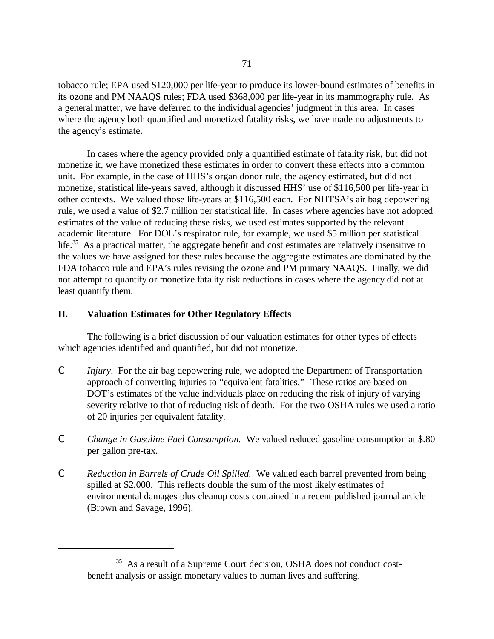tobacco rule; EPA used \$120,000 per life-year to produce its lower-bound estimates of benefits in its ozone and PM NAAQS rules; FDA used \$368,000 per life-year in its mammography rule. As a general matter, we have deferred to the individual agencies' judgment in this area. In cases where the agency both quantified and monetized fatality risks, we have made no adjustments to the agency's estimate.

In cases where the agency provided only a quantified estimate of fatality risk, but did not monetize it, we have monetized these estimates in order to convert these effects into a common unit. For example, in the case of HHS's organ donor rule, the agency estimated, but did not monetize, statistical life-years saved, although it discussed HHS'use of \$116,500 per life-year in other contexts. We valued those life-years at \$116,500 each. For NHTSA's air bag depowering rule, we used a value of \$2.7 million per statistical life. In cases where agencies have not adopted estimates of the value of reducing these risks, we used estimates supported by the relevant academic literature. For DOL's respirator rule, for example, we used \$5 million per statistical life.<sup>35</sup> As a practical matter, the aggregate benefit and cost estimates are relatively insensitive to the values we have assigned for these rules because the aggregate estimates are dominated by the FDA tobacco rule and EPA's rules revising the ozone and PM primary NAAQS. Finally, we did not attempt to quantify or monetize fatality risk reductions in cases where the agency did not at least quantify them.

### **II. Valuation Estimates for Other Regulatory Effects**

The following is a brief discussion of our valuation estimates for other types of effects which agencies identified and quantified, but did not monetize.

- C *Injury*. For the air bag depowering rule, we adopted the Department of Transportation approach of converting injuries to "equivalent fatalities." These ratios are based on DOT's estimates of the value individuals place on reducing the risk of injury of varying severity relative to that of reducing risk of death. For the two OSHA rules we used a ratio of 20 injuries per equivalent fatality.
- C *Change in Gasoline Fuel Consumption.* We valued reduced gasoline consumption at \$.80 per gallon pre-tax.
- C *Reduction in Barrels of Crude Oil Spilled.* We valued each barrel prevented from being spilled at \$2,000. This reflects double the sum of the most likely estimates of environmental damages plus cleanup costs contained in a recent published journal article (Brown and Savage, 1996).

<sup>&</sup>lt;sup>35</sup> As a result of a Supreme Court decision, OSHA does not conduct costbenefit analysis or assign monetary values to human lives and suffering.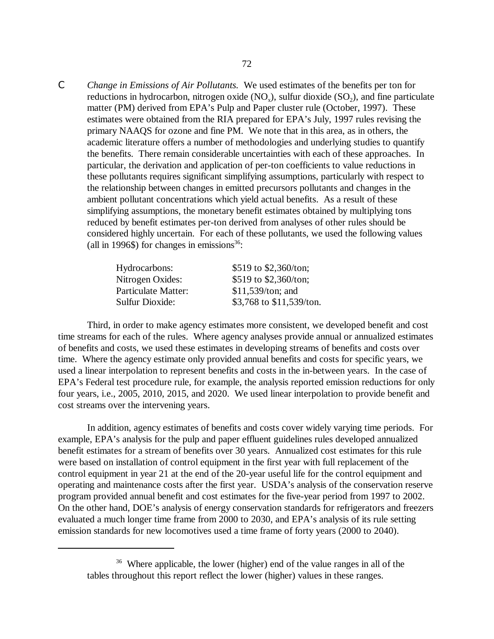C *Change in Emissions of Air Pollutants.* We used estimates of the benefits per ton for reductions in hydrocarbon, nitrogen oxide  $(NO_x)$ , sulfur dioxide  $(SO_2)$ , and fine particulate matter (PM) derived from EPA's Pulp and Paper cluster rule (October, 1997). These estimates were obtained from the RIA prepared for EPA's July, 1997 rules revising the primary NAAQS for ozone and fine PM. We note that in this area, as in others, the academic literature offers a number of methodologies and underlying studies to quantify the benefits. There remain considerable uncertainties with each of these approaches. In particular, the derivation and application of per-ton coefficients to value reductions in these pollutants requires significant simplifying assumptions, particularly with respect to the relationship between changes in emitted precursors pollutants and changes in the ambient pollutant concentrations which yield actual benefits. As a result of these simplifying assumptions, the monetary benefit estimates obtained by multiplying tons reduced by benefit estimates per-ton derived from analyses of other rules should be considered highly uncertain. For each of these pollutants, we used the following values (all in 1996\$) for changes in emissions<sup>36</sup>:

| Hydrocarbons:          | \$519 to \$2,360/ton;    |
|------------------------|--------------------------|
| Nitrogen Oxides:       | \$519 to \$2,360/ton;    |
| Particulate Matter:    | $$11,539/t$ on; and      |
| <b>Sulfur Dioxide:</b> | \$3,768 to \$11,539/ton. |

Third, in order to make agency estimates more consistent, we developed benefit and cost time streams for each of the rules. Where agency analyses provide annual or annualized estimates of benefits and costs, we used these estimates in developing streams of benefits and costs over time. Where the agency estimate only provided annual benefits and costs for specific years, we used a linear interpolation to represent benefits and costs in the in-between years. In the case of EPA's Federal test procedure rule, for example, the analysis reported emission reductions for only four years, i.e., 2005, 2010, 2015, and 2020. We used linear interpolation to provide benefit and cost streams over the intervening years.

In addition, agency estimates of benefits and costs cover widely varying time periods. For example, EPA's analysis for the pulp and paper effluent guidelines rules developed annualized benefit estimates for a stream of benefits over 30 years. Annualized cost estimates for this rule were based on installation of control equipment in the first year with full replacement of the control equipment in year 21 at the end of the 20-year useful life for the control equipment and operating and maintenance costs after the first year. USDA's analysis of the conservation reserve program provided annual benefit and cost estimates for the five-year period from 1997 to 2002. On the other hand, DOE's analysis of energy conservation standards for refrigerators and freezers evaluated a much longer time frame from 2000 to 2030, and EPA's analysis of its rule setting emission standards for new locomotives used a time frame of forty years (2000 to 2040).

<sup>36</sup> Where applicable, the lower (higher) end of the value ranges in all of the tables throughout this report reflect the lower (higher) values in these ranges.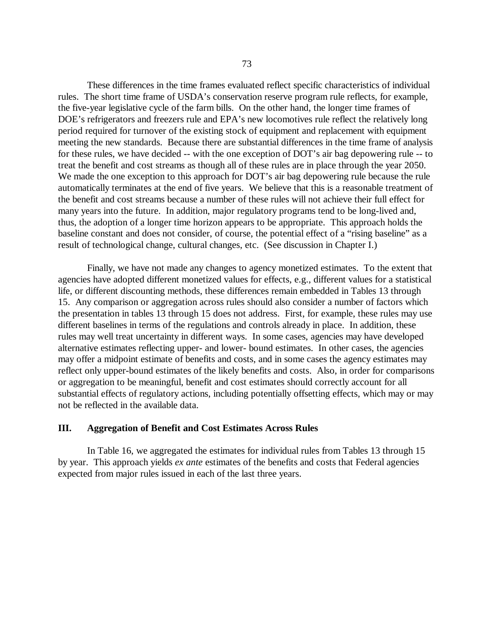These differences in the time frames evaluated reflect specific characteristics of individual rules. The short time frame of USDA's conservation reserve program rule reflects, for example, the five-year legislative cycle of the farm bills. On the other hand, the longer time frames of DOE's refrigerators and freezers rule and EPA's new locomotives rule reflect the relatively long period required for turnover of the existing stock of equipment and replacement with equipment meeting the new standards. Because there are substantial differences in the time frame of analysis for these rules, we have decided -- with the one exception of DOT's air bag depowering rule -- to treat the benefit and cost streams as though all of these rules are in place through the year 2050. We made the one exception to this approach for DOT's air bag depowering rule because the rule automatically terminates at the end of five years. We believe that this is a reasonable treatment of the benefit and cost streams because a number of these rules will not achieve their full effect for many years into the future. In addition, major regulatory programs tend to be long-lived and, thus, the adoption of a longer time horizon appears to be appropriate. This approach holds the baseline constant and does not consider, of course, the potential effect of a "rising baseline" as a result of technological change, cultural changes, etc. (See discussion in Chapter I.)

Finally, we have not made any changes to agency monetized estimates. To the extent that agencies have adopted different monetized values for effects, e.g., different values for a statistical life, or different discounting methods, these differences remain embedded in Tables 13 through 15. Any comparison or aggregation across rules should also consider a number of factors which the presentation in tables 13 through 15 does not address. First, for example, these rules may use different baselines in terms of the regulations and controls already in place. In addition, these rules may well treat uncertainty in different ways. In some cases, agencies may have developed alternative estimates reflecting upper- and lower- bound estimates. In other cases, the agencies may offer a midpoint estimate of benefits and costs, and in some cases the agency estimates may reflect only upper-bound estimates of the likely benefits and costs. Also, in order for comparisons or aggregation to be meaningful, benefit and cost estimates should correctly account for all substantial effects of regulatory actions, including potentially offsetting effects, which may or may not be reflected in the available data.

### **III. Aggregation of Benefit and Cost Estimates Across Rules**

In Table 16, we aggregated the estimates for individual rules from Tables 13 through 15 by year. This approach yields *ex ante* estimates of the benefits and costs that Federal agencies expected from major rules issued in each of the last three years.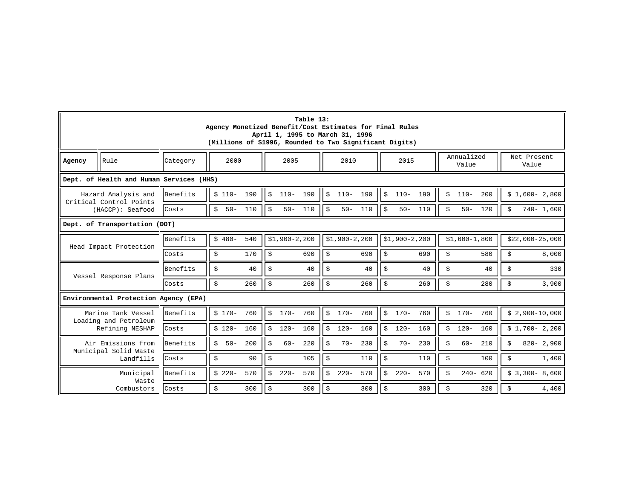|           | Table 13:<br>Agency Monetized Benefit/Cost Estimates for Final Rules<br>April 1, 1995 to March 31, 1996<br>(Millions of \$1996, Rounded to Two Significant Digits) |          |                    |                           |                                 |                           |                      |                      |  |  |  |
|-----------|--------------------------------------------------------------------------------------------------------------------------------------------------------------------|----------|--------------------|---------------------------|---------------------------------|---------------------------|----------------------|----------------------|--|--|--|
| Agency    | Rule                                                                                                                                                               | Category | 2000               | 2005                      | 2010                            | 2015                      | Annualized<br>Value  | Net Present<br>Value |  |  |  |
|           | Dept. of Health and Human Services (HHS)                                                                                                                           |          |                    |                           |                                 |                           |                      |                      |  |  |  |
|           | Hazard Analysis and<br>Critical Control Points                                                                                                                     | Benefits | $$110-190$         | $110 - 190$<br>Ŝ.         | ا ≎<br>$110 - 190$              | Ŝ<br>$110 - 190$          | \$<br>$110-$<br>200  | $$1,600-2,800$       |  |  |  |
|           | (HACCP): Seafood                                                                                                                                                   | Costs    | \$<br>$50 - 110$   | \$<br>$50 -$<br>110       | ll s<br>$50 -$<br>110           | । \$<br>$50 -$<br>110     | \$<br>$50 -$<br>120  | $740 - 1,600$<br>\$  |  |  |  |
|           | Dept. of Transportation (DOT)                                                                                                                                      |          |                    |                           |                                 |                           |                      |                      |  |  |  |
|           | $$1,900-2,200$<br>$$1,900-2,200$<br>540<br>$$1,900-2,200$<br>$$1,600-1,800$<br>Benefits<br>$$480-$<br>$$22,000-25,000$<br>Head Impact Protection                   |          |                    |                           |                                 |                           |                      |                      |  |  |  |
|           |                                                                                                                                                                    | Costs    | \$<br>170          | 690<br>\$                 | ا \$<br>690                     | \$<br>690                 | \$<br>580            | 8,000<br>\$          |  |  |  |
|           | Vessel Response Plans                                                                                                                                              | Benefits | \$<br>40           | \$<br>40                  | <b>S</b><br>40                  | \$<br>40                  | \$<br>40             | \$<br>330            |  |  |  |
|           |                                                                                                                                                                    | Costs    | \$<br>260          | \$<br>260                 | $\vert \sin$<br>260             | $\ddot{\varsigma}$<br>260 | \$<br>280            | \$<br>3,900          |  |  |  |
|           | Environmental Protection Agency (EPA)                                                                                                                              |          |                    |                           |                                 |                           |                      |                      |  |  |  |
|           | Marine Tank Vessel<br>Loading and Petroleum                                                                                                                        | Benefits | 760<br>$$170-$     | Ŝ<br>$170 -$<br>760       | $\mathcal{S}$<br>760<br>$170 -$ | Ŝ<br>$170 -$<br>760       | Ś<br>$170 -$<br>760  | $$2,900-10,000$      |  |  |  |
|           | Refining NESHAP                                                                                                                                                    | Costs    | $$120-$<br>160     | \$<br>$120 -$<br>160      | ا \$<br>$120 -$<br>160          | $120 -$<br>160<br>\$      | \$<br>$120 -$<br>160 | $$1,700-2,200$       |  |  |  |
|           | Air Emissions from                                                                                                                                                 | Benefits | 200<br>Ś<br>$50 -$ | 220<br>\$<br>$60 -$       | 230<br>S.<br>$70 -$             | 230<br>Ŝ<br>$70 -$        | $60 -$<br>210<br>\$  | $820 - 2,900$<br>\$  |  |  |  |
|           | Municipal Solid Waste<br>Landfills                                                                                                                                 | Costs    | 90<br>\$           | \$<br>105                 | $\ddot{s}$<br>110               | \$<br>110                 | \$<br>100            | \$<br>1,400          |  |  |  |
| Municipal |                                                                                                                                                                    | Benefits | $$220-$<br>570     | $220 -$<br>\$<br>570      | $\ddot{s}$<br>$220 -$<br>570    | \$<br>$220 -$<br>570      | $240 - 620$<br>\$    | $$3,300-8,600$       |  |  |  |
|           | Waste<br>Combustors                                                                                                                                                | Costs    | \$<br>300          | 300<br>$\ddot{\varsigma}$ | \$<br>300                       | \$<br>300                 | \$<br>320            | 4,400<br>\$          |  |  |  |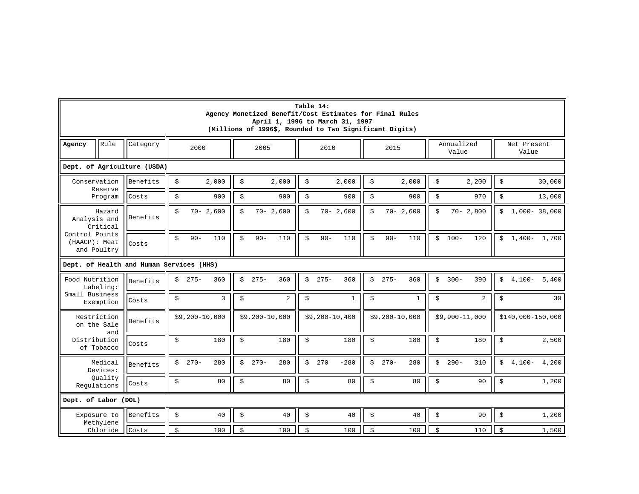|                                                |                     |                             |                                          | Agency Monetized Benefit/Cost Estimates for Final Rules<br>(Millions of 1996\$, Rounded to Two Significant Digits) | Table 14:<br>April 1, 1996 to March 31, 1997 |                      |                      |                                    |
|------------------------------------------------|---------------------|-----------------------------|------------------------------------------|--------------------------------------------------------------------------------------------------------------------|----------------------------------------------|----------------------|----------------------|------------------------------------|
| Agency                                         | Rule                | Category                    | 2000                                     | 2005                                                                                                               | 2010                                         | 2015                 | Annualized<br>Value  | Net Present<br>Value               |
|                                                |                     | Dept. of Agriculture (USDA) |                                          |                                                                                                                    |                                              |                      |                      |                                    |
| Conservation                                   | Reserve             | Benefits                    | \$<br>2,000                              | \$<br>2,000                                                                                                        | \$<br>2,000                                  | \$<br>2,000          | \$<br>2,200          | \$<br>30,000                       |
|                                                | Program             | Costs                       | \$<br>900                                | \$<br>900                                                                                                          | \$<br>900                                    | \$<br>900            | \$<br>970            | \$<br>13,000                       |
| Analysis and                                   | Hazard<br>Critical  | Benefits                    | \$<br>$70 - 2,600$                       | Ś<br>$70 - 2,600$                                                                                                  | $\mathsf S$<br>$70 - 2,600$                  | \$<br>$70 - 2,600$   | Ŝ.<br>$70 - 2,800$   | \$<br>$1,000 - 38,000$             |
| Control Points<br>(HAACP): Meat<br>and Poultry |                     | Costs                       | $90 -$<br>110<br>\$                      | $\dot{\texttt{S}}$<br>110<br>$90 -$                                                                                | Š.<br>$90 -$<br>110                          | Š.<br>$90 -$<br>110  | Ŝ.<br>$100 -$<br>120 | $1,400 - 1,700$<br>\$              |
|                                                |                     |                             | Dept. of Health and Human Services (HHS) |                                                                                                                    |                                              |                      |                      |                                    |
| Food Nutrition                                 | Labeling:           | Benefits                    | 360<br>$275 -$<br>\$                     | \$<br>$275 -$<br>360                                                                                               | \$<br>$275 -$<br>360                         | $275 -$<br>\$<br>360 | \$<br>$300 -$<br>390 | $4,100 - 5,400$<br>\$              |
| Small Business                                 | Exemption           | Costs                       | $\mathbf{3}$<br>\$                       | \$<br>$\overline{2}$                                                                                               | \$<br>$\mathbf{1}$                           | \$<br>$\mathbf{1}$   | \$<br>2              | \$<br>30                           |
| Restriction<br>on the Sale                     | and                 | Benefits                    | \$9,200-10,000                           | \$9,200-10,000                                                                                                     | \$9,200-10,400                               | $$9,200-10,000$      | \$9,900-11,000       | \$140,000-150,000                  |
| Distribution<br>of Tobacco                     |                     | Costs                       | \$<br>180                                | \$<br>180                                                                                                          | \$<br>180                                    | \$<br>180            | \$<br>180            | $\boldsymbol{\mathsf{S}}$<br>2,500 |
|                                                | Medical<br>Devices: | Benefits                    | $270 -$<br>280<br>\$                     | $270 -$<br>280<br>Ŝ.                                                                                               | \$<br>270<br>$-280$                          | \$<br>$270-$<br>280  | \$<br>$290 -$<br>310 | \$<br>$4,100-$<br>4,200            |
| Regulations                                    | Quality             | Costs                       | \$<br>80                                 | \$<br>80                                                                                                           | \$<br>80                                     | \$<br>80             | \$<br>90             | \$<br>1,200                        |
| Dept. of Labor (DOL)                           |                     |                             |                                          |                                                                                                                    |                                              |                      |                      |                                    |
| Exposure to                                    | Methylene           | Benefits                    | \$<br>40                                 | \$<br>40                                                                                                           | \$<br>40                                     | \$<br>40             | \$<br>90             | \$<br>1,200                        |
|                                                | Chloride            | Costs                       | $\mathsf S$<br>100                       | \$<br>100                                                                                                          | Ś<br>100                                     | \$<br>100            | Ś<br>110             | 1,500<br>\$                        |

 $\blacksquare$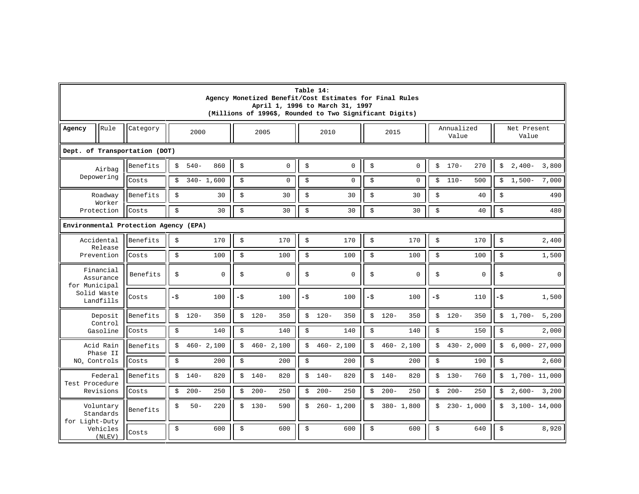|                          | Table 14:<br>Agency Monetized Benefit/Cost Estimates for Final Rules<br>April 1, 1996 to March 31, 1997<br>(Millions of 1996\$, Rounded to Two Significant Digits) |                                       |        |               |               |      |         |               |                      |               |                     |          |         |                     |     |         |                      |        |          |                  |
|--------------------------|--------------------------------------------------------------------------------------------------------------------------------------------------------------------|---------------------------------------|--------|---------------|---------------|------|---------|---------------|----------------------|---------------|---------------------|----------|---------|---------------------|-----|---------|----------------------|--------|----------|------------------|
| Agency                   | Rule                                                                                                                                                               | Category                              |        | 2000          | 2005          | 2010 |         |               |                      |               | 2015                |          |         | Annualized<br>Value |     |         | Net Present<br>Value |        |          |                  |
|                          | Dept. of Transportation (DOT)                                                                                                                                      |                                       |        |               |               |      |         |               |                      |               |                     |          |         |                     |     |         |                      |        |          |                  |
|                          | Airbag                                                                                                                                                             | Benefits                              | \$     | $540-$        | 860           | \$   |         | $\mathbf 0$   | \$                   |               | $\mathbf 0$         | \$       |         | $\Omega$            | \$  | $170-$  | 270                  | \$     | $2,400-$ | 3,800            |
|                          | Depowering                                                                                                                                                         | Costs                                 | \$     |               | $340 - 1,600$ | \$   |         | $\mathbf 0$   | \$                   |               | $\mathbf 0$         | \$       |         | 0                   | \$  | $110-$  | 500                  | \$     | $1,500-$ | 7,000            |
|                          | Roadway<br>Worker                                                                                                                                                  | Benefits                              | \$     |               | 30            | \$   |         | 30            | \$                   |               | 30                  | \$       |         | 30                  | \$  |         | 40                   | \$     |          | 490              |
|                          | Protection                                                                                                                                                         | Costs                                 | \$     |               | 30            | \$   |         | 30            | \$                   |               | 30                  | \$       |         | 30                  | \$  |         | 40                   | \$     |          | 480              |
|                          |                                                                                                                                                                    | Environmental Protection Agency (EPA) |        |               |               |      |         |               |                      |               |                     |          |         |                     |     |         |                      |        |          |                  |
|                          | Accidental<br>\$<br>170<br>\$<br>170<br>\$<br>170<br>\$<br>170<br>\$<br>\$<br>2,400<br>Benefits<br>170<br>Release                                                  |                                       |        |               |               |      |         |               |                      |               |                     |          |         |                     |     |         |                      |        |          |                  |
|                          | Prevention                                                                                                                                                         | Costs                                 | \$     |               | 100           | \$   |         | 100           | $\ddot{\mathcal{L}}$ |               | 100                 | \$       |         | 100                 | \$  |         | 100                  | \$     |          | 1,500            |
| for Municipal            | Financial<br>Assurance                                                                                                                                             | Benefits                              | \$     |               | 0             | \$   |         | $\mathbf 0$   | \$                   |               | $\mathsf{O}\xspace$ | \$       |         | 0                   | \$  |         | $\mathbf 0$          | \$     |          | $\overline{0}$   |
| Solid Waste              | Landfills                                                                                                                                                          | Costs                                 | $-\xi$ |               | 100           | -\$  |         | 100           | -\$                  |               | 100                 | $-\zeta$ |         | 100                 | -\$ |         | 110                  | $-\xi$ |          | 1,500            |
|                          | Deposit<br>Control                                                                                                                                                 | Benefits                              | \$     | $120 -$       | 350           |      | $$120-$ | 350           | \$                   | $120 -$       | 350                 | \$       | $120 -$ | 350                 |     | $$120-$ | 350                  | \$     | $1,700-$ | 5,200            |
|                          | Gasoline                                                                                                                                                           | Costs                                 | \$     |               | 140           | \$   |         | 140           | \$                   |               | 140                 | \$       |         | 140                 | \$  |         | 150                  | \$     |          | 2,000            |
|                          | Acid Rain<br>Phase II                                                                                                                                              | Benefits                              | \$     | $460 - 2,100$ |               | \$   |         | $460 - 2,100$ | \$                   | $460 - 2,100$ |                     | \$       |         | $460 - 2,100$       | \$  |         | $430 - 2,000$        | \$     |          | $6,000 - 27,000$ |
| NO <sub>x</sub> Controls |                                                                                                                                                                    | Costs                                 | \$     |               | 200           | \$   |         | 200           | \$                   |               | 200                 | \$       |         | 200                 | \$  |         | 190                  | \$     |          | 2,600            |
| Test Procedure           | Federal                                                                                                                                                            | Benefits                              | \$     | $140-$        | 820           | \$   | $140 -$ | 820           | \$                   | $140-$        | 820                 | \$       | $140 -$ | 820                 |     | $$130-$ | 760                  | \$     |          | 1,700- 11,000    |
|                          | Revisions                                                                                                                                                          | Costs                                 | \$     | $200 -$       | 250           | \$   | $200 -$ | 250           | \$                   | $200 -$       | 250                 | \$       | $200 -$ | 250                 | \$  | $200 -$ | 250                  | \$     | $2,600-$ | 3,200            |
|                          | Voluntary<br>Standards<br>for Light-Duty                                                                                                                           |                                       | \$     | $50 -$        | 220           | \$   | $130 -$ | 590           | \$                   | $260 - 1,200$ |                     | \$       |         | $380 - 1,800$       | \$  |         | $230 - 1,000$        | \$     |          | $3,100 - 14,000$ |
|                          | Vehicles<br>(NLEV)                                                                                                                                                 | Costs                                 | \$     |               | 600           | \$   |         | 600           | \$                   |               | 600                 | \$       |         | 600                 | Ŝ.  |         | 640                  | \$     |          | 8,920            |

<u> Espainia de la contextual de la contextual de la contextual de la contextual de la contextual de la contextua</u>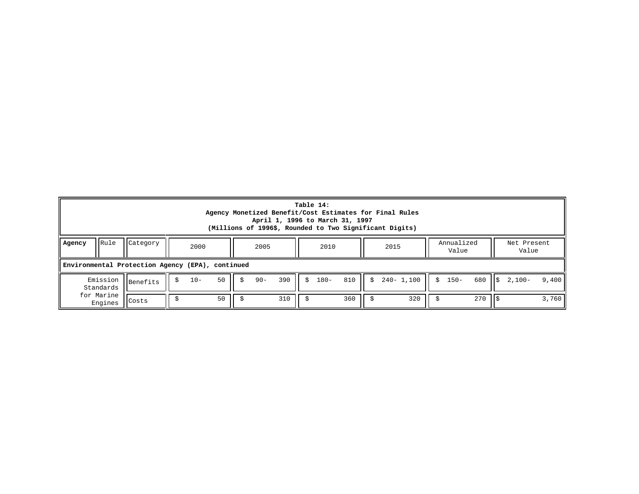|        | Table 14:<br>Agency Monetized Benefit/Cost Estimates for Final Rules<br>April 1, 1996 to March 31, 1997<br>(Millions of 1996\$, Rounded to Two Significant Digits)    |                                                  |  |  |  |  |  |  |  |  |  |  |  |  |  |  |  |  |  |
|--------|-----------------------------------------------------------------------------------------------------------------------------------------------------------------------|--------------------------------------------------|--|--|--|--|--|--|--|--|--|--|--|--|--|--|--|--|--|
| Agency | Rule<br>Category<br>Annualized<br>Net Present<br>2000<br>2005<br>2010<br>2015<br>Value<br>Value                                                                       |                                                  |  |  |  |  |  |  |  |  |  |  |  |  |  |  |  |  |  |
|        |                                                                                                                                                                       | Environmental Protection Agency (EPA), continued |  |  |  |  |  |  |  |  |  |  |  |  |  |  |  |  |  |
|        | 390<br>810<br>50<br>680<br>$10 -$<br>$240 - 1,100$<br>Emission<br>$90 -$<br>$180 -$<br>$$150-$<br>Ŝ.<br>$2.100 -$<br>9,400<br>Š.<br>S<br>IS.<br>Benefits<br>Standards |                                                  |  |  |  |  |  |  |  |  |  |  |  |  |  |  |  |  |  |
|        | for Marine<br>360<br>270<br>50<br>310<br>320<br>3,760<br>Costs<br>Engines                                                                                             |                                                  |  |  |  |  |  |  |  |  |  |  |  |  |  |  |  |  |  |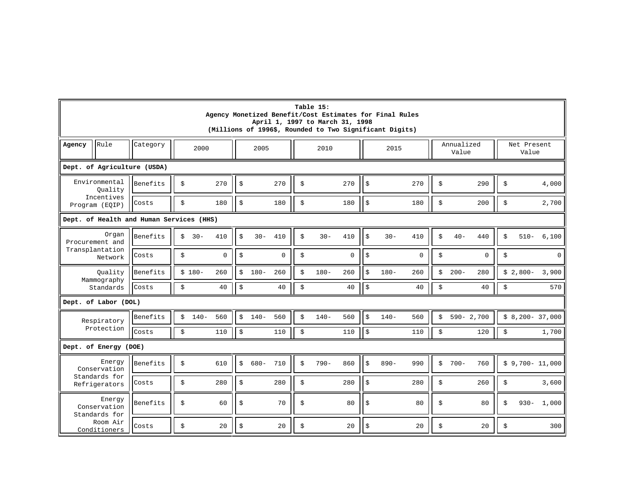|                                                                         | Table 15:<br>Agency Monetized Benefit/Cost Estimates for Final Rules<br>April 1, 1997 to March 31, 1998<br>(Millions of 1996\$, Rounded to Two Significant Digits)    |                                          |              |             |    |         |          |    |         |                           |                           |         |             |               |               |               |                 |
|-------------------------------------------------------------------------|-----------------------------------------------------------------------------------------------------------------------------------------------------------------------|------------------------------------------|--------------|-------------|----|---------|----------|----|---------|---------------------------|---------------------------|---------|-------------|---------------|---------------|---------------|-----------------|
| Agency                                                                  | Rule<br>Annualized<br>Net Present<br>Category<br>2000<br>2005<br>2010<br>2015<br>Value<br>Value                                                                       |                                          |              |             |    |         |          |    |         |                           |                           |         |             |               |               |               |                 |
|                                                                         | Dept. of Agriculture (USDA)                                                                                                                                           |                                          |              |             |    |         |          |    |         |                           |                           |         |             |               |               |               |                 |
|                                                                         | Environmental<br>Ouality                                                                                                                                              | \$                                       | 270          | \$          |    | 270     | Ŝ.       |    | 270     | $\boldsymbol{\mathsf{S}}$ |                           | 270     | \$          | 290           | \$            | 4,000         |                 |
|                                                                         | Incentives<br>Program (EQIP)                                                                                                                                          | Costs                                    | \$           | 180         | \$ |         | 180      | \$ |         | 180                       | \$                        |         | 180         | \$            | 200           | \$            | 2,700           |
|                                                                         |                                                                                                                                                                       | Dept. of Health and Human Services (HHS) |              |             |    |         |          |    |         |                           |                           |         |             |               |               |               |                 |
|                                                                         | Organ<br>Benefits<br>$30 -$<br>$30 -$<br>410<br>Ś<br>410<br>Ś<br>$30 -$<br>410<br>$30 -$<br>410<br>Ŝ<br>440<br>$510 -$<br>\$<br>Ŝ.<br>$40 -$<br>\$<br>Procurement and |                                          |              |             |    |         |          |    |         |                           |                           |         | 6,100       |               |               |               |                 |
|                                                                         | Transplantation<br>Network                                                                                                                                            | Costs                                    | \$           | $\mathbf 0$ | \$ |         | $\Omega$ | \$ |         | 0                         | \$                        |         | $\mathbf 0$ | \$            | 0             | \$            | $\mathbf{0}$    |
|                                                                         | Quality<br>Mammography                                                                                                                                                | Benefits                                 | $$180-$      | 260         | \$ | $180 -$ | 260      | Ŝ. | $180 -$ | 260                       | \$                        | $180 -$ | 260         | \$<br>$200 -$ | 280           | $$2,800-$     | 3,900           |
|                                                                         | Standards                                                                                                                                                             | Costs                                    | \$           | 40          | \$ |         | 40       | \$ |         | 40                        | $\vert \sin$              |         | 40          | \$            | 40            | \$            | 570             |
|                                                                         | Dept. of Labor (DOL)                                                                                                                                                  |                                          |              |             |    |         |          |    |         |                           |                           |         |             |               |               |               |                 |
|                                                                         | Respiratory                                                                                                                                                           | Benefits                                 | $140-$<br>\$ | 560         |    | $$140-$ | 560      | \$ | $140-$  | 560                       | \$                        | $140 -$ | 560         | \$            | $590 - 2,700$ |               | $$8,200-37,000$ |
|                                                                         | Protection                                                                                                                                                            | Costs                                    | \$           | 110         | \$ |         | 110      | \$ |         | 110                       | $\ddot{s}$                |         | 110         | \$            | 120           | \$            | 1,700           |
|                                                                         | Dept. of Energy (DOE)                                                                                                                                                 |                                          |              |             |    |         |          |    |         |                           |                           |         |             |               |               |               |                 |
| Energy<br>\$<br>$680 -$<br>710<br>Benefits<br>\$<br>610<br>Conservation |                                                                                                                                                                       |                                          |              |             |    |         |          | \$ | $790 -$ | 860                       | $\boldsymbol{\mathsf{S}}$ | $890 -$ | 990         | \$<br>$700 -$ | 760           |               | $$9,700-11,000$ |
|                                                                         | Standards for<br>Refrigerators                                                                                                                                        | Costs                                    | \$           | 280         | Ś  |         | 280      | \$ |         | 280                       | \$                        |         | 280         | \$            | 260           | \$            | 3,600           |
| Energy<br>Conservation<br>Standards for                                 |                                                                                                                                                                       | Benefits                                 | \$           | 60          | \$ |         | 70       | \$ |         | 80                        | \$                        |         | 80          | \$            | 80            | \$<br>$930 -$ | 1,000           |
|                                                                         | Room Air<br>Conditioners                                                                                                                                              |                                          | \$           | 20          | \$ |         | 20       | \$ |         | 20                        | \$                        |         | 20          | \$            | 20            | \$            | 300             |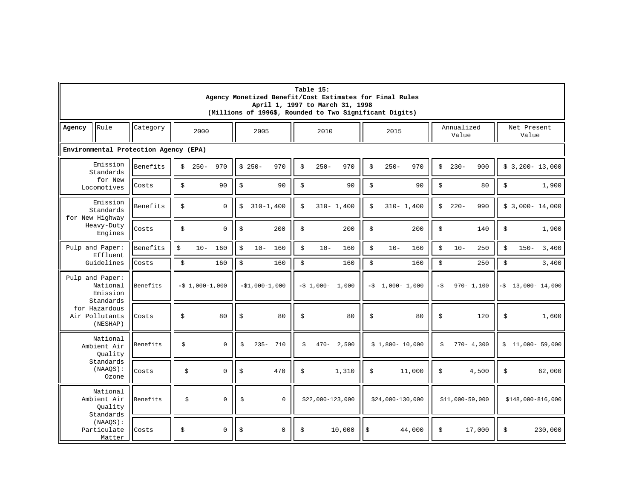|        | Table 15:<br>Agency Monetized Benefit/Cost Estimates for Final Rules<br>April 1, 1997 to March 31, 1998<br>(Millions of 1996\$, Rounded to Two Significant Digits) |                                       |                  |             |              |                 |    |         |                   |                    |                   |               |              |                     |               |                      |                      |
|--------|--------------------------------------------------------------------------------------------------------------------------------------------------------------------|---------------------------------------|------------------|-------------|--------------|-----------------|----|---------|-------------------|--------------------|-------------------|---------------|--------------|---------------------|---------------|----------------------|----------------------|
| Agency | Rule                                                                                                                                                               | Category                              | 2000             |             |              | 2005            |    | 2010    |                   |                    | 2015              |               |              | Annualized<br>Value |               | Net Present<br>Value |                      |
|        |                                                                                                                                                                    | Environmental Protection Agency (EPA) |                  |             |              |                 |    |         |                   |                    |                   |               |              |                     |               |                      |                      |
|        | Emission<br>Standards                                                                                                                                              | Benefits                              | $250 -$<br>\$    | 970         | $$250-$      | 970             | Ŝ. | $250 -$ | 970               | $\dot{\mathbb{S}}$ | $250 -$           | 970           | \$           | $230 -$             | 900           |                      | $$3,200-13,000$      |
|        | for New<br>Locomotives                                                                                                                                             | Costs                                 | \$               | 90          | \$           | 90              | \$ |         | 90                | \$                 |                   | 90            | \$           |                     | 80            | \$                   | 1,900                |
|        | Emission<br>Standards<br>for New Highway                                                                                                                           | Benefits                              | \$               | $\Omega$    | \$           | $310 - 1,400$   | \$ |         | $310 - 1,400$     | \$                 |                   | $310 - 1,400$ | \$           | $220 -$             | 990           |                      | $$3,000-14,000$      |
|        | Heavy-Duty<br>Engines                                                                                                                                              | Costs                                 | \$               | $\mathsf 0$ | \$           | 200             | \$ |         | 200               | \$                 |                   | 200           | \$           |                     | 140           | \$                   | 1,900                |
|        | Pulp and Paper:<br>Effluent                                                                                                                                        | Benefits                              | \$               | $10 - 160$  | \$<br>$10 -$ | 160             | \$ | $10 -$  | 160               | \$                 | $10 -$            | 160           | \$           | $10 -$              | 250           | \$<br>$150 -$        | 3,400                |
|        | Guidelines                                                                                                                                                         | Costs                                 | \$               | 160         | \$           | 160             | \$ |         | 160               | \$                 |                   | 160           | \$           |                     | 250           | \$                   | 3,400                |
|        | Pulp and Paper:<br>National<br>Emission<br>Standards                                                                                                               | Benefits                              | $-5$ 1,000-1,000 |             |              | $-51,000-1,000$ |    |         | $-5$ 1,000- 1,000 |                    | $-5$ 1,000- 1,000 |               | $-\text{\$}$ |                     | $970 - 1,100$ |                      | $-5$ 13,000 - 14,000 |
|        | for Hazardous<br>Air Pollutants<br>(NESHAP)                                                                                                                        | Costs                                 | \$               | 80          | \$           | 80              | \$ |         | 80                | \$                 |                   | 80            | \$           |                     | 120           | \$                   | 1,600                |
|        | National<br>Ambient Air<br>Quality                                                                                                                                 | Benefits                              | \$               | $\Omega$    | \$           | $235 -$<br>710  | \$ |         | $470 - 2,500$     |                    | $$1,800-10,000$   |               | \$           |                     | $770 - 4,300$ | \$                   | 11,000- 59,000       |
|        | Standards<br>$(NAAOS)$ :<br>Ozone                                                                                                                                  | Costs                                 | \$               | $\mathbf 0$ | \$           | 470             | \$ |         | 1,310             | \$                 |                   | 11,000        | \$           |                     | 4,500         | \$                   | 62,000               |
|        | National<br>Ambient Air<br>Ouality<br>Standards                                                                                                                    | Benefits                              | \$               | $\mathsf 0$ | \$           | $\mathsf 0$     |    |         | $$22,000-123,000$ |                    | $$24,000-130,000$ |               |              | $$11,000-59,000$    |               |                      | $$148,000-816,000$   |
|        | (NAAQS):<br>Particulate<br>Matter                                                                                                                                  | Costs                                 | \$               | $\mathsf 0$ | \$           | $\mathsf 0$     | \$ |         | 10,000            | \$                 |                   | 44,000        | \$           |                     | 17,000        | \$                   | 230,000              |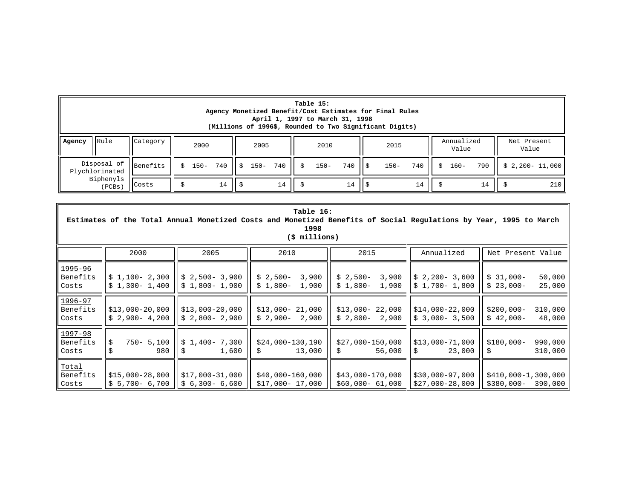|        | Table 15:<br>Agency Monetized Benefit/Cost Estimates for Final Rules<br>April 1, 1997 to March 31, 1998<br>(Millions of 1996\$, Rounded to Two Significant Digits) |                      |    |         |     |      |             |    |    |         |           |  |         |     |    |         |     |                              |     |
|--------|--------------------------------------------------------------------------------------------------------------------------------------------------------------------|----------------------|----|---------|-----|------|-------------|----|----|---------|-----------|--|---------|-----|----|---------|-----|------------------------------|-----|
| Agency | Category<br>Net Present<br><b>IRule</b><br>Annualized<br>2000<br>2005<br>2010<br>2015<br>Value<br>Value                                                            |                      |    |         |     |      |             |    |    |         |           |  |         |     |    |         |     |                              |     |
|        | Plychlorinated                                                                                                                                                     | Disposal of Benefits | Ŝ. | $150 -$ | 740 | II S | $150 - 740$ |    | S. | $150 -$ | 740 II \$ |  | $150 -$ | 740 | Ŝ. | $160 -$ | 790 | $\parallel$ \$ 2,200- 11,000 |     |
|        | Biphenyls<br>(PCBs)                                                                                                                                                | Costs                |    |         | 14  |      |             | 14 |    |         | 14        |  |         |     |    |         | 14  |                              | 210 |

 $\blacksquare$ 

|                                  |                                    |                                                    | Table 16:<br>1998<br>(\$ millions)       |                                          |                                      | Estimates of the Total Annual Monetized Costs and Monetized Benefits of Social Regulations by Year, 1995 to March |
|----------------------------------|------------------------------------|----------------------------------------------------|------------------------------------------|------------------------------------------|--------------------------------------|-------------------------------------------------------------------------------------------------------------------|
|                                  | 2000                               | 2005                                               | 2010                                     | 2015                                     | Annualized                           | Net Present Value                                                                                                 |
| 1995-96<br>Benefits<br>Costs     | $$1,100-2,300$<br>$$1,300-1,400$   | $$2,500-3,900$<br>$$1,800-1,900$                   | 3,900<br>$$2,500-$<br>$$1,800-$<br>1,900 | $$2,500-$<br>3,900<br>$$1,800-$<br>1,900 | $$2,200-3,600$<br>$$1,700-1,800$     | $$31,000-$<br>50,000<br>25,000<br>$$23,000-$                                                                      |
| $1996 - 97$<br>Benefits<br>Costs | $$13,000-20,000$<br>$$2,900-4,200$ | $$13,000-20,000$<br>$\frac{1}{2}$ \$ 2,800 - 2,900 | $$13,000-21,000$<br>$$2,900-$<br>2,900   | $$13,000-22,000$<br>$$2,800-2,900$       | \$14,000-22,000<br>$$3,000 - 3,500$  | $$200,000-$<br>310,000<br>48,000<br>$$42,000-$                                                                    |
| 1997-98<br>Benefits<br>Costs     | $750 - 5,100$<br>980               | $$1,400-7,300$<br>1,600                            | $$24,000-130,190$<br>13,000              | $$27,000-150,000$<br>56,000              | $$13,000-71,000$<br>23,000<br>\$     | 990,000<br>$$180,000-$<br>310,000                                                                                 |
| Total<br>Benefits<br>Costs       | \$15,000-28,000<br>\$5,700-6,700   | $$17,000-31,000$<br>$$6,300-6,600$                 | $$40,000-160,000$<br>$$17,000-17,000$    | $$43,000-170,000$<br>$$60,000-61,000$    | $$30,000-97,000$<br>$$27,000-28,000$ | $$410,000-1,300,000$<br>\$380,000-<br>390,000                                                                     |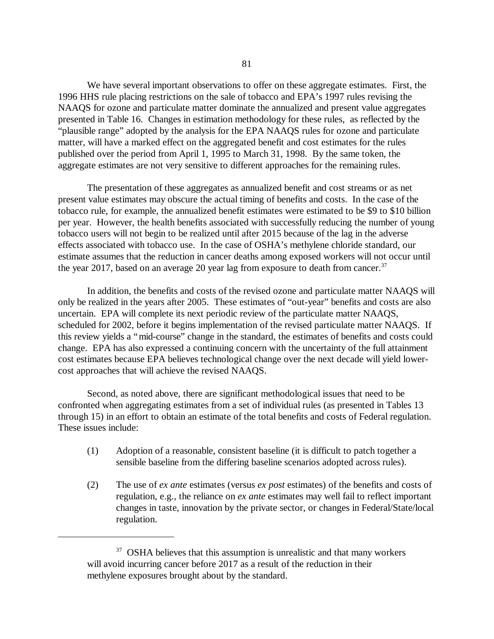We have several important observations to offer on these aggregate estimates. First, the 1996 HHS rule placing restrictions on the sale of tobacco and EPA's 1997 rules revising the NAAQS for ozone and particulate matter dominate the annualized and present value aggregates presented in Table 16. Changes in estimation methodology for these rules, as reflected by the "plausible range" adopted by the analysis for the EPA NAAQS rules for ozone and particulate matter, will have a marked effect on the aggregated benefit and cost estimates for the rules published over the period from April 1, 1995 to March 31, 1998. By the same token, the aggregate estimates are not very sensitive to different approaches for the remaining rules.

The presentation of these aggregates as annualized benefit and cost streams or as net present value estimates may obscure the actual timing of benefits and costs. In the case of the tobacco rule, for example, the annualized benefit estimates were estimated to be \$9 to \$10 billion per year. However, the health benefits associated with successfully reducing the number of young tobacco users will not begin to be realized until after 2015 because of the lag in the adverse effects associated with tobacco use. In the case of OSHA's methylene chloride standard, our estimate assumes that the reduction in cancer deaths among exposed workers will not occur until the year 2017, based on an average 20 year lag from exposure to death from cancer.<sup>37</sup>

In addition, the benefits and costs of the revised ozone and particulate matter NAAQS will only be realized in the years after 2005. These estimates of "out-year" benefits and costs are also uncertain. EPA will complete its next periodic review of the particulate matter NAAQS, scheduled for 2002, before it begins implementation of the revised particulate matter NAAQS. If this review yields a "mid-course" change in the standard, the estimates of benefits and costs could change. EPA has also expressed a continuing concern with the uncertainty of the full attainment cost estimates because EPA believes technological change over the next decade will yield lowercost approaches that will achieve the revised NAAQS.

Second, as noted above, there are significant methodological issues that need to be confronted when aggregating estimates from a set of individual rules (as presented in Tables 13 through 15) in an effort to obtain an estimate of the total benefits and costs of Federal regulation. These issues include:

- (1) Adoption of a reasonable, consistent baseline (it is difficult to patch together a sensible baseline from the differing baseline scenarios adopted across rules).
- (2) The use of *ex ante* estimates (versus *ex post* estimates) of the benefits and costs of regulation, e.g., the reliance on *ex ante* estimates may well fail to reflect important changes in taste, innovation by the private sector, or changes in Federal/State/local regulation.

 $37$  OSHA believes that this assumption is unrealistic and that many workers will avoid incurring cancer before 2017 as a result of the reduction in their methylene exposures brought about by the standard.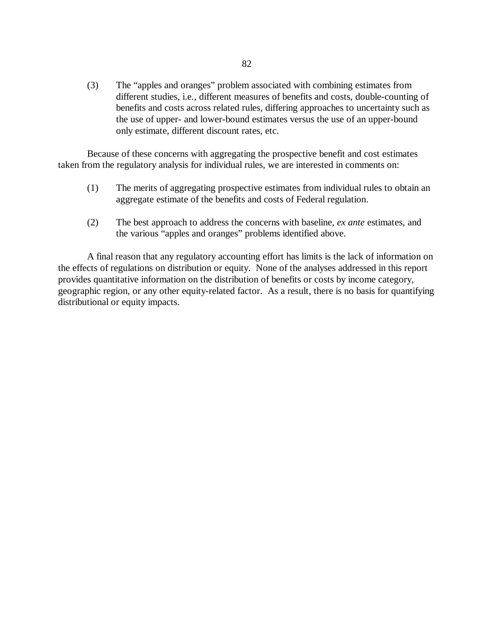(3) The "apples and oranges" problem associated with combining estimates from different studies, i.e., different measures of benefits and costs, double-counting of benefits and costs across related rules, differing approaches to uncertainty such as the use of upper- and lower-bound estimates versus the use of an upper-bound only estimate, different discount rates, etc.

Because of these concerns with aggregating the prospective benefit and cost estimates taken from the regulatory analysis for individual rules, we are interested in comments on:

- (1) The merits of aggregating prospective estimates from individual rules to obtain an aggregate estimate of the benefits and costs of Federal regulation.
- (2) The best approach to address the concerns with baseline, *ex ante* estimates, and the various "apples and oranges" problems identified above.

A final reason that any regulatory accounting effort has limits is the lack of information on the effects of regulations on distribution or equity. None of the analyses addressed in this report provides quantitative information on the distribution of benefits or costs by income category, geographic region, or any other equity-related factor. As a result, there is no basis for quantifying distributional or equity impacts.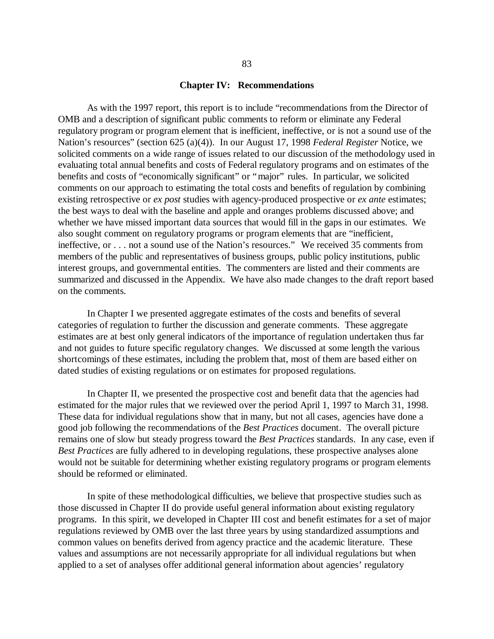#### **Chapter IV: Recommendations**

As with the 1997 report, this report is to include "recommendations from the Director of OMB and a description of significant public comments to reform or eliminate any Federal regulatory program or program element that is inefficient, ineffective, or is not a sound use of the Nation's resources" (section 625 (a)(4)). In our August 17, 1998 *Federal Register* Notice, we solicited comments on a wide range of issues related to our discussion of the methodology used in evaluating total annual benefits and costs of Federal regulatory programs and on estimates of the benefits and costs of "economically significant" or "major" rules. In particular, we solicited comments on our approach to estimating the total costs and benefits of regulation by combining existing retrospective or *ex post* studies with agency-produced prospective or *ex ante* estimates; the best ways to deal with the baseline and apple and oranges problems discussed above; and whether we have missed important data sources that would fill in the gaps in our estimates. We also sought comment on regulatory programs or program elements that are "inefficient, ineffective, or . . . not a sound use of the Nation's resources." We received 35 comments from members of the public and representatives of business groups, public policy institutions, public interest groups, and governmental entities. The commenters are listed and their comments are summarized and discussed in the Appendix. We have also made changes to the draft report based on the comments.

In Chapter I we presented aggregate estimates of the costs and benefits of several categories of regulation to further the discussion and generate comments. These aggregate estimates are at best only general indicators of the importance of regulation undertaken thus far and not guides to future specific regulatory changes. We discussed at some length the various shortcomings of these estimates, including the problem that, most of them are based either on dated studies of existing regulations or on estimates for proposed regulations.

In Chapter II, we presented the prospective cost and benefit data that the agencies had estimated for the major rules that we reviewed over the period April 1, 1997 to March 31, 1998. These data for individual regulations show that in many, but not all cases, agencies have done a good job following the recommendations of the *Best Practices* document. The overall picture remains one of slow but steady progress toward the *Best Practices* standards. In any case, even if *Best Practices* are fully adhered to in developing regulations, these prospective analyses alone would not be suitable for determining whether existing regulatory programs or program elements should be reformed or eliminated.

In spite of these methodological difficulties, we believe that prospective studies such as those discussed in Chapter II do provide useful general information about existing regulatory programs. In this spirit, we developed in Chapter III cost and benefit estimates for a set of major regulations reviewed by OMB over the last three years by using standardized assumptions and common values on benefits derived from agency practice and the academic literature. These values and assumptions are not necessarily appropriate for all individual regulations but when applied to a set of analyses offer additional general information about agencies' regulatory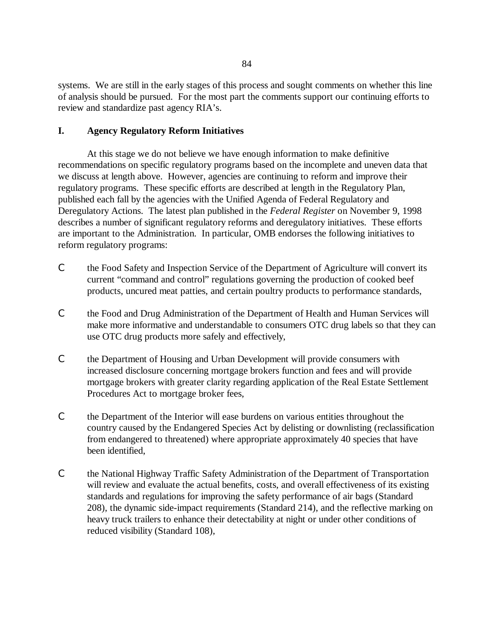systems. We are still in the early stages of this process and sought comments on whether this line of analysis should be pursued. For the most part the comments support our continuing efforts to review and standardize past agency RIA's.

# **I. Agency Regulatory Reform Initiatives**

At this stage we do not believe we have enough information to make definitive recommendations on specific regulatory programs based on the incomplete and uneven data that we discuss at length above. However, agencies are continuing to reform and improve their regulatory programs. These specific efforts are described at length in the Regulatory Plan, published each fall by the agencies with the Unified Agenda of Federal Regulatory and Deregulatory Actions. The latest plan published in the *Federal Register* on November 9, 1998 describes a number of significant regulatory reforms and deregulatory initiatives. These efforts are important to the Administration. In particular, OMB endorses the following initiatives to reform regulatory programs:

- C the Food Safety and Inspection Service of the Department of Agriculture will convert its current "command and control" regulations governing the production of cooked beef products, uncured meat patties, and certain poultry products to performance standards,
- C the Food and Drug Administration of the Department of Health and Human Services will make more informative and understandable to consumers OTC drug labels so that they can use OTC drug products more safely and effectively,
- C the Department of Housing and Urban Development will provide consumers with increased disclosure concerning mortgage brokers function and fees and will provide mortgage brokers with greater clarity regarding application of the Real Estate Settlement Procedures Act to mortgage broker fees,
- C the Department of the Interior will ease burdens on various entities throughout the country caused by the Endangered Species Act by delisting or downlisting (reclassification from endangered to threatened) where appropriate approximately 40 species that have been identified,
- C the National Highway Traffic Safety Administration of the Department of Transportation will review and evaluate the actual benefits, costs, and overall effectiveness of its existing standards and regulations for improving the safety performance of air bags (Standard 208), the dynamic side-impact requirements (Standard 214), and the reflective marking on heavy truck trailers to enhance their detectability at night or under other conditions of reduced visibility (Standard 108),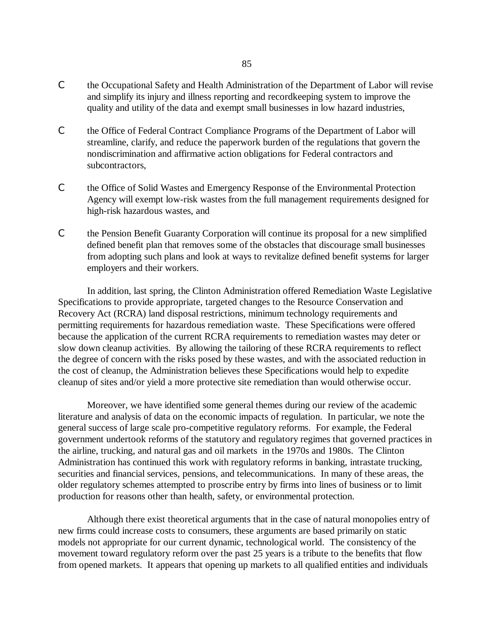- C the Occupational Safety and Health Administration of the Department of Labor will revise and simplify its injury and illness reporting and recordkeeping system to improve the quality and utility of the data and exempt small businesses in low hazard industries,
- C the Office of Federal Contract Compliance Programs of the Department of Labor will streamline, clarify, and reduce the paperwork burden of the regulations that govern the nondiscrimination and affirmative action obligations for Federal contractors and subcontractors,
- C the Office of Solid Wastes and Emergency Response of the Environmental Protection Agency will exempt low-risk wastes from the full management requirements designed for high-risk hazardous wastes, and
- C the Pension Benefit Guaranty Corporation will continue its proposal for a new simplified defined benefit plan that removes some of the obstacles that discourage small businesses from adopting such plans and look at ways to revitalize defined benefit systems for larger employers and their workers.

In addition, last spring, the Clinton Administration offered Remediation Waste Legislative Specifications to provide appropriate, targeted changes to the Resource Conservation and Recovery Act (RCRA) land disposal restrictions, minimum technology requirements and permitting requirements for hazardous remediation waste. These Specifications were offered because the application of the current RCRA requirements to remediation wastes may deter or slow down cleanup activities. By allowing the tailoring of these RCRA requirements to reflect the degree of concern with the risks posed by these wastes, and with the associated reduction in the cost of cleanup, the Administration believes these Specifications would help to expedite cleanup of sites and/or yield a more protective site remediation than would otherwise occur.

Moreover, we have identified some general themes during our review of the academic literature and analysis of data on the economic impacts of regulation. In particular, we note the general success of large scale pro-competitive regulatory reforms. For example, the Federal government undertook reforms of the statutory and regulatory regimes that governed practices in the airline, trucking, and natural gas and oil markets in the 1970s and 1980s. The Clinton Administration has continued this work with regulatory reforms in banking, intrastate trucking, securities and financial services, pensions, and telecommunications. In many of these areas, the older regulatory schemes attempted to proscribe entry by firms into lines of business or to limit production for reasons other than health, safety, or environmental protection.

Although there exist theoretical arguments that in the case of natural monopolies entry of new firms could increase costs to consumers, these arguments are based primarily on static models not appropriate for our current dynamic, technological world. The consistency of the movement toward regulatory reform over the past 25 years is a tribute to the benefits that flow from opened markets. It appears that opening up markets to all qualified entities and individuals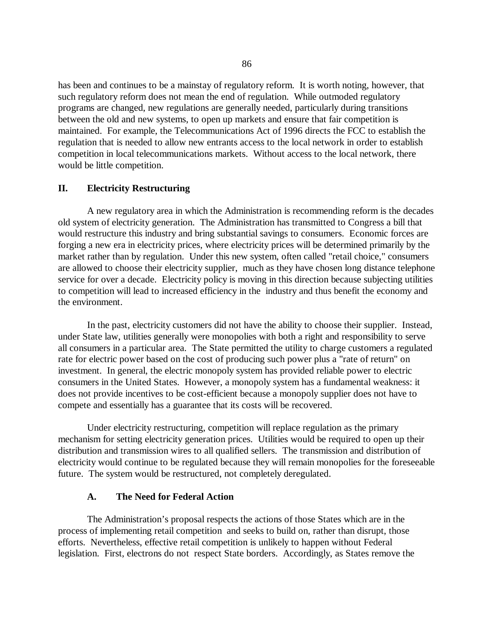has been and continues to be a mainstay of regulatory reform. It is worth noting, however, that such regulatory reform does not mean the end of regulation. While outmoded regulatory programs are changed, new regulations are generally needed, particularly during transitions between the old and new systems, to open up markets and ensure that fair competition is maintained. For example, the Telecommunications Act of 1996 directs the FCC to establish the regulation that is needed to allow new entrants access to the local network in order to establish competition in local telecommunications markets. Without access to the local network, there would be little competition.

## **II. Electricity Restructuring**

A new regulatory area in which the Administration is recommending reform is the decades old system of electricity generation. The Administration has transmitted to Congress a bill that would restructure this industry and bring substantial savings to consumers. Economic forces are forging a new era in electricity prices, where electricity prices will be determined primarily by the market rather than by regulation. Under this new system, often called "retail choice," consumers are allowed to choose their electricity supplier, much as they have chosen long distance telephone service for over a decade. Electricity policy is moving in this direction because subjecting utilities to competition will lead to increased efficiency in the industry and thus benefit the economy and the environment.

In the past, electricity customers did not have the ability to choose their supplier. Instead, under State law, utilities generally were monopolies with both a right and responsibility to serve all consumers in a particular area. The State permitted the utility to charge customers a regulated rate for electric power based on the cost of producing such power plus a "rate of return" on investment. In general, the electric monopoly system has provided reliable power to electric consumers in the United States. However, a monopoly system has a fundamental weakness: it does not provide incentives to be cost-efficient because a monopoly supplier does not have to compete and essentially has a guarantee that its costs will be recovered.

Under electricity restructuring, competition will replace regulation as the primary mechanism for setting electricity generation prices. Utilities would be required to open up their distribution and transmission wires to all qualified sellers. The transmission and distribution of electricity would continue to be regulated because they will remain monopolies for the foreseeable future. The system would be restructured, not completely deregulated.

## **A. The Need for Federal Action**

The Administration's proposal respects the actions of those States which are in the process of implementing retail competition and seeks to build on, rather than disrupt, those efforts. Nevertheless, effective retail competition is unlikely to happen without Federal legislation. First, electrons do not respect State borders. Accordingly, as States remove the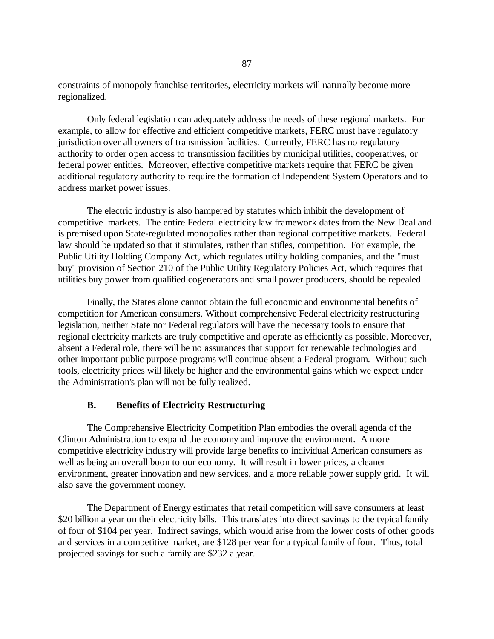constraints of monopoly franchise territories, electricity markets will naturally become more regionalized.

Only federal legislation can adequately address the needs of these regional markets. For example, to allow for effective and efficient competitive markets, FERC must have regulatory jurisdiction over all owners of transmission facilities. Currently, FERC has no regulatory authority to order open access to transmission facilities by municipal utilities, cooperatives, or federal power entities. Moreover, effective competitive markets require that FERC be given additional regulatory authority to require the formation of Independent System Operators and to address market power issues.

The electric industry is also hampered by statutes which inhibit the development of competitive markets. The entire Federal electricity law framework dates from the New Deal and is premised upon State-regulated monopolies rather than regional competitive markets. Federal law should be updated so that it stimulates, rather than stifles, competition. For example, the Public Utility Holding Company Act, which regulates utility holding companies, and the "must buy" provision of Section 210 of the Public Utility Regulatory Policies Act, which requires that utilities buy power from qualified cogenerators and small power producers, should be repealed.

Finally, the States alone cannot obtain the full economic and environmental benefits of competition for American consumers. Without comprehensive Federal electricity restructuring legislation, neither State nor Federal regulators will have the necessary tools to ensure that regional electricity markets are truly competitive and operate as efficiently as possible. Moreover, absent a Federal role, there will be no assurances that support for renewable technologies and other important public purpose programs will continue absent a Federal program. Without such tools, electricity prices will likely be higher and the environmental gains which we expect under the Administration's plan will not be fully realized.

## **B. Benefits of Electricity Restructuring**

The Comprehensive Electricity Competition Plan embodies the overall agenda of the Clinton Administration to expand the economy and improve the environment. A more competitive electricity industry will provide large benefits to individual American consumers as well as being an overall boon to our economy. It will result in lower prices, a cleaner environment, greater innovation and new services, and a more reliable power supply grid. It will also save the government money.

The Department of Energy estimates that retail competition will save consumers at least \$20 billion a year on their electricity bills. This translates into direct savings to the typical family of four of \$104 per year. Indirect savings, which would arise from the lower costs of other goods and services in a competitive market, are \$128 per year for a typical family of four. Thus, total projected savings for such a family are \$232 a year.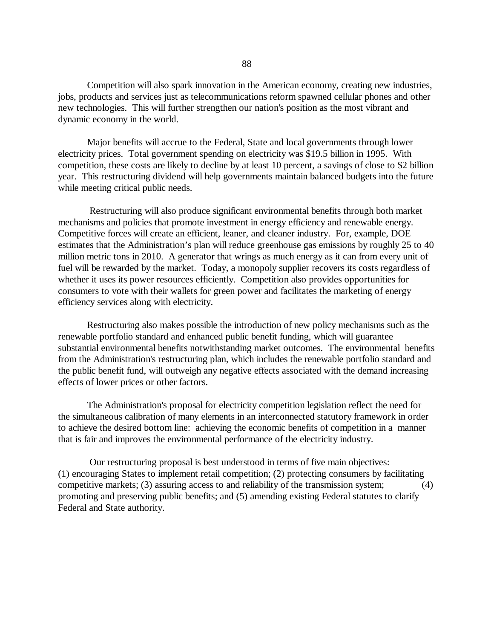Competition will also spark innovation in the American economy, creating new industries, jobs, products and services just as telecommunications reform spawned cellular phones and other new technologies. This will further strengthen our nation's position as the most vibrant and dynamic economy in the world.

Major benefits will accrue to the Federal, State and local governments through lower electricity prices. Total government spending on electricity was \$19.5 billion in 1995. With competition, these costs are likely to decline by at least 10 percent, a savings of close to \$2 billion year. This restructuring dividend will help governments maintain balanced budgets into the future while meeting critical public needs.

Restructuring will also produce significant environmental benefits through both market mechanisms and policies that promote investment in energy efficiency and renewable energy. Competitive forces will create an efficient, leaner, and cleaner industry. For, example, DOE estimates that the Administration's plan will reduce greenhouse gas emissions by roughly 25 to 40 million metric tons in 2010. A generator that wrings as much energy as it can from every unit of fuel will be rewarded by the market. Today, a monopoly supplier recovers its costs regardless of whether it uses its power resources efficiently. Competition also provides opportunities for consumers to vote with their wallets for green power and facilitates the marketing of energy efficiency services along with electricity.

Restructuring also makes possible the introduction of new policy mechanisms such as the renewable portfolio standard and enhanced public benefit funding, which will guarantee substantial environmental benefits notwithstanding market outcomes. The environmental benefits from the Administration's restructuring plan, which includes the renewable portfolio standard and the public benefit fund, will outweigh any negative effects associated with the demand increasing effects of lower prices or other factors.

The Administration's proposal for electricity competition legislation reflect the need for the simultaneous calibration of many elements in an interconnected statutory framework in order to achieve the desired bottom line: achieving the economic benefits of competition in a manner that is fair and improves the environmental performance of the electricity industry.

Our restructuring proposal is best understood in terms of five main objectives: (1) encouraging States to implement retail competition; (2) protecting consumers by facilitating competitive markets; (3) assuring access to and reliability of the transmission system; (4) promoting and preserving public benefits; and (5) amending existing Federal statutes to clarify Federal and State authority.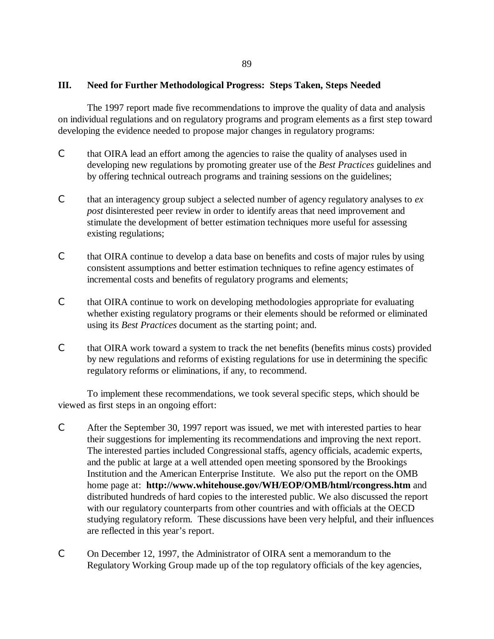# **III. Need for Further Methodological Progress: Steps Taken, Steps Needed**

The 1997 report made five recommendations to improve the quality of data and analysis on individual regulations and on regulatory programs and program elements as a first step toward developing the evidence needed to propose major changes in regulatory programs:

- C that OIRA lead an effort among the agencies to raise the quality of analyses used in developing new regulations by promoting greater use of the *Best Practices* guidelines and by offering technical outreach programs and training sessions on the guidelines;
- C that an interagency group subject a selected number of agency regulatory analyses to *ex post* disinterested peer review in order to identify areas that need improvement and stimulate the development of better estimation techniques more useful for assessing existing regulations;
- C that OIRA continue to develop a data base on benefits and costs of major rules by using consistent assumptions and better estimation techniques to refine agency estimates of incremental costs and benefits of regulatory programs and elements;
- C that OIRA continue to work on developing methodologies appropriate for evaluating whether existing regulatory programs or their elements should be reformed or eliminated using its *Best Practices* document as the starting point; and.
- C that OIRA work toward a system to track the net benefits (benefits minus costs) provided by new regulations and reforms of existing regulations for use in determining the specific regulatory reforms or eliminations, if any, to recommend.

To implement these recommendations, we took several specific steps, which should be viewed as first steps in an ongoing effort:

- C After the September 30, 1997 report was issued, we met with interested parties to hear their suggestions for implementing its recommendations and improving the next report. The interested parties included Congressional staffs, agency officials, academic experts, and the public at large at a well attended open meeting sponsored by the Brookings Institution and the American Enterprise Institute. We also put the report on the OMB home page at: **http://www.whitehouse.gov/WH/EOP/OMB/html/rcongress.htm** and distributed hundreds of hard copies to the interested public. We also discussed the report with our regulatory counterparts from other countries and with officials at the OECD studying regulatory reform. These discussions have been very helpful, and their influences are reflected in this year's report.
- C On December 12, 1997, the Administrator of OIRA sent a memorandum to the Regulatory Working Group made up of the top regulatory officials of the key agencies,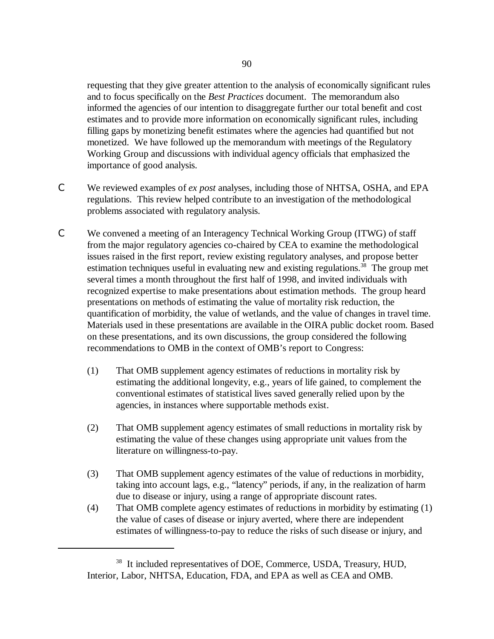requesting that they give greater attention to the analysis of economically significant rules and to focus specifically on the *Best Practices* document. The memorandum also informed the agencies of our intention to disaggregate further our total benefit and cost estimates and to provide more information on economically significant rules, including filling gaps by monetizing benefit estimates where the agencies had quantified but not monetized. We have followed up the memorandum with meetings of the Regulatory Working Group and discussions with individual agency officials that emphasized the importance of good analysis.

- C We reviewed examples of *ex post* analyses, including those of NHTSA, OSHA, and EPA regulations. This review helped contribute to an investigation of the methodological problems associated with regulatory analysis.
- C We convened a meeting of an Interagency Technical Working Group (ITWG) of staff from the major regulatory agencies co-chaired by CEA to examine the methodological issues raised in the first report*,* review existing regulatory analyses, and propose better estimation techniques useful in evaluating new and existing regulations.<sup>38</sup> The group met several times a month throughout the first half of 1998, and invited individuals with recognized expertise to make presentations about estimation methods. The group heard presentations on methods of estimating the value of mortality risk reduction, the quantification of morbidity, the value of wetlands, and the value of changes in travel time. Materials used in these presentations are available in the OIRA public docket room. Based on these presentations, and its own discussions, the group considered the following recommendations to OMB in the context of OMB's report to Congress:
	- (1) That OMB supplement agency estimates of reductions in mortality risk by estimating the additional longevity, e.g., years of life gained, to complement the conventional estimates of statistical lives saved generally relied upon by the agencies, in instances where supportable methods exist.
	- (2) That OMB supplement agency estimates of small reductions in mortality risk by estimating the value of these changes using appropriate unit values from the literature on willingness-to-pay.
	- (3) That OMB supplement agency estimates of the value of reductions in morbidity, taking into account lags, e.g., "latency" periods, if any, in the realization of harm due to disease or injury, using a range of appropriate discount rates.
	- (4) That OMB complete agency estimates of reductions in morbidity by estimating (1) the value of cases of disease or injury averted, where there are independent estimates of willingness-to-pay to reduce the risks of such disease or injury, and

<sup>&</sup>lt;sup>38</sup> It included representatives of DOE, Commerce, USDA, Treasury, HUD, Interior, Labor, NHTSA, Education, FDA, and EPA as well as CEA and OMB.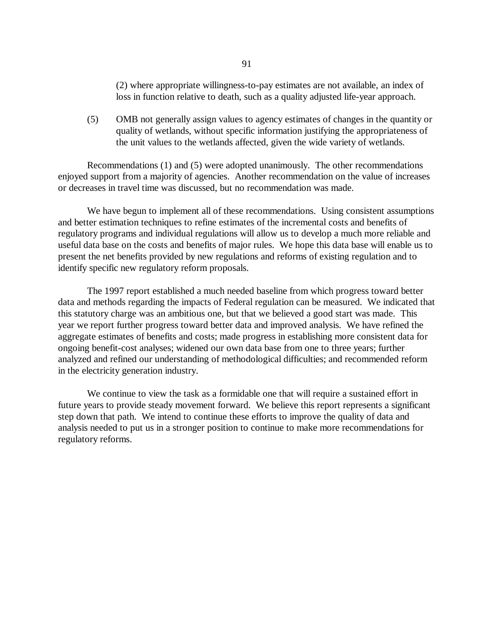(2) where appropriate willingness-to-pay estimates are not available, an index of loss in function relative to death, such as a quality adjusted life-year approach.

(5) OMB not generally assign values to agency estimates of changes in the quantity or quality of wetlands, without specific information justifying the appropriateness of the unit values to the wetlands affected, given the wide variety of wetlands.

Recommendations (1) and (5) were adopted unanimously. The other recommendations enjoyed support from a majority of agencies. Another recommendation on the value of increases or decreases in travel time was discussed, but no recommendation was made.

We have begun to implement all of these recommendations. Using consistent assumptions and better estimation techniques to refine estimates of the incremental costs and benefits of regulatory programs and individual regulations will allow us to develop a much more reliable and useful data base on the costs and benefits of major rules. We hope this data base will enable us to present the net benefits provided by new regulations and reforms of existing regulation and to identify specific new regulatory reform proposals.

The 1997 report established a much needed baseline from which progress toward better data and methods regarding the impacts of Federal regulation can be measured. We indicated that this statutory charge was an ambitious one, but that we believed a good start was made. This year we report further progress toward better data and improved analysis. We have refined the aggregate estimates of benefits and costs; made progress in establishing more consistent data for ongoing benefit-cost analyses; widened our own data base from one to three years; further analyzed and refined our understanding of methodological difficulties; and recommended reform in the electricity generation industry.

We continue to view the task as a formidable one that will require a sustained effort in future years to provide steady movement forward. We believe this report represents a significant step down that path. We intend to continue these efforts to improve the quality of data and analysis needed to put us in a stronger position to continue to make more recommendations for regulatory reforms.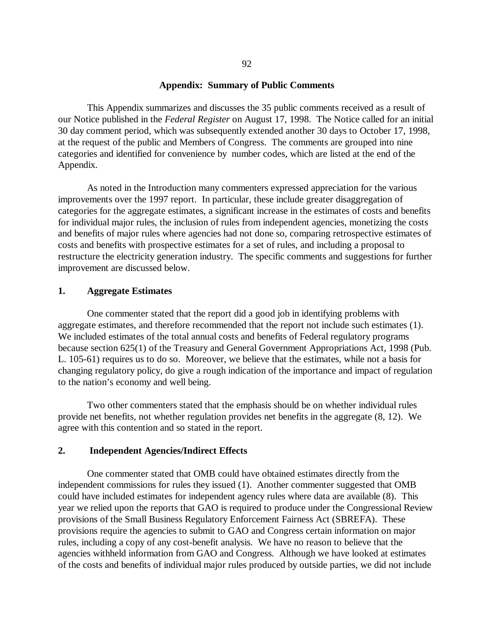#### **Appendix: Summary of Public Comments**

This Appendix summarizes and discusses the 35 public comments received as a result of our Notice published in the *Federal Register* on August 17, 1998. The Notice called for an initial 30 day comment period, which was subsequently extended another 30 days to October 17, 1998, at the request of the public and Members of Congress. The comments are grouped into nine categories and identified for convenience by number codes, which are listed at the end of the Appendix.

As noted in the Introduction many commenters expressed appreciation for the various improvements over the 1997 report. In particular, these include greater disaggregation of categories for the aggregate estimates, a significant increase in the estimates of costs and benefits for individual major rules, the inclusion of rules from independent agencies, monetizing the costs and benefits of major rules where agencies had not done so, comparing retrospective estimates of costs and benefits with prospective estimates for a set of rules, and including a proposal to restructure the electricity generation industry. The specific comments and suggestions for further improvement are discussed below.

## **1. Aggregate Estimates**

One commenter stated that the report did a good job in identifying problems with aggregate estimates, and therefore recommended that the report not include such estimates (1). We included estimates of the total annual costs and benefits of Federal regulatory programs because section 625(1) of the Treasury and General Government Appropriations Act, 1998 (Pub. L. 105-61) requires us to do so. Moreover, we believe that the estimates, while not a basis for changing regulatory policy, do give a rough indication of the importance and impact of regulation to the nation's economy and well being.

Two other commenters stated that the emphasis should be on whether individual rules provide net benefits, not whether regulation provides net benefits in the aggregate (8, 12). We agree with this contention and so stated in the report.

### **2. Independent Agencies/Indirect Effects**

One commenter stated that OMB could have obtained estimates directly from the independent commissions for rules they issued (1). Another commenter suggested that OMB could have included estimates for independent agency rules where data are available (8). This year we relied upon the reports that GAO is required to produce under the Congressional Review provisions of the Small Business Regulatory Enforcement Fairness Act (SBREFA). These provisions require the agencies to submit to GAO and Congress certain information on major rules, including a copy of any cost-benefit analysis. We have no reason to believe that the agencies withheld information from GAO and Congress. Although we have looked at estimates of the costs and benefits of individual major rules produced by outside parties, we did not include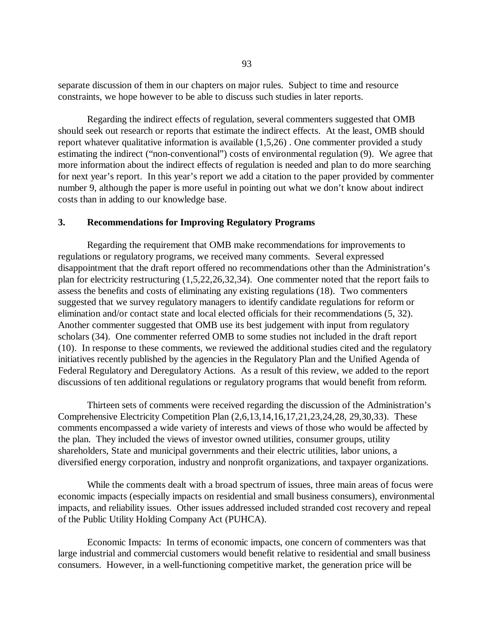separate discussion of them in our chapters on major rules. Subject to time and resource constraints, we hope however to be able to discuss such studies in later reports.

Regarding the indirect effects of regulation, several commenters suggested that OMB should seek out research or reports that estimate the indirect effects. At the least, OMB should report whatever qualitative information is available (1,5,26) . One commenter provided a study estimating the indirect ("non-conventional") costs of environmental regulation (9). We agree that more information about the indirect effects of regulation is needed and plan to do more searching for next year's report. In this year's report we add a citation to the paper provided by commenter number 9, although the paper is more useful in pointing out what we don't know about indirect costs than in adding to our knowledge base.

## **3. Recommendations for Improving Regulatory Programs**

Regarding the requirement that OMB make recommendations for improvements to regulations or regulatory programs, we received many comments. Several expressed disappointment that the draft report offered no recommendations other than the Administration's plan for electricity restructuring (1,5,22,26,32,34). One commenter noted that the report fails to assess the benefits and costs of eliminating any existing regulations (18). Two commenters suggested that we survey regulatory managers to identify candidate regulations for reform or elimination and/or contact state and local elected officials for their recommendations (5, 32). Another commenter suggested that OMB use its best judgement with input from regulatory scholars (34). One commenter referred OMB to some studies not included in the draft report (10). In response to these comments, we reviewed the additional studies cited and the regulatory initiatives recently published by the agencies in the Regulatory Plan and the Unified Agenda of Federal Regulatory and Deregulatory Actions. As a result of this review, we added to the report discussions of ten additional regulations or regulatory programs that would benefit from reform.

Thirteen sets of comments were received regarding the discussion of the Administration's Comprehensive Electricity Competition Plan (2,6,13,14,16,17,21,23,24,28, 29,30,33). These comments encompassed a wide variety of interests and views of those who would be affected by the plan. They included the views of investor owned utilities, consumer groups, utility shareholders, State and municipal governments and their electric utilities, labor unions, a diversified energy corporation, industry and nonprofit organizations, and taxpayer organizations.

While the comments dealt with a broad spectrum of issues, three main areas of focus were economic impacts (especially impacts on residential and small business consumers), environmental impacts, and reliability issues. Other issues addressed included stranded cost recovery and repeal of the Public Utility Holding Company Act (PUHCA).

Economic Impacts: In terms of economic impacts, one concern of commenters was that large industrial and commercial customers would benefit relative to residential and small business consumers. However, in a well-functioning competitive market, the generation price will be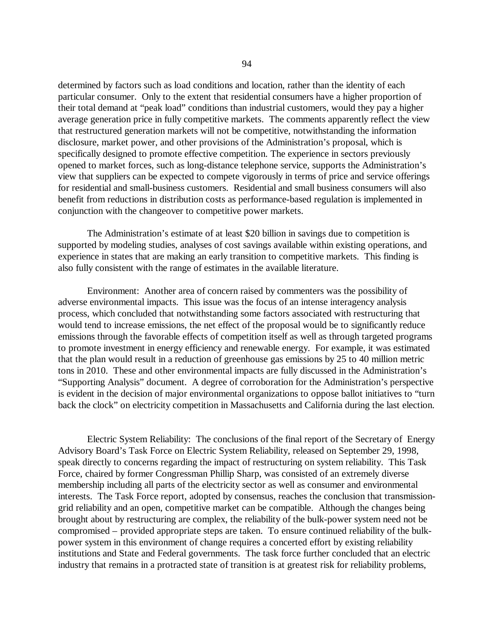determined by factors such as load conditions and location, rather than the identity of each particular consumer. Only to the extent that residential consumers have a higher proportion of their total demand at "peak load" conditions than industrial customers, would they pay a higher average generation price in fully competitive markets. The comments apparently reflect the view that restructured generation markets will not be competitive, notwithstanding the information disclosure, market power, and other provisions of the Administration's proposal, which is specifically designed to promote effective competition. The experience in sectors previously opened to market forces, such as long-distance telephone service, supports the Administration's view that suppliers can be expected to compete vigorously in terms of price and service offerings for residential and small-business customers. Residential and small business consumers will also benefit from reductions in distribution costs as performance-based regulation is implemented in conjunction with the changeover to competitive power markets.

The Administration's estimate of at least \$20 billion in savings due to competition is supported by modeling studies, analyses of cost savings available within existing operations, and experience in states that are making an early transition to competitive markets. This finding is also fully consistent with the range of estimates in the available literature.

Environment: Another area of concern raised by commenters was the possibility of adverse environmental impacts. This issue was the focus of an intense interagency analysis process, which concluded that notwithstanding some factors associated with restructuring that would tend to increase emissions, the net effect of the proposal would be to significantly reduce emissions through the favorable effects of competition itself as well as through targeted programs to promote investment in energy efficiency and renewable energy. For example, it was estimated that the plan would result in a reduction of greenhouse gas emissions by 25 to 40 million metric tons in 2010. These and other environmental impacts are fully discussed in the Administration's "Supporting Analysis" document. A degree of corroboration for the Administration's perspective is evident in the decision of major environmental organizations to oppose ballot initiatives to "turn back the clock" on electricity competition in Massachusetts and California during the last election.

Electric System Reliability: The conclusions of the final report of the Secretary of Energy Advisory Board's Task Force on Electric System Reliability, released on September 29, 1998, speak directly to concerns regarding the impact of restructuring on system reliability. This Task Force, chaired by former Congressman Phillip Sharp, was consisted of an extremely diverse membership including all parts of the electricity sector as well as consumer and environmental interests. The Task Force report, adopted by consensus, reaches the conclusion that transmissiongrid reliability and an open, competitive market can be compatible. Although the changes being brought about by restructuring are complex, the reliability of the bulk-power system need not be compromised – provided appropriate steps are taken. To ensure continued reliability of the bulkpower system in this environment of change requires a concerted effort by existing reliability institutions and State and Federal governments. The task force further concluded that an electric industry that remains in a protracted state of transition is at greatest risk for reliability problems,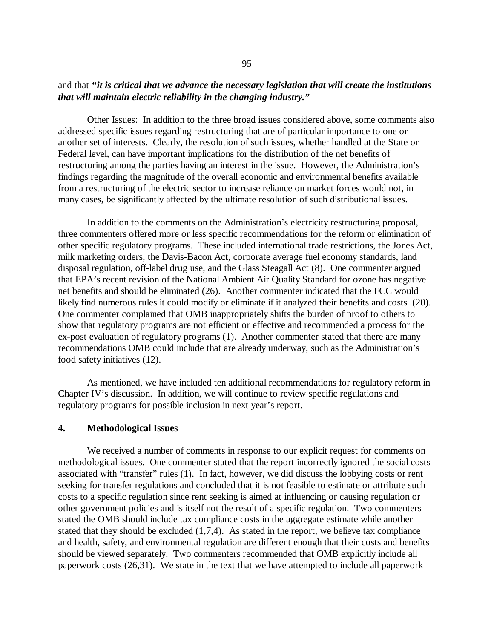# and that *"it is critical that we advance the necessary legislation that will create the institutions that will maintain electric reliability in the changing industry."*

Other Issues: In addition to the three broad issues considered above, some comments also addressed specific issues regarding restructuring that are of particular importance to one or another set of interests. Clearly, the resolution of such issues, whether handled at the State or Federal level, can have important implications for the distribution of the net benefits of restructuring among the parties having an interest in the issue. However, the Administration's findings regarding the magnitude of the overall economic and environmental benefits available from a restructuring of the electric sector to increase reliance on market forces would not, in many cases, be significantly affected by the ultimate resolution of such distributional issues.

In addition to the comments on the Administration's electricity restructuring proposal, three commenters offered more or less specific recommendations for the reform or elimination of other specific regulatory programs. These included international trade restrictions, the Jones Act, milk marketing orders, the Davis-Bacon Act, corporate average fuel economy standards, land disposal regulation, off-label drug use, and the Glass Steagall Act (8). One commenter argued that EPA's recent revision of the National Ambient Air Quality Standard for ozone has negative net benefits and should be eliminated (26). Another commenter indicated that the FCC would likely find numerous rules it could modify or eliminate if it analyzed their benefits and costs (20). One commenter complained that OMB inappropriately shifts the burden of proof to others to show that regulatory programs are not efficient or effective and recommended a process for the ex-post evaluation of regulatory programs (1). Another commenter stated that there are many recommendations OMB could include that are already underway, such as the Administration's food safety initiatives (12).

As mentioned, we have included ten additional recommendations for regulatory reform in Chapter IV's discussion. In addition, we will continue to review specific regulations and regulatory programs for possible inclusion in next year's report.

### **4. Methodological Issues**

We received a number of comments in response to our explicit request for comments on methodological issues. One commenter stated that the report incorrectly ignored the social costs associated with "transfer" rules (1). In fact, however, we did discuss the lobbying costs or rent seeking for transfer regulations and concluded that it is not feasible to estimate or attribute such costs to a specific regulation since rent seeking is aimed at influencing or causing regulation or other government policies and is itself not the result of a specific regulation. Two commenters stated the OMB should include tax compliance costs in the aggregate estimate while another stated that they should be excluded  $(1,7,4)$ . As stated in the report, we believe tax compliance and health, safety, and environmental regulation are different enough that their costs and benefits should be viewed separately. Two commenters recommended that OMB explicitly include all paperwork costs (26,31). We state in the text that we have attempted to include all paperwork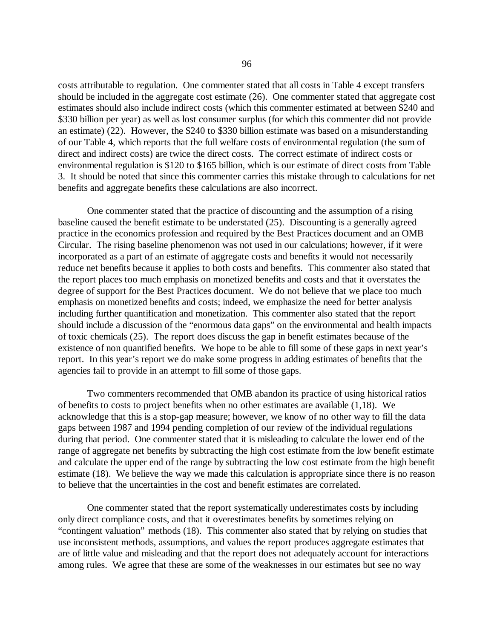costs attributable to regulation. One commenter stated that all costs in Table 4 except transfers should be included in the aggregate cost estimate (26). One commenter stated that aggregate cost estimates should also include indirect costs (which this commenter estimated at between \$240 and \$330 billion per year) as well as lost consumer surplus (for which this commenter did not provide an estimate) (22). However, the \$240 to \$330 billion estimate was based on a misunderstanding of our Table 4, which reports that the full welfare costs of environmental regulation (the sum of direct and indirect costs) are twice the direct costs. The correct estimate of indirect costs or environmental regulation is \$120 to \$165 billion, which is our estimate of direct costs from Table 3. It should be noted that since this commenter carries this mistake through to calculations for net benefits and aggregate benefits these calculations are also incorrect.

One commenter stated that the practice of discounting and the assumption of a rising baseline caused the benefit estimate to be understated (25). Discounting is a generally agreed practice in the economics profession and required by the Best Practices document and an OMB Circular. The rising baseline phenomenon was not used in our calculations; however, if it were incorporated as a part of an estimate of aggregate costs and benefits it would not necessarily reduce net benefits because it applies to both costs and benefits. This commenter also stated that the report places too much emphasis on monetized benefits and costs and that it overstates the degree of support for the Best Practices document. We do not believe that we place too much emphasis on monetized benefits and costs; indeed, we emphasize the need for better analysis including further quantification and monetization. This commenter also stated that the report should include a discussion of the "enormous data gaps" on the environmental and health impacts of toxic chemicals (25). The report does discuss the gap in benefit estimates because of the existence of non quantified benefits. We hope to be able to fill some of these gaps in next year's report. In this year's report we do make some progress in adding estimates of benefits that the agencies fail to provide in an attempt to fill some of those gaps.

Two commenters recommended that OMB abandon its practice of using historical ratios of benefits to costs to project benefits when no other estimates are available (1,18). We acknowledge that this is a stop-gap measure; however, we know of no other way to fill the data gaps between 1987 and 1994 pending completion of our review of the individual regulations during that period. One commenter stated that it is misleading to calculate the lower end of the range of aggregate net benefits by subtracting the high cost estimate from the low benefit estimate and calculate the upper end of the range by subtracting the low cost estimate from the high benefit estimate (18). We believe the way we made this calculation is appropriate since there is no reason to believe that the uncertainties in the cost and benefit estimates are correlated.

One commenter stated that the report systematically underestimates costs by including only direct compliance costs, and that it overestimates benefits by sometimes relying on "contingent valuation" methods (18). This commenter also stated that by relying on studies that use inconsistent methods, assumptions, and values the report produces aggregate estimates that are of little value and misleading and that the report does not adequately account for interactions among rules. We agree that these are some of the weaknesses in our estimates but see no way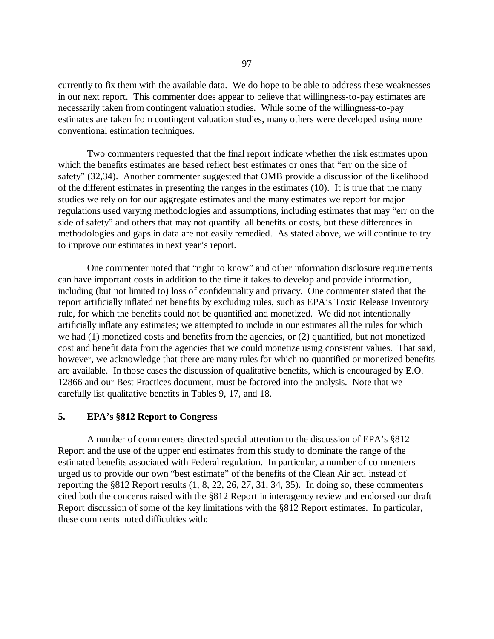currently to fix them with the available data. We do hope to be able to address these weaknesses in our next report. This commenter does appear to believe that willingness-to-pay estimates are necessarily taken from contingent valuation studies. While some of the willingness-to-pay estimates are taken from contingent valuation studies, many others were developed using more conventional estimation techniques.

Two commenters requested that the final report indicate whether the risk estimates upon which the benefits estimates are based reflect best estimates or ones that "err on the side of safety" (32,34). Another commenter suggested that OMB provide a discussion of the likelihood of the different estimates in presenting the ranges in the estimates (10). It is true that the many studies we rely on for our aggregate estimates and the many estimates we report for major regulations used varying methodologies and assumptions, including estimates that may "err on the side of safety" and others that may not quantify all benefits or costs, but these differences in methodologies and gaps in data are not easily remedied. As stated above, we will continue to try to improve our estimates in next year's report.

One commenter noted that "right to know" and other information disclosure requirements can have important costs in addition to the time it takes to develop and provide information, including (but not limited to) loss of confidentiality and privacy. One commenter stated that the report artificially inflated net benefits by excluding rules, such as EPA's Toxic Release Inventory rule, for which the benefits could not be quantified and monetized. We did not intentionally artificially inflate any estimates; we attempted to include in our estimates all the rules for which we had (1) monetized costs and benefits from the agencies, or (2) quantified, but not monetized cost and benefit data from the agencies that we could monetize using consistent values. That said, however, we acknowledge that there are many rules for which no quantified or monetized benefits are available. In those cases the discussion of qualitative benefits, which is encouraged by E.O. 12866 and our Best Practices document, must be factored into the analysis. Note that we carefully list qualitative benefits in Tables 9, 17, and 18.

### **5. EPA's §812 Report to Congress**

A number of commenters directed special attention to the discussion of EPA's §812 Report and the use of the upper end estimates from this study to dominate the range of the estimated benefits associated with Federal regulation. In particular, a number of commenters urged us to provide our own "best estimate" of the benefits of the Clean Air act, instead of reporting the §812 Report results (1, 8, 22, 26, 27, 31, 34, 35). In doing so, these commenters cited both the concerns raised with the §812 Report in interagency review and endorsed our draft Report discussion of some of the key limitations with the §812 Report estimates. In particular, these comments noted difficulties with: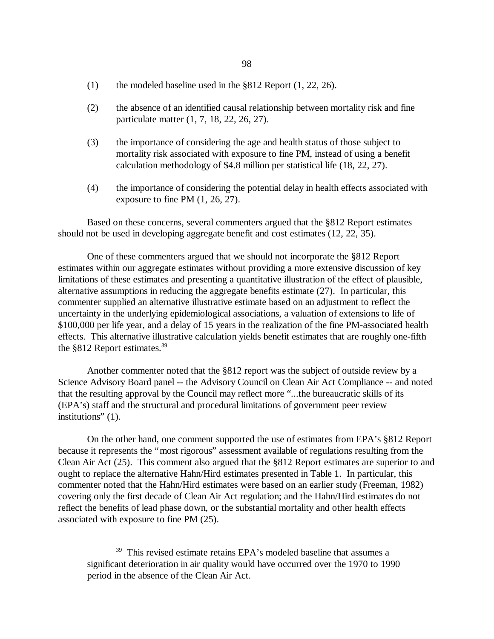- (1) the modeled baseline used in the §812 Report (1, 22, 26).
- (2) the absence of an identified causal relationship between mortality risk and fine particulate matter (1, 7, 18, 22, 26, 27).
- (3) the importance of considering the age and health status of those subject to mortality risk associated with exposure to fine PM, instead of using a benefit calculation methodology of \$4.8 million per statistical life (18, 22, 27).
- (4) the importance of considering the potential delay in health effects associated with exposure to fine PM (1, 26, 27).

Based on these concerns, several commenters argued that the §812 Report estimates should not be used in developing aggregate benefit and cost estimates (12, 22, 35).

One of these commenters argued that we should not incorporate the §812 Report estimates within our aggregate estimates without providing a more extensive discussion of key limitations of these estimates and presenting a quantitative illustration of the effect of plausible, alternative assumptions in reducing the aggregate benefits estimate (27). In particular, this commenter supplied an alternative illustrative estimate based on an adjustment to reflect the uncertainty in the underlying epidemiological associations, a valuation of extensions to life of \$100,000 per life year, and a delay of 15 years in the realization of the fine PM-associated health effects. This alternative illustrative calculation yields benefit estimates that are roughly one-fifth the §812 Report estimates.<sup>39</sup>

Another commenter noted that the §812 report was the subject of outside review by a Science Advisory Board panel -- the Advisory Council on Clean Air Act Compliance -- and noted that the resulting approval by the Council may reflect more "...the bureaucratic skills of its (EPA's) staff and the structural and procedural limitations of government peer review institutions" (1).

On the other hand, one comment supported the use of estimates from EPA's §812 Report because it represents the "most rigorous" assessment available of regulations resulting from the Clean Air Act (25). This comment also argued that the §812 Report estimates are superior to and ought to replace the alternative Hahn/Hird estimates presented in Table 1. In particular, this commenter noted that the Hahn/Hird estimates were based on an earlier study (Freeman, 1982) covering only the first decade of Clean Air Act regulation; and the Hahn/Hird estimates do not reflect the benefits of lead phase down, or the substantial mortality and other health effects associated with exposure to fine PM (25).

<sup>&</sup>lt;sup>39</sup> This revised estimate retains EPA's modeled baseline that assumes a significant deterioration in air quality would have occurred over the 1970 to 1990 period in the absence of the Clean Air Act.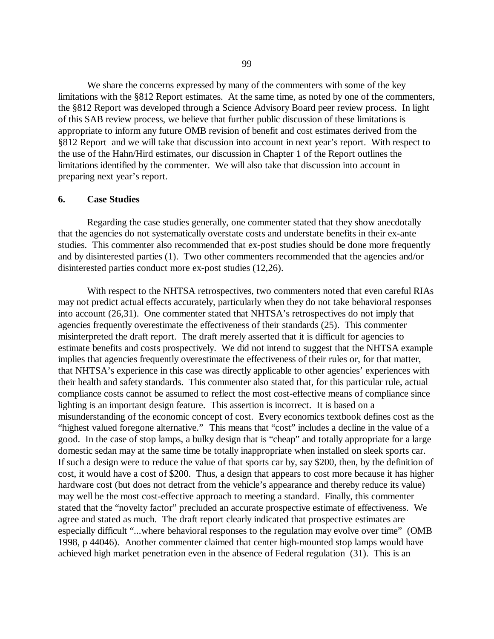We share the concerns expressed by many of the commenters with some of the key limitations with the §812 Report estimates. At the same time, as noted by one of the commenters, the §812 Report was developed through a Science Advisory Board peer review process. In light of this SAB review process, we believe that further public discussion of these limitations is appropriate to inform any future OMB revision of benefit and cost estimates derived from the §812 Report and we will take that discussion into account in next year's report. With respect to the use of the Hahn/Hird estimates, our discussion in Chapter 1 of the Report outlines the limitations identified by the commenter. We will also take that discussion into account in preparing next year's report.

## **6. Case Studies**

Regarding the case studies generally, one commenter stated that they show anecdotally that the agencies do not systematically overstate costs and understate benefits in their ex-ante studies. This commenter also recommended that ex-post studies should be done more frequently and by disinterested parties (1). Two other commenters recommended that the agencies and/or disinterested parties conduct more ex-post studies (12,26).

With respect to the NHTSA retrospectives, two commenters noted that even careful RIAs may not predict actual effects accurately, particularly when they do not take behavioral responses into account (26,31). One commenter stated that NHTSA's retrospectives do not imply that agencies frequently overestimate the effectiveness of their standards (25). This commenter misinterpreted the draft report. The draft merely asserted that it is difficult for agencies to estimate benefits and costs prospectively. We did not intend to suggest that the NHTSA example implies that agencies frequently overestimate the effectiveness of their rules or, for that matter, that NHTSA's experience in this case was directly applicable to other agencies'experiences with their health and safety standards. This commenter also stated that, for this particular rule, actual compliance costs cannot be assumed to reflect the most cost-effective means of compliance since lighting is an important design feature. This assertion is incorrect. It is based on a misunderstanding of the economic concept of cost. Every economics textbook defines cost as the "highest valued foregone alternative." This means that "cost" includes a decline in the value of a good. In the case of stop lamps, a bulky design that is "cheap" and totally appropriate for a large domestic sedan may at the same time be totally inappropriate when installed on sleek sports car. If such a design were to reduce the value of that sports car by, say \$200, then, by the definition of cost, it would have a cost of \$200. Thus, a design that appears to cost more because it has higher hardware cost (but does not detract from the vehicle's appearance and thereby reduce its value) may well be the most cost-effective approach to meeting a standard. Finally, this commenter stated that the "novelty factor" precluded an accurate prospective estimate of effectiveness. We agree and stated as much. The draft report clearly indicated that prospective estimates are especially difficult "...where behavioral responses to the regulation may evolve over time" (OMB 1998, p 44046). Another commenter claimed that center high-mounted stop lamps would have achieved high market penetration even in the absence of Federal regulation (31). This is an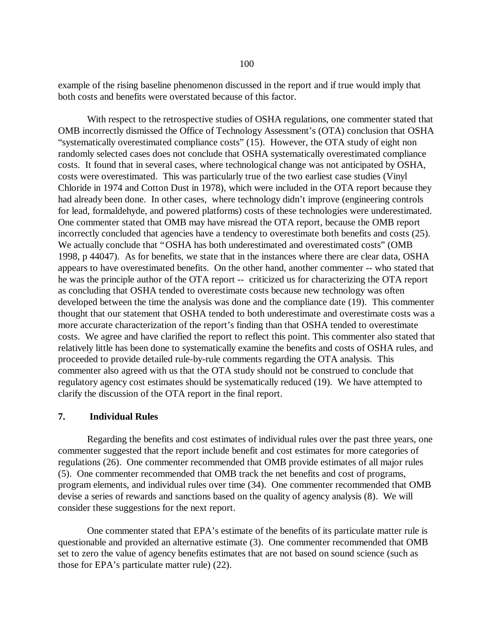example of the rising baseline phenomenon discussed in the report and if true would imply that both costs and benefits were overstated because of this factor.

With respect to the retrospective studies of OSHA regulations, one commenter stated that OMB incorrectly dismissed the Office of Technology Assessment's (OTA) conclusion that OSHA "systematically overestimated compliance costs" (15). However, the OTA study of eight non randomly selected cases does not conclude that OSHA systematically overestimated compliance costs. It found that in several cases, where technological change was not anticipated by OSHA, costs were overestimated. This was particularly true of the two earliest case studies (Vinyl Chloride in 1974 and Cotton Dust in 1978), which were included in the OTA report because they had already been done. In other cases, where technology didn't improve (engineering controls for lead, formaldehyde, and powered platforms) costs of these technologies were underestimated. One commenter stated that OMB may have misread the OTA report, because the OMB report incorrectly concluded that agencies have a tendency to overestimate both benefits and costs (25). We actually conclude that "OSHA has both underestimated and overestimated costs" (OMB 1998, p 44047). As for benefits, we state that in the instances where there are clear data, OSHA appears to have overestimated benefits. On the other hand, another commenter -- who stated that he was the principle author of the OTA report -- criticized us for characterizing the OTA report as concluding that OSHA tended to overestimate costs because new technology was often developed between the time the analysis was done and the compliance date (19). This commenter thought that our statement that OSHA tended to both underestimate and overestimate costs was a more accurate characterization of the report's finding than that OSHA tended to overestimate costs. We agree and have clarified the report to reflect this point. This commenter also stated that relatively little has been done to systematically examine the benefits and costs of OSHA rules, and proceeded to provide detailed rule-by-rule comments regarding the OTA analysis. This commenter also agreed with us that the OTA study should not be construed to conclude that regulatory agency cost estimates should be systematically reduced (19). We have attempted to clarify the discussion of the OTA report in the final report.

## **7. Individual Rules**

Regarding the benefits and cost estimates of individual rules over the past three years, one commenter suggested that the report include benefit and cost estimates for more categories of regulations (26). One commenter recommended that OMB provide estimates of all major rules (5). One commenter recommended that OMB track the net benefits and cost of programs, program elements, and individual rules over time (34). One commenter recommended that OMB devise a series of rewards and sanctions based on the quality of agency analysis (8). We will consider these suggestions for the next report.

One commenter stated that EPA's estimate of the benefits of its particulate matter rule is questionable and provided an alternative estimate (3). One commenter recommended that OMB set to zero the value of agency benefits estimates that are not based on sound science (such as those for EPA's particulate matter rule) (22).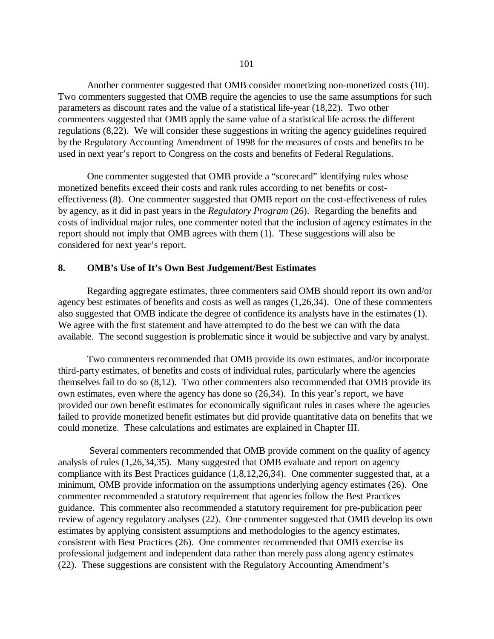Another commenter suggested that OMB consider monetizing non-monetized costs (10). Two commenters suggested that OMB require the agencies to use the same assumptions for such parameters as discount rates and the value of a statistical life-year (18,22). Two other commenters suggested that OMB apply the same value of a statistical life across the different regulations (8,22). We will consider these suggestions in writing the agency guidelines required by the Regulatory Accounting Amendment of 1998 for the measures of costs and benefits to be used in next year's report to Congress on the costs and benefits of Federal Regulations.

One commenter suggested that OMB provide a "scorecard" identifying rules whose monetized benefits exceed their costs and rank rules according to net benefits or costeffectiveness (8). One commenter suggested that OMB report on the cost-effectiveness of rules by agency, as it did in past years in the *Regulatory Program* (26). Regarding the benefits and costs of individual major rules, one commenter noted that the inclusion of agency estimates in the report should not imply that OMB agrees with them (1). These suggestions will also be considered for next year's report.

## **8. OMB's Use of It's Own Best Judgement/Best Estimates**

Regarding aggregate estimates, three commenters said OMB should report its own and/or agency best estimates of benefits and costs as well as ranges (1,26,34). One of these commenters also suggested that OMB indicate the degree of confidence its analysts have in the estimates (1). We agree with the first statement and have attempted to do the best we can with the data available. The second suggestion is problematic since it would be subjective and vary by analyst.

Two commenters recommended that OMB provide its own estimates, and/or incorporate third-party estimates, of benefits and costs of individual rules, particularly where the agencies themselves fail to do so (8,12). Two other commenters also recommended that OMB provide its own estimates, even where the agency has done so (26,34). In this year's report, we have provided our own benefit estimates for economically significant rules in cases where the agencies failed to provide monetized benefit estimates but did provide quantitative data on benefits that we could monetize. These calculations and estimates are explained in Chapter III.

Several commenters recommended that OMB provide comment on the quality of agency analysis of rules (1,26,34,35). Many suggested that OMB evaluate and report on agency compliance with its Best Practices guidance (1,8,12,26,34). One commenter suggested that, at a minimum, OMB provide information on the assumptions underlying agency estimates (26). One commenter recommended a statutory requirement that agencies follow the Best Practices guidance. This commenter also recommended a statutory requirement for pre-publication peer review of agency regulatory analyses (22). One commenter suggested that OMB develop its own estimates by applying consistent assumptions and methodologies to the agency estimates, consistent with Best Practices (26). One commenter recommended that OMB exercise its professional judgement and independent data rather than merely pass along agency estimates (22). These suggestions are consistent with the Regulatory Accounting Amendment's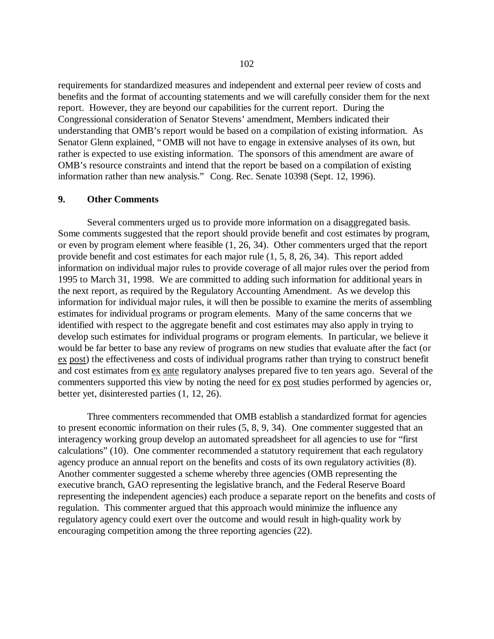requirements for standardized measures and independent and external peer review of costs and benefits and the format of accounting statements and we will carefully consider them for the next report. However, they are beyond our capabilities for the current report. During the Congressional consideration of Senator Stevens'amendment, Members indicated their understanding that OMB's report would be based on a compilation of existing information. As Senator Glenn explained, "OMB will not have to engage in extensive analyses of its own, but rather is expected to use existing information. The sponsors of this amendment are aware of OMB's resource constraints and intend that the report be based on a compilation of existing information rather than new analysis." Cong. Rec. Senate 10398 (Sept. 12, 1996).

## **9. Other Comments**

Several commenters urged us to provide more information on a disaggregated basis. Some comments suggested that the report should provide benefit and cost estimates by program, or even by program element where feasible (1, 26, 34). Other commenters urged that the report provide benefit and cost estimates for each major rule (1, 5, 8, 26, 34). This report added information on individual major rules to provide coverage of all major rules over the period from 1995 to March 31, 1998. We are committed to adding such information for additional years in the next report, as required by the Regulatory Accounting Amendment. As we develop this information for individual major rules, it will then be possible to examine the merits of assembling estimates for individual programs or program elements. Many of the same concerns that we identified with respect to the aggregate benefit and cost estimates may also apply in trying to develop such estimates for individual programs or program elements. In particular, we believe it would be far better to base any review of programs on new studies that evaluate after the fact (or ex post) the effectiveness and costs of individual programs rather than trying to construct benefit and cost estimates from ex ante regulatory analyses prepared five to ten years ago. Several of the commenters supported this view by noting the need for ex post studies performed by agencies or, better yet, disinterested parties (1, 12, 26).

Three commenters recommended that OMB establish a standardized format for agencies to present economic information on their rules (5, 8, 9, 34). One commenter suggested that an interagency working group develop an automated spreadsheet for all agencies to use for "first calculations" (10). One commenter recommended a statutory requirement that each regulatory agency produce an annual report on the benefits and costs of its own regulatory activities (8). Another commenter suggested a scheme whereby three agencies (OMB representing the executive branch, GAO representing the legislative branch, and the Federal Reserve Board representing the independent agencies) each produce a separate report on the benefits and costs of regulation. This commenter argued that this approach would minimize the influence any regulatory agency could exert over the outcome and would result in high-quality work by encouraging competition among the three reporting agencies (22).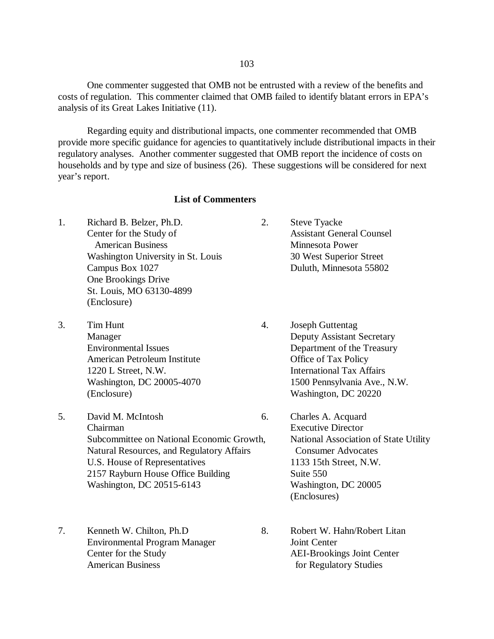One commenter suggested that OMB not be entrusted with a review of the benefits and costs of regulation. This commenter claimed that OMB failed to identify blatant errors in EPA's analysis of its Great Lakes Initiative (11).

Regarding equity and distributional impacts, one commenter recommended that OMB provide more specific guidance for agencies to quantitatively include distributional impacts in their regulatory analyses. Another commenter suggested that OMB report the incidence of costs on households and by type and size of business (26). These suggestions will be considered for next year's report.

# **List of Commenters**

- 1. Richard B. Belzer, Ph.D. 2. Steve Tyacke Center for the Study of American Business Washington University in St. Louis Campus Box 1027 One Brookings Drive St. Louis, MO 63130-4899 (Enclosure)
- 3. Tim Hunt 4. Joseph Guttentag Manager Environmental Issues American Petroleum Institute 1220 L Street, N.W. Washington, DC 20005-4070 (Enclosure)
- 5. David M. McIntosh 6. Charles A. Acquard Chairman Subcommittee on National Economic Growth, Natural Resources, and Regulatory Affairs U.S. House of Representatives 2157 Rayburn House Office Building Washington, DC 20515-6143
- 7. Kenneth W. Chilton, Ph.D 8. Robert W. Hahn/Robert Litan Environmental Program Manager Joint Center Center for the Study AEI-Brookings Joint Center American Business for Regulatory Studies
- Assistant General Counsel Minnesota Power 30 West Superior Street Duluth, Minnesota 55802
- Deputy Assistant Secretary Department of the Treasury Office of Tax Policy International Tax Affairs 1500 Pennsylvania Ave., N.W. Washington, DC 20220
	- Executive Director National Association of State Utility Consumer Advocates 1133 15th Street, N.W. Suite 550 Washington, DC 20005 (Enclosures)
-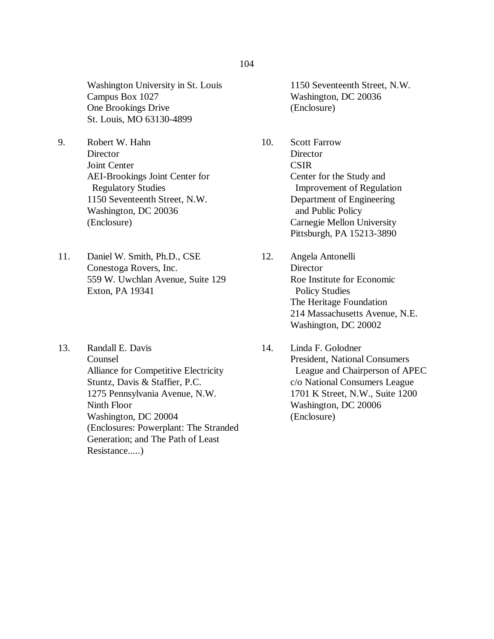Washington University in St. Louis Campus Box 1027 One Brookings Drive St. Louis, MO 63130-4899

- 9. Robert W. Hahn **Director** Joint Center AEI-Brookings Joint Center for Regulatory Studies 1150 Seventeenth Street, N.W. Washington, DC 20036 (Enclosure)
- 11. Daniel W. Smith, Ph.D., CSE Conestoga Rovers, Inc. 559 W. Uwchlan Avenue, Suite 129 Exton, PA 19341
- 13. Randall E. Davis Counsel Alliance for Competitive Electricity Stuntz, Davis & Staffier, P.C. 1275 Pennsylvania Avenue, N.W. Ninth Floor Washington, DC 20004 (Enclosures: Powerplant: The Stranded Generation; and The Path of Least Resistance.....)

1150 Seventeenth Street, N.W. Washington, DC 20036 (Enclosure)

- 10. Scott Farrow **Director CSIR** Center for the Study and Improvement of Regulation Department of Engineering and Public Policy Carnegie Mellon University Pittsburgh, PA 15213-3890
- 12. Angela Antonelli **Director** Roe Institute for Economic Policy Studies The Heritage Foundation 214 Massachusetts Avenue, N.E. Washington, DC 20002
- 14. Linda F. Golodner President, National Consumers League and Chairperson of APEC c/o National Consumers League 1701 K Street, N.W., Suite 1200 Washington, DC 20006 (Enclosure)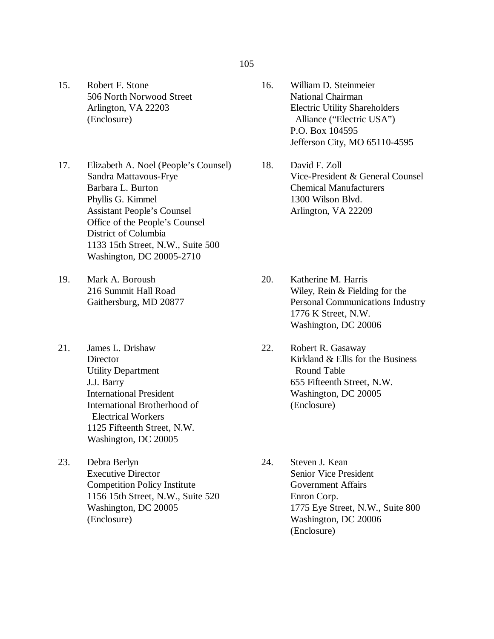- 15. Robert F. Stone 506 North Norwood Street Arlington, VA 22203 (Enclosure)
- 17. Elizabeth A. Noel (People's Counsel) 18. Sandra Mattavous-Frye Barbara L. Burton Phyllis G. Kimmel Assistant People's Counsel Office of the People's Counsel District of Columbia 1133 15th Street, N.W., Suite 500 Washington, DC 20005-2710
- 19. Mark A. Boroush 216 Summit Hall Road Gaithersburg, MD 20877
- 21. James L. Drishaw **Director** Utility Department J.J. Barry International President International Brotherhood of Electrical Workers 1125 Fifteenth Street, N.W. Washington, DC 20005
- 23. Debra Berlyn Executive Director Competition Policy Institute 1156 15th Street, N.W., Suite 520 Washington, DC 20005 (Enclosure)
- 105
	- 16. William D. Steinmeier National Chairman Electric Utility Shareholders Alliance ("Electric USA") P.O. Box 104595 Jefferson City, MO 65110-4595
	- David F. Zoll Vice-President & General Counsel Chemical Manufacturers 1300 Wilson Blvd. Arlington, VA 22209
	- Katherine M. Harris Wiley, Rein & Fielding for the Personal Communications Industry 1776 K Street, N.W. Washington, DC 20006 20.
	- Robert R. Gasaway Kirkland & Ellis for the Business Round Table 655 Fifteenth Street, N.W. Washington, DC 20005 (Enclosure) 22.
	- Steven J. Kean Senior Vice President Government Affairs Enron Corp. 1775 Eye Street, N.W., Suite 800 Washington, DC 20006 (Enclosure) 24.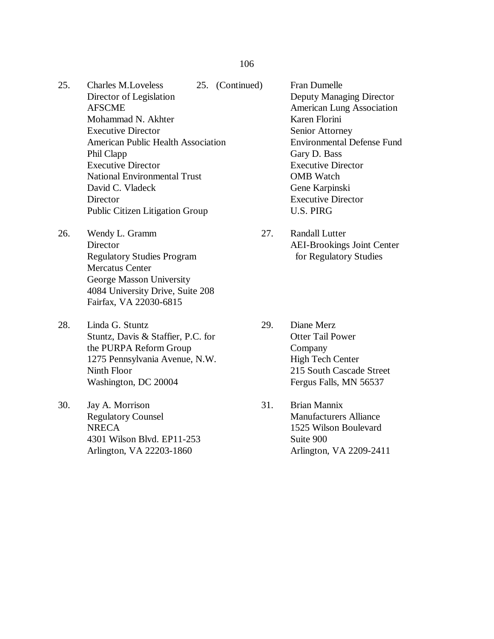#### 106

- 25. Charles M.Loveless 25. (Continued) Fran Dumelle Director of Legislation AFSCME Mohammad N. Akhter Executive Director American Public Health Association Phil Clapp Executive Director National Environmental Trust David C. Vladeck **Director** Public Citizen Litigation Group
- 26. Wendy L. Gramm 27. Randall Lutter Regulatory Studies Program for Regulatory Studies Mercatus Center George Masson University 4084 University Drive, Suite 208 Fairfax, VA 22030-6815
- 28. Linda G. Stuntz 29. Diane Merz Stuntz, Davis & Staffier, P.C. for Otter Tail Power the PURPA Reform Group Company 1275 Pennsylvania Avenue, N.W. High Tech Center Ninth Floor 215 South Cascade Street Washington, DC 20004 Fergus Falls, MN 56537
- 30. Jay A. Morrison 31. Brian Mannix Regulatory Counsel **NRECA** 4301 Wilson Blvd. EP11-253 Arlington, VA 22203-1860

Deputy Managing Director American Lung Association Karen Florini Senior Attorney Environmental Defense Fund Gary D. Bass Executive Director OMB Watch Gene Karpinski Executive Director U.S. PIRG

- Director AEI-Brookings Joint Center
	-
	- Manufacturers Alliance 1525 Wilson Boulevard Suite 900 Arlington, VA 2209-2411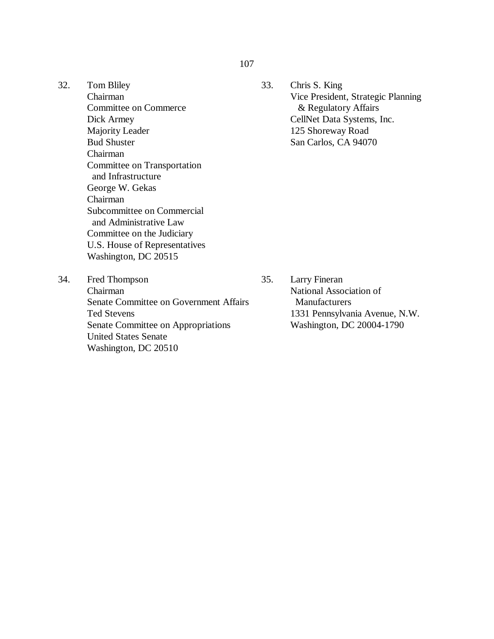- 32. Tom Bliley Chairman Committee on Commerce Dick Armey Majority Leader Bud Shuster Chairman Committee on Transportation and Infrastructure George W. Gekas Chairman Subcommittee on Commercial and Administrative Law Committee on the Judiciary U.S. House of Representatives Washington, DC 20515
- 33. Chris S. King Vice President, Strategic Planning & Regulatory Affairs CellNet Data Systems, Inc. 125 Shoreway Road San Carlos, CA 94070

34. Fred Thompson 35. Chairman Senate Committee on Government Affairs Ted Stevens Senate Committee on Appropriations United States Senate Washington, DC 20510

Larry Fineran National Association of Manufacturers 1331 Pennsylvania Avenue, N.W. Washington, DC 20004-1790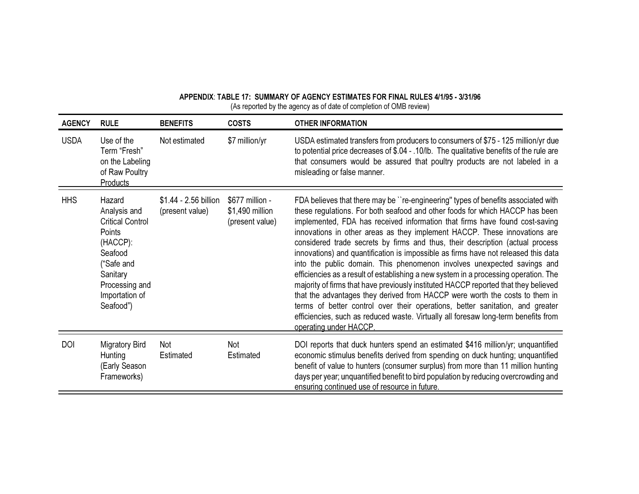| <b>AGENCY</b> | <b>RULE</b>                                                                                                                                                  | <b>BENEFITS</b>                          | <b>COSTS</b>                                          | <b>OTHER INFORMATION</b>                                                                                                                                                                                                                                                                                                                                                                                                                                                                                                                                                                                                                                                                                                                                                                                                                                                                                                                                                                                                                       |
|---------------|--------------------------------------------------------------------------------------------------------------------------------------------------------------|------------------------------------------|-------------------------------------------------------|------------------------------------------------------------------------------------------------------------------------------------------------------------------------------------------------------------------------------------------------------------------------------------------------------------------------------------------------------------------------------------------------------------------------------------------------------------------------------------------------------------------------------------------------------------------------------------------------------------------------------------------------------------------------------------------------------------------------------------------------------------------------------------------------------------------------------------------------------------------------------------------------------------------------------------------------------------------------------------------------------------------------------------------------|
| <b>USDA</b>   | Use of the<br>Term "Fresh"<br>on the Labeling<br>of Raw Poultry<br>Products                                                                                  | Not estimated                            | \$7 million/yr                                        | USDA estimated transfers from producers to consumers of \$75 - 125 million/yr due<br>to potential price decreases of \$.04 - .10/lb. The qualitative benefits of the rule are<br>that consumers would be assured that poultry products are not labeled in a<br>misleading or false manner.                                                                                                                                                                                                                                                                                                                                                                                                                                                                                                                                                                                                                                                                                                                                                     |
| <b>HHS</b>    | Hazard<br>Analysis and<br><b>Critical Control</b><br>Points<br>(HACCP):<br>Seafood<br>"Safe and<br>Sanitary<br>Processing and<br>Importation of<br>Seafood") | \$1.44 - 2.56 billion<br>(present value) | \$677 million -<br>\$1,490 million<br>(present value) | FDA believes that there may be "re-engineering" types of benefits associated with<br>these regulations. For both seafood and other foods for which HACCP has been<br>implemented, FDA has received information that firms have found cost-saving<br>innovations in other areas as they implement HACCP. These innovations are<br>considered trade secrets by firms and thus, their description (actual process<br>innovations) and quantification is impossible as firms have not released this data<br>into the public domain. This phenomenon involves unexpected savings and<br>efficiencies as a result of establishing a new system in a processing operation. The<br>majority of firms that have previously instituted HACCP reported that they believed<br>that the advantages they derived from HACCP were worth the costs to them in<br>terms of better control over their operations, better sanitation, and greater<br>efficiencies, such as reduced waste. Virtually all foresaw long-term benefits from<br>operating under HACCP. |
| <b>DOI</b>    | Migratory Bird<br>Hunting<br>(Early Season<br>Frameworks)                                                                                                    | Not<br>Estimated                         | Not<br>Estimated                                      | DOI reports that duck hunters spend an estimated \$416 million/yr; unquantified<br>economic stimulus benefits derived from spending on duck hunting; unquantified<br>benefit of value to hunters (consumer surplus) from more than 11 million hunting<br>days per year; unquantified benefit to bird population by reducing overcrowding and<br>ensuring continued use of resource in future.                                                                                                                                                                                                                                                                                                                                                                                                                                                                                                                                                                                                                                                  |

#### **\$33(1',;7\$%/( 6800\$5< 2)\$\*(1&< (67,0\$7(6 )25),1\$/58/(6** (As reported by the agency as of date of completion of OMB review)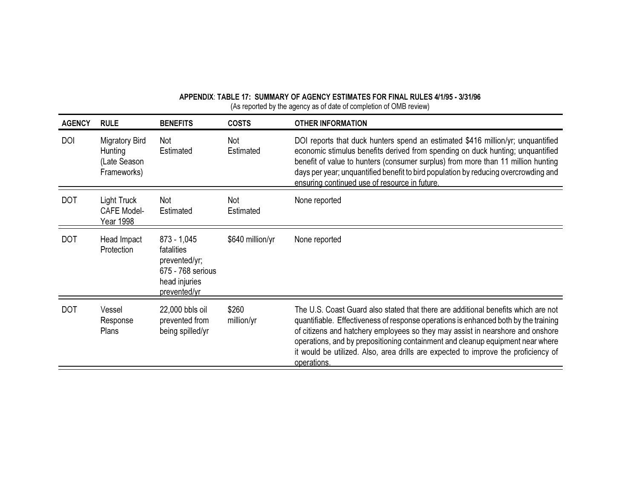| <b>AGENCY</b> | <b>RULE</b>                                              | <b>BENEFITS</b>                                                                                    | <b>COSTS</b>        | <b>OTHER INFORMATION</b>                                                                                                                                                                                                                                                                                                                                                                                                                          |
|---------------|----------------------------------------------------------|----------------------------------------------------------------------------------------------------|---------------------|---------------------------------------------------------------------------------------------------------------------------------------------------------------------------------------------------------------------------------------------------------------------------------------------------------------------------------------------------------------------------------------------------------------------------------------------------|
| <b>DOI</b>    | Migratory Bird<br>Hunting<br>(Late Season<br>Frameworks) | Not<br>Estimated                                                                                   | Not<br>Estimated    | DOI reports that duck hunters spend an estimated \$416 million/yr; unquantified<br>economic stimulus benefits derived from spending on duck hunting; unquantified<br>benefit of value to hunters (consumer surplus) from more than 11 million hunting<br>days per year; unquantified benefit to bird population by reducing overcrowding and<br>ensuring continued use of resource in future.                                                     |
| <b>DOT</b>    | Light Truck<br><b>CAFE Model-</b><br>Year 1998           | Not<br>Estimated                                                                                   | Not<br>Estimated    | None reported                                                                                                                                                                                                                                                                                                                                                                                                                                     |
| <b>DOT</b>    | Head Impact<br>Protection                                | $873 - 1,045$<br>fatalities<br>prevented/yr;<br>675 - 768 serious<br>head injuries<br>prevented/yr | \$640 million/yr    | None reported                                                                                                                                                                                                                                                                                                                                                                                                                                     |
| <b>DOT</b>    | Vessel<br>Response<br><b>Plans</b>                       | 22,000 bbls oil<br>prevented from<br>being spilled/yr                                              | \$260<br>million/yr | The U.S. Coast Guard also stated that there are additional benefits which are not<br>quantifiable. Effectiveness of response operations is enhanced both by the training<br>of citizens and hatchery employees so they may assist in nearshore and onshore<br>operations, and by prepositioning containment and cleanup equipment near where<br>it would be utilized. Also, area drills are expected to improve the proficiency of<br>operations. |

APPENDIX: TABLE 17: SUMMARY OF AGENCY ESTIMATES FOR FINAL RULES 4/1/95 - 3/31/96 (As reported by the agency as of date of completion of OMB review)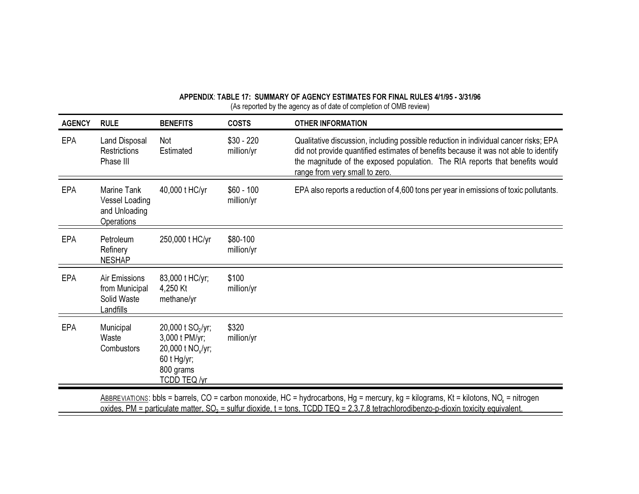| <b>AGENCY</b> | <b>RULE</b>                                                                                                                                                                                                                                                                                | <b>BENEFITS</b>                                                                                                              | <b>COSTS</b>              | <b>OTHER INFORMATION</b>                                                                                                                                                                                                                                                                       |  |
|---------------|--------------------------------------------------------------------------------------------------------------------------------------------------------------------------------------------------------------------------------------------------------------------------------------------|------------------------------------------------------------------------------------------------------------------------------|---------------------------|------------------------------------------------------------------------------------------------------------------------------------------------------------------------------------------------------------------------------------------------------------------------------------------------|--|
| <b>EPA</b>    | Land Disposal<br><b>Restrictions</b><br>Phase III                                                                                                                                                                                                                                          | <b>Not</b><br>Estimated                                                                                                      | $$30 - 220$<br>million/yr | Qualitative discussion, including possible reduction in individual cancer risks; EPA<br>did not provide quantified estimates of benefits because it was not able to identify<br>the magnitude of the exposed population. The RIA reports that benefits would<br>range from very small to zero. |  |
| <b>EPA</b>    | Marine Tank<br>Vessel Loading<br>and Unloading<br><b>Operations</b>                                                                                                                                                                                                                        | 40,000 t HC/yr                                                                                                               | $$60 - 100$<br>million/yr | EPA also reports a reduction of 4,600 tons per year in emissions of toxic pollutants.                                                                                                                                                                                                          |  |
| <b>EPA</b>    | Petroleum<br>Refinery<br><b>NESHAP</b>                                                                                                                                                                                                                                                     | 250,000 t HC/yr                                                                                                              | \$80-100<br>million/yr    |                                                                                                                                                                                                                                                                                                |  |
| <b>EPA</b>    | Air Emissions<br>from Municipal<br>Solid Waste<br>Landfills                                                                                                                                                                                                                                | 83,000 t HC/yr;<br>4,250 Kt<br>methane/yr                                                                                    | \$100<br>million/yr       |                                                                                                                                                                                                                                                                                                |  |
| <b>EPA</b>    | Municipal<br>Waste<br>Combustors                                                                                                                                                                                                                                                           | 20,000 t SO <sub>2</sub> /yr;<br>3,000 t PM/yr;<br>20,000 t NO <sub>x</sub> /yr;<br>60 t Hg/yr;<br>800 grams<br>TCDD TEQ /yr | \$320<br>million/yr       |                                                                                                                                                                                                                                                                                                |  |
|               | ABBREVIATIONS: bbls = barrels, CO = carbon monoxide, HC = hydrocarbons, Hg = mercury, kg = kilograms, Kt = kilotons, NO <sub>x</sub> = nitrogen<br>oxides, PM = particulate matter, $SO_2$ = sulfur dioxide, t = tons, TCDD TEQ = 2,3,7,8 tetrachlorodibenzo-p-dioxin toxicity equivalent. |                                                                                                                              |                           |                                                                                                                                                                                                                                                                                                |  |

APPENDIX: TABLE 17: SUMMARY OF AGENCY ESTIMATES FOR FINAL RULES 4/1/95 - 3/31/96 (As reported by the agency as of date of completion of OMB review)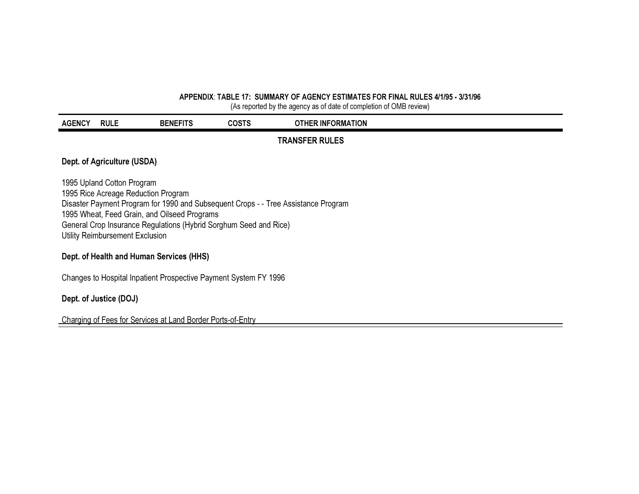#### APPENDIX: TABLE 17: SUMMARY OF AGENCY ESTIMATES FOR FINAL RULES 4/1/95 - 3/31/96

(As reported by the agency as of date of completion of OMB review)

| <b>AGENCY</b> | <b>RULE</b>                                                                                                                                                                                                                                                                                                     | <b>BENEFITS</b>                                                  | <b>COSTS</b> | <b>OTHER INFORMATION</b> |  |  |  |
|---------------|-----------------------------------------------------------------------------------------------------------------------------------------------------------------------------------------------------------------------------------------------------------------------------------------------------------------|------------------------------------------------------------------|--------------|--------------------------|--|--|--|
|               |                                                                                                                                                                                                                                                                                                                 |                                                                  |              | <b>TRANSFER RULES</b>    |  |  |  |
|               | Dept. of Agriculture (USDA)                                                                                                                                                                                                                                                                                     |                                                                  |              |                          |  |  |  |
|               | 1995 Upland Cotton Program<br>1995 Rice Acreage Reduction Program<br>Disaster Payment Program for 1990 and Subsequent Crops - - Tree Assistance Program<br>1995 Wheat, Feed Grain, and Oilseed Programs<br>General Crop Insurance Regulations (Hybrid Sorghum Seed and Rice)<br>Utility Reimbursement Exclusion |                                                                  |              |                          |  |  |  |
|               | Dept. of Health and Human Services (HHS)                                                                                                                                                                                                                                                                        |                                                                  |              |                          |  |  |  |
|               |                                                                                                                                                                                                                                                                                                                 | Changes to Hospital Inpatient Prospective Payment System FY 1996 |              |                          |  |  |  |

Dept. of Justice (DOJ)

Charging of Fees for Services at Land Border Ports-of-Entry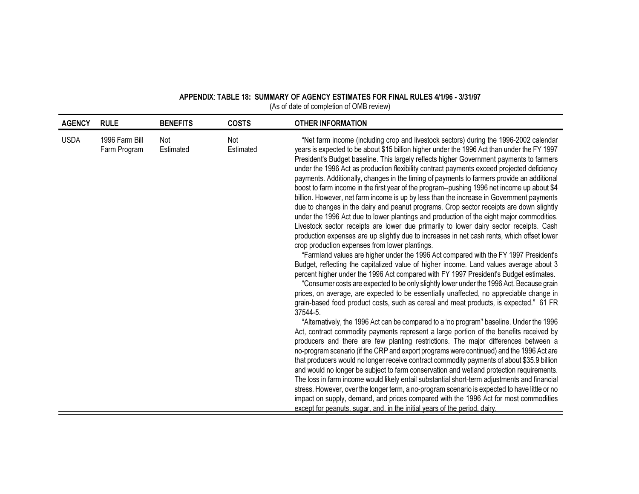| <b>AGENCY</b> | <b>RULE</b>                    | <b>BENEFITS</b>  | <b>COSTS</b>     | <b>OTHER INFORMATION</b>                                                                                                                                                                                                                                                                                                                                                                                                                                                                                                                                                                                                                                                                                                                                                                                                                                                                                                                                                                                                                                                                                                                                                                                                                                                                                                                                                                                                                                                                                                                                                                                                                                                                                                                                                                                                                                                                                                                                                                                                                                                                                                                                                                                                                                                                                                                                                                                                                                                                                                                                                                                                |
|---------------|--------------------------------|------------------|------------------|-------------------------------------------------------------------------------------------------------------------------------------------------------------------------------------------------------------------------------------------------------------------------------------------------------------------------------------------------------------------------------------------------------------------------------------------------------------------------------------------------------------------------------------------------------------------------------------------------------------------------------------------------------------------------------------------------------------------------------------------------------------------------------------------------------------------------------------------------------------------------------------------------------------------------------------------------------------------------------------------------------------------------------------------------------------------------------------------------------------------------------------------------------------------------------------------------------------------------------------------------------------------------------------------------------------------------------------------------------------------------------------------------------------------------------------------------------------------------------------------------------------------------------------------------------------------------------------------------------------------------------------------------------------------------------------------------------------------------------------------------------------------------------------------------------------------------------------------------------------------------------------------------------------------------------------------------------------------------------------------------------------------------------------------------------------------------------------------------------------------------------------------------------------------------------------------------------------------------------------------------------------------------------------------------------------------------------------------------------------------------------------------------------------------------------------------------------------------------------------------------------------------------------------------------------------------------------------------------------------------------|
| <b>USDA</b>   | 1996 Farm Bill<br>Farm Program | Not<br>Estimated | Not<br>Estimated | "Net farm income (including crop and livestock sectors) during the 1996-2002 calendar<br>years is expected to be about \$15 billion higher under the 1996 Act than under the FY 1997<br>President's Budget baseline. This largely reflects higher Government payments to farmers<br>under the 1996 Act as production flexibility contract payments exceed projected deficiency<br>payments. Additionally, changes in the timing of payments to farmers provide an additional<br>boost to farm income in the first year of the program--pushing 1996 net income up about \$4<br>billion. However, net farm income is up by less than the increase in Government payments<br>due to changes in the dairy and peanut programs. Crop sector receipts are down slightly<br>under the 1996 Act due to lower plantings and production of the eight major commodities.<br>Livestock sector receipts are lower due primarily to lower dairy sector receipts. Cash<br>production expenses are up slightly due to increases in net cash rents, which offset lower<br>crop production expenses from lower plantings.<br>"Farmland values are higher under the 1996 Act compared with the FY 1997 President's<br>Budget, reflecting the capitalized value of higher income. Land values average about 3<br>percent higher under the 1996 Act compared with FY 1997 President's Budget estimates.<br>"Consumer costs are expected to be only slightly lower under the 1996 Act. Because grain<br>prices, on average, are expected to be essentially unaffected, no appreciable change in<br>grain-based food product costs, such as cereal and meat products, is expected." 61 FR<br>37544-5.<br>"Alternatively, the 1996 Act can be compared to a 'no program" baseline. Under the 1996<br>Act, contract commodity payments represent a large portion of the benefits received by<br>producers and there are few planting restrictions. The major differences between a<br>no-program scenario (if the CRP and export programs were continued) and the 1996 Act are<br>that producers would no longer receive contract commodity payments of about \$35.9 billion<br>and would no longer be subject to farm conservation and wetland protection requirements.<br>The loss in farm income would likely entail substantial short-term adjustments and financial<br>stress. However, over the longer term, a no-program scenario is expected to have little or no<br>impact on supply, demand, and prices compared with the 1996 Act for most commodities<br>except for peanuts, sugar, and, in the initial years of the period, dairy. |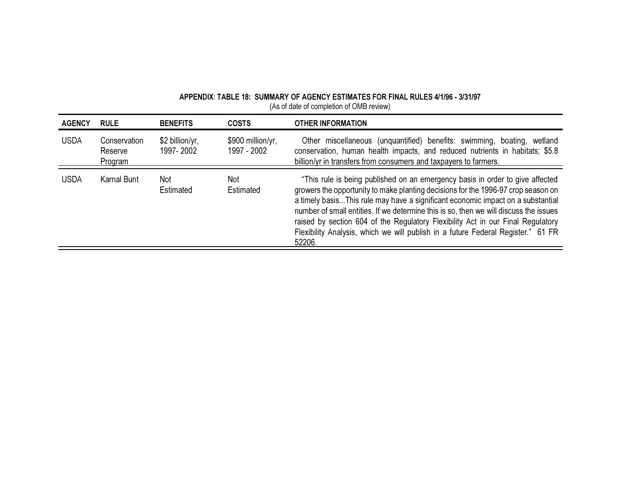| <b>AGENCY</b> | <b>RULE</b>                        | <b>BENEFITS</b>              | <b>COSTS</b>                     | <b>OTHER INFORMATION</b>                                                                                                                                                                                                                                                                                                                                                                                                                                                                                                        |
|---------------|------------------------------------|------------------------------|----------------------------------|---------------------------------------------------------------------------------------------------------------------------------------------------------------------------------------------------------------------------------------------------------------------------------------------------------------------------------------------------------------------------------------------------------------------------------------------------------------------------------------------------------------------------------|
| <b>USDA</b>   | Conservation<br>Reserve<br>Program | \$2 billion/yr,<br>1997-2002 | \$900 million/yr,<br>1997 - 2002 | Other miscellaneous (unquantified) benefits: swimming, boating, wetland<br>conservation, human health impacts, and reduced nutrients in habitats; \$5.8<br>billion/yr in transfers from consumers and taxpayers to farmers.                                                                                                                                                                                                                                                                                                     |
| <b>USDA</b>   | Karnal Bunt                        | <b>Not</b><br>Estimated      | Not<br>Estimated                 | "This rule is being published on an emergency basis in order to give affected<br>growers the opportunity to make planting decisions for the 1996-97 crop season on<br>a timely basisThis rule may have a significant economic impact on a substantial<br>number of small entities. If we determine this is so, then we will discuss the issues<br>raised by section 604 of the Regulatory Flexibility Act in our Final Regulatory<br>Flexibility Analysis, which we will publish in a future Federal Register." 61 FR<br>52206. |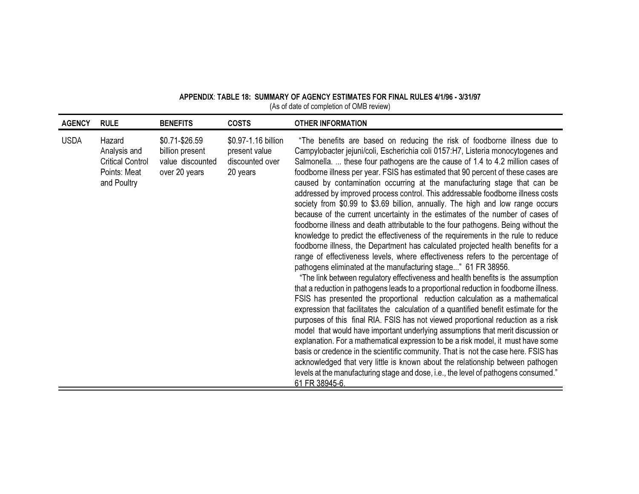| APPENDIX: TABLE 18: SUMMARY OF AGENCY ESTIMATES FOR FINAL RULES 4/1/96 - 3/31/97 |                                          |  |  |
|----------------------------------------------------------------------------------|------------------------------------------|--|--|
|                                                                                  | (As of date of completion of OMB review) |  |  |

| <b>AGENCY</b> | <b>RULE</b>                                                                      | <b>BENEFITS</b>                                                        | <b>COSTS</b>                                                        | <b>OTHER INFORMATION</b>                                                                                                                                                                                                                                                                                                                                                                                                                                                                                                                                                                                                                                                                                                                                                                                                                                                                                                                                                                                                                                                                                                                                                                                                                                                                                                                                                                                                                                                                                                                                                                                                                                                                                                                                                                                                                                                                                                                                                             |
|---------------|----------------------------------------------------------------------------------|------------------------------------------------------------------------|---------------------------------------------------------------------|--------------------------------------------------------------------------------------------------------------------------------------------------------------------------------------------------------------------------------------------------------------------------------------------------------------------------------------------------------------------------------------------------------------------------------------------------------------------------------------------------------------------------------------------------------------------------------------------------------------------------------------------------------------------------------------------------------------------------------------------------------------------------------------------------------------------------------------------------------------------------------------------------------------------------------------------------------------------------------------------------------------------------------------------------------------------------------------------------------------------------------------------------------------------------------------------------------------------------------------------------------------------------------------------------------------------------------------------------------------------------------------------------------------------------------------------------------------------------------------------------------------------------------------------------------------------------------------------------------------------------------------------------------------------------------------------------------------------------------------------------------------------------------------------------------------------------------------------------------------------------------------------------------------------------------------------------------------------------------------|
| <b>USDA</b>   | Hazard<br>Analysis and<br><b>Critical Control</b><br>Points: Meat<br>and Poultry | \$0.71-\$26.59<br>billion present<br>value discounted<br>over 20 years | \$0.97-1.16 billion<br>present value<br>discounted over<br>20 years | "The benefits are based on reducing the risk of foodborne illness due to<br>Campylobacter jejuni/coli, Escherichia coli 0157:H7, Listeria monocytogenes and<br>Salmonella.  these four pathogens are the cause of 1.4 to 4.2 million cases of<br>foodborne illness per year. FSIS has estimated that 90 percent of these cases are<br>caused by contamination occurring at the manufacturing stage that can be<br>addressed by improved process control. This addressable foodborne illness costs<br>society from \$0.99 to \$3.69 billion, annually. The high and low range occurs<br>because of the current uncertainty in the estimates of the number of cases of<br>foodborne illness and death attributable to the four pathogens. Being without the<br>knowledge to predict the effectiveness of the requirements in the rule to reduce<br>foodborne illness, the Department has calculated projected health benefits for a<br>range of effectiveness levels, where effectiveness refers to the percentage of<br>pathogens eliminated at the manufacturing stage" 61 FR 38956.<br>"The link between regulatory effectiveness and health benefits is the assumption<br>that a reduction in pathogens leads to a proportional reduction in foodborne illness.<br>FSIS has presented the proportional reduction calculation as a mathematical<br>expression that facilitates the calculation of a quantified benefit estimate for the<br>purposes of this final RIA. FSIS has not viewed proportional reduction as a risk<br>model that would have important underlying assumptions that merit discussion or<br>explanation. For a mathematical expression to be a risk model, it must have some<br>basis or credence in the scientific community. That is not the case here. FSIS has<br>acknowledged that very little is known about the relationship between pathogen<br>levels at the manufacturing stage and dose, i.e., the level of pathogens consumed."<br>61 FR 38945-6. |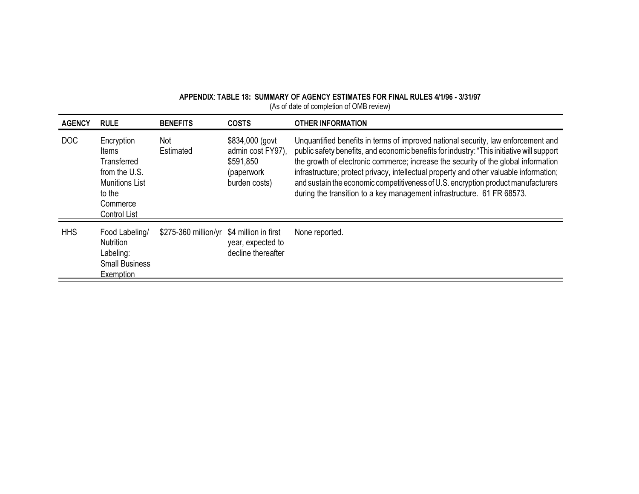| APPENDIX: TABLE 18: SUMMARY OF AGENCY ESTIMATES FOR FINAL RULES 4/1/96 - 3/31/97 |  |
|----------------------------------------------------------------------------------|--|
| (As of date of completion of OMB review)                                         |  |

| <b>AGENCY</b> | <b>RULE</b>                                                                                                        | <b>BENEFITS</b>      | <b>COSTS</b>                                                                     | <b>OTHER INFORMATION</b>                                                                                                                                                                                                                                                                                                                                                                                                                                                                                                      |
|---------------|--------------------------------------------------------------------------------------------------------------------|----------------------|----------------------------------------------------------------------------------|-------------------------------------------------------------------------------------------------------------------------------------------------------------------------------------------------------------------------------------------------------------------------------------------------------------------------------------------------------------------------------------------------------------------------------------------------------------------------------------------------------------------------------|
| DOC           | Encryption<br>Items<br>Transferred<br>from the U.S.<br><b>Munitions List</b><br>to the<br>Commerce<br>Control List | Not<br>Estimated     | \$834,000 (govt<br>admin cost FY97),<br>\$591,850<br>(paperwork<br>burden costs) | Unquantified benefits in terms of improved national security, law enforcement and<br>public safety benefits, and economic benefits for industry: "This initiative will support<br>the growth of electronic commerce; increase the security of the global information<br>infrastructure; protect privacy, intellectual property and other valuable information;<br>and sustain the economic competitiveness of U.S. encryption product manufacturers<br>during the transition to a key management infrastructure. 61 FR 68573. |
| <b>HHS</b>    | Food Labeling/<br><b>Nutrition</b><br>Labeling:                                                                    | \$275-360 million/yr | \$4 million in first<br>year, expected to<br>decline thereafter                  | None reported.                                                                                                                                                                                                                                                                                                                                                                                                                                                                                                                |

Labeling:<br>Small Business

Exemption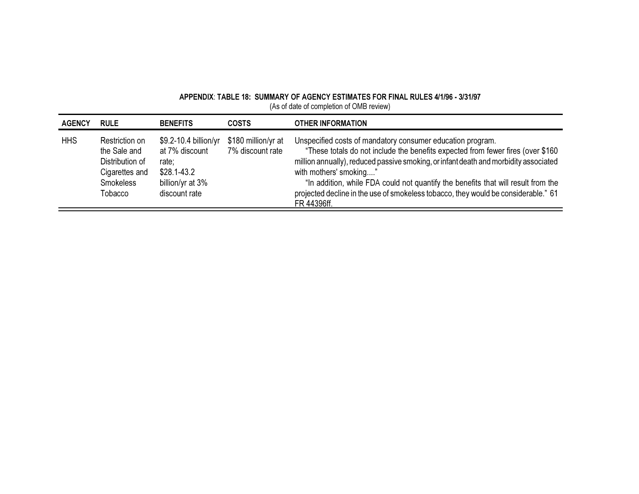| <b>AGENCY</b> | <b>RULE</b>                                                                                        | <b>BENEFITS</b>                                                                                         | <b>COSTS</b>                            | <b>OTHER INFORMATION</b>                                                                                                                                                                                                                                                                                                                                                                                                                                  |
|---------------|----------------------------------------------------------------------------------------------------|---------------------------------------------------------------------------------------------------------|-----------------------------------------|-----------------------------------------------------------------------------------------------------------------------------------------------------------------------------------------------------------------------------------------------------------------------------------------------------------------------------------------------------------------------------------------------------------------------------------------------------------|
| <b>HHS</b>    | Restriction on<br>the Sale and<br>Distribution of<br>Cigarettes and<br><b>Smokeless</b><br>Tobacco | \$9.2-10.4 billion/yr<br>at 7% discount<br>rate:<br>$$28.1 - 43.2$<br>billion/yr at 3%<br>discount rate | \$180 million/yr at<br>7% discount rate | Unspecified costs of mandatory consumer education program.<br>"These totals do not include the benefits expected from fewer fires (over \$160<br>million annually), reduced passive smoking, or infant death and morbidity associated<br>with mothers' smoking"<br>"In addition, while FDA could not quantify the benefits that will result from the<br>projected decline in the use of smokeless tobacco, they would be considerable." 61<br>FR 44396ff. |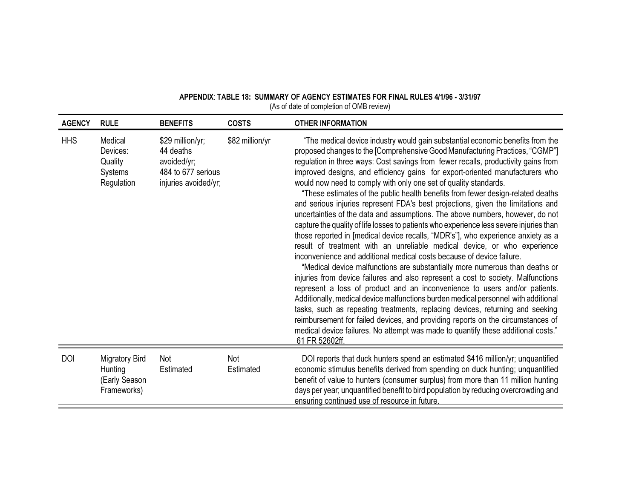| <b>AGENCY</b> | <b>RULE</b>                                                      | <b>BENEFITS</b>                                                                            | <b>COSTS</b>            | <b>OTHER INFORMATION</b>                                                                                                                                                                                                                                                                                                                                                                                                                                                                                                                                                                                                                                                                                                                                                                                                                                                                                                                                                                                                                                                                                                                                                                                                                                                                                                                                                                                                                                                                                                                                                                                               |
|---------------|------------------------------------------------------------------|--------------------------------------------------------------------------------------------|-------------------------|------------------------------------------------------------------------------------------------------------------------------------------------------------------------------------------------------------------------------------------------------------------------------------------------------------------------------------------------------------------------------------------------------------------------------------------------------------------------------------------------------------------------------------------------------------------------------------------------------------------------------------------------------------------------------------------------------------------------------------------------------------------------------------------------------------------------------------------------------------------------------------------------------------------------------------------------------------------------------------------------------------------------------------------------------------------------------------------------------------------------------------------------------------------------------------------------------------------------------------------------------------------------------------------------------------------------------------------------------------------------------------------------------------------------------------------------------------------------------------------------------------------------------------------------------------------------------------------------------------------------|
| <b>HHS</b>    | Medical<br>Devices:<br>Quality<br>Systems<br>Regulation          | \$29 million/yr;<br>44 deaths<br>avoided/yr;<br>484 to 677 serious<br>injuries avoided/yr; | \$82 million/yr         | "The medical device industry would gain substantial economic benefits from the<br>proposed changes to the [Comprehensive Good Manufacturing Practices, "CGMP"]<br>regulation in three ways: Cost savings from fewer recalls, productivity gains from<br>improved designs, and efficiency gains for export-oriented manufacturers who<br>would now need to comply with only one set of quality standards.<br>"These estimates of the public health benefits from fewer design-related deaths<br>and serious injuries represent FDA's best projections, given the limitations and<br>uncertainties of the data and assumptions. The above numbers, however, do not<br>capture the quality of life losses to patients who experience less severe injuries than<br>those reported in [medical device recalls, "MDR's"], who experience anxiety as a<br>result of treatment with an unreliable medical device, or who experience<br>inconvenience and additional medical costs because of device failure.<br>"Medical device malfunctions are substantially more numerous than deaths or<br>injuries from device failures and also represent a cost to society. Malfunctions<br>represent a loss of product and an inconvenience to users and/or patients.<br>Additionally, medical device malfunctions burden medical personnel with additional<br>tasks, such as repeating treatments, replacing devices, returning and seeking<br>reimbursement for failed devices, and providing reports on the circumstances of<br>medical device failures. No attempt was made to quantify these additional costs."<br>61 FR 52602ff. |
| <b>DOI</b>    | <b>Migratory Bird</b><br>Hunting<br>(Early Season<br>Frameworks) | Not<br>Estimated                                                                           | <b>Not</b><br>Estimated | DOI reports that duck hunters spend an estimated \$416 million/yr; unquantified<br>economic stimulus benefits derived from spending on duck hunting; unquantified<br>benefit of value to hunters (consumer surplus) from more than 11 million hunting<br>days per year; unquantified benefit to bird population by reducing overcrowding and<br>ensuring continued use of resource in future.                                                                                                                                                                                                                                                                                                                                                                                                                                                                                                                                                                                                                                                                                                                                                                                                                                                                                                                                                                                                                                                                                                                                                                                                                          |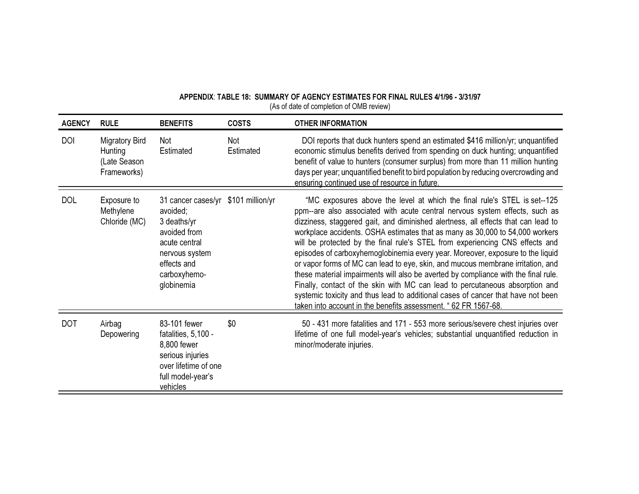| <b>AGENCY</b> | <b>RULE</b>                                                     | <b>BENEFITS</b>                                                                                                                                                  | <b>COSTS</b>     | <b>OTHER INFORMATION</b>                                                                                                                                                                                                                                                                                                                                                                                                                                                                                                                                                                                                                                                                                                                                                                                                                                                                                       |
|---------------|-----------------------------------------------------------------|------------------------------------------------------------------------------------------------------------------------------------------------------------------|------------------|----------------------------------------------------------------------------------------------------------------------------------------------------------------------------------------------------------------------------------------------------------------------------------------------------------------------------------------------------------------------------------------------------------------------------------------------------------------------------------------------------------------------------------------------------------------------------------------------------------------------------------------------------------------------------------------------------------------------------------------------------------------------------------------------------------------------------------------------------------------------------------------------------------------|
| <b>DOI</b>    | <b>Migratory Bird</b><br>Hunting<br>(Late Season<br>Frameworks) | Not<br>Estimated                                                                                                                                                 | Not<br>Estimated | DOI reports that duck hunters spend an estimated \$416 million/yr; unquantified<br>economic stimulus benefits derived from spending on duck hunting; unquantified<br>benefit of value to hunters (consumer surplus) from more than 11 million hunting<br>days per year; unquantified benefit to bird population by reducing overcrowding and<br>ensuring continued use of resource in future.                                                                                                                                                                                                                                                                                                                                                                                                                                                                                                                  |
| <b>DOL</b>    | Exposure to<br>Methylene<br>Chloride (MC)                       | 31 cancer cases/yr \$101 million/yr<br>avoided;<br>$3$ deaths/yr<br>avoided from<br>acute central<br>nervous system<br>effects and<br>carboxyhemo-<br>globinemia |                  | "MC exposures above the level at which the final rule's STEL is set--125<br>ppm--are also associated with acute central nervous system effects, such as<br>dizziness, staggered gait, and diminished alertness, all effects that can lead to<br>workplace accidents. OSHA estimates that as many as 30,000 to 54,000 workers<br>will be protected by the final rule's STEL from experiencing CNS effects and<br>episodes of carboxyhemoglobinemia every year. Moreover, exposure to the liquid<br>or vapor forms of MC can lead to eye, skin, and mucous membrane irritation, and<br>these material impairments will also be averted by compliance with the final rule.<br>Finally, contact of the skin with MC can lead to percutaneous absorption and<br>systemic toxicity and thus lead to additional cases of cancer that have not been<br>taken into account in the benefits assessment. " 62 FR 1567-68. |
| <b>DOT</b>    | Airbag<br>Depowering                                            | 83-101 fewer<br>fatalities, 5,100 -<br>8,800 fewer<br>serious injuries<br>over lifetime of one<br>full model-year's<br>vehicles                                  | \$0              | 50 - 431 more fatalities and 171 - 553 more serious/severe chest injuries over<br>lifetime of one full model-year's vehicles; substantial unquantified reduction in<br>minor/moderate injuries.                                                                                                                                                                                                                                                                                                                                                                                                                                                                                                                                                                                                                                                                                                                |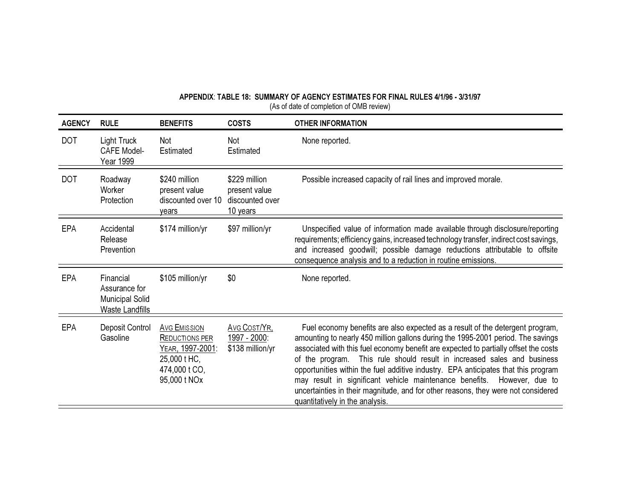| <b>AGENCY</b> | <b>RULE</b>                                                                    | <b>BENEFITS</b>                                                                                                   | <b>COSTS</b>                                                  | <b>OTHER INFORMATION</b>                                                                                                                                                                                                                                                                                                                                                                                                                                                                                                                                                                                                         |
|---------------|--------------------------------------------------------------------------------|-------------------------------------------------------------------------------------------------------------------|---------------------------------------------------------------|----------------------------------------------------------------------------------------------------------------------------------------------------------------------------------------------------------------------------------------------------------------------------------------------------------------------------------------------------------------------------------------------------------------------------------------------------------------------------------------------------------------------------------------------------------------------------------------------------------------------------------|
| <b>DOT</b>    | Light Truck<br><b>CAFE Model-</b><br>Year 1999                                 | Not<br>Estimated                                                                                                  | Not<br>Estimated                                              | None reported.                                                                                                                                                                                                                                                                                                                                                                                                                                                                                                                                                                                                                   |
| <b>DOT</b>    | Roadway<br>Worker<br>Protection                                                | \$240 million<br>present value<br>discounted over 10<br>vears                                                     | \$229 million<br>present value<br>discounted over<br>10 years | Possible increased capacity of rail lines and improved morale.                                                                                                                                                                                                                                                                                                                                                                                                                                                                                                                                                                   |
| <b>EPA</b>    | Accidental<br>Release<br>Prevention                                            | \$174 million/yr                                                                                                  | \$97 million/yr                                               | Unspecified value of information made available through disclosure/reporting<br>requirements; efficiency gains, increased technology transfer, indirect cost savings,<br>and increased goodwill; possible damage reductions attributable to offsite<br>consequence analysis and to a reduction in routine emissions.                                                                                                                                                                                                                                                                                                             |
| <b>EPA</b>    | Financial<br>Assurance for<br><b>Municipal Solid</b><br><b>Waste Landfills</b> | \$105 million/yr                                                                                                  | \$0                                                           | None reported.                                                                                                                                                                                                                                                                                                                                                                                                                                                                                                                                                                                                                   |
| <b>EPA</b>    | Deposit Control<br>Gasoline                                                    | <b>AVG EMISSION</b><br><b>REDUCTIONS PER</b><br>YEAR, 1997-2001:<br>25,000 t HC,<br>474,000 t CO,<br>95,000 t NOx | Avg Cost/YR,<br>1997 - 2000:<br>\$138 million/yr              | Fuel economy benefits are also expected as a result of the detergent program,<br>amounting to nearly 450 million gallons during the 1995-2001 period. The savings<br>associated with this fuel economy benefit are expected to partially offset the costs<br>This rule should result in increased sales and business<br>of the program.<br>opportunities within the fuel additive industry. EPA anticipates that this program<br>may result in significant vehicle maintenance benefits. However, due to<br>uncertainties in their magnitude, and for other reasons, they were not considered<br>quantitatively in the analysis. |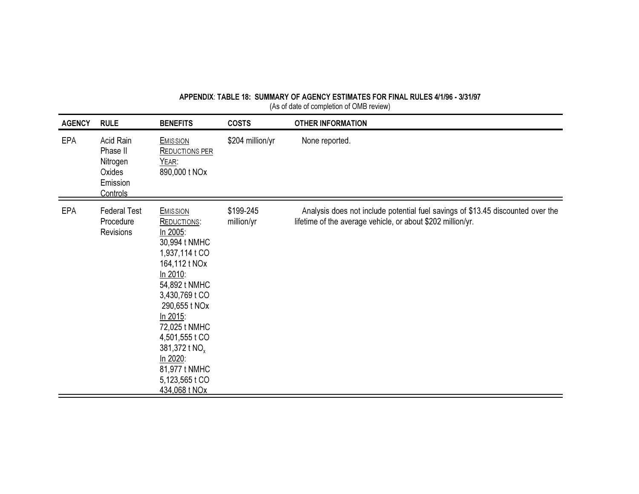| APPENDIX: TABLE 18: SUMMARY OF AGENCY ESTIMATES FOR FINAL RULES 4/1/96 - 3/31/97 |  |
|----------------------------------------------------------------------------------|--|
| (As of date of completion of OMB review)                                         |  |
|                                                                                  |  |

| <b>AGENCY</b> | <b>RULE</b>                                                         | <b>BENEFITS</b>                                                                                                                                                                                                                                                                                                   | <b>COSTS</b>            | <b>OTHER INFORMATION</b>                                                                                                                       |
|---------------|---------------------------------------------------------------------|-------------------------------------------------------------------------------------------------------------------------------------------------------------------------------------------------------------------------------------------------------------------------------------------------------------------|-------------------------|------------------------------------------------------------------------------------------------------------------------------------------------|
| <b>EPA</b>    | Acid Rain<br>Phase II<br>Nitrogen<br>Oxides<br>Emission<br>Controls | <b>EMISSION</b><br><b>REDUCTIONS PER</b><br>YEAR:<br>890,000 t NOx                                                                                                                                                                                                                                                | \$204 million/yr        | None reported.                                                                                                                                 |
| <b>EPA</b>    | <b>Federal Test</b><br>Procedure<br><b>Revisions</b>                | <b>EMISSION</b><br><b>REDUCTIONS:</b><br>In 2005:<br>30,994 t NMHC<br>1,937,114 t CO<br>164,112 t NOx<br>In 2010:<br>54,892 t NMHC<br>3,430,769 t CO<br>290,655 t NOx<br>In 2015:<br>72,025 t NMHC<br>4,501,555 t CO<br>381,372 t NO <sub>x</sub><br>In 2020:<br>81,977 t NMHC<br>5,123,565 t CO<br>434,068 t NOx | \$199-245<br>million/yr | Analysis does not include potential fuel savings of \$13.45 discounted over the<br>lifetime of the average vehicle, or about \$202 million/yr. |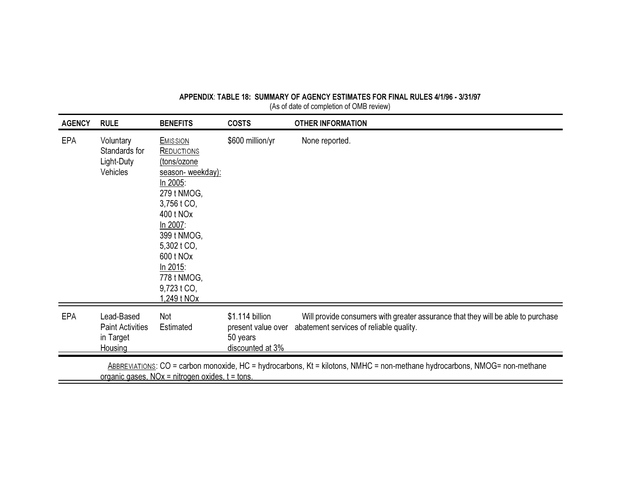| <b>AGENCY</b> | <b>RULE</b>                                                                                                                                                                       | <b>BENEFITS</b>                                                                                                                                                                                                                                 | <b>COSTS</b>                                                          | <b>OTHER INFORMATION</b>                                                                                                    |  |  |
|---------------|-----------------------------------------------------------------------------------------------------------------------------------------------------------------------------------|-------------------------------------------------------------------------------------------------------------------------------------------------------------------------------------------------------------------------------------------------|-----------------------------------------------------------------------|-----------------------------------------------------------------------------------------------------------------------------|--|--|
| <b>EPA</b>    | Voluntary<br>Standards for<br>Light-Duty<br>Vehicles                                                                                                                              | <b>EMISSION</b><br><b>REDUCTIONS</b><br>(tons/ozone<br>season- weekday):<br>In 2005:<br>279 t NMOG,<br>3,756 t CO,<br>400 t NOx<br>In 2007:<br>399 t NMOG,<br>5,302 t CO,<br>600 t NOx<br>In 2015:<br>778 t NMOG,<br>9,723 t CO,<br>1.249 t NOx | \$600 million/yr                                                      | None reported.                                                                                                              |  |  |
| <b>EPA</b>    | Lead-Based<br><b>Paint Activities</b><br>in Target<br>Housing                                                                                                                     | Not<br>Estimated                                                                                                                                                                                                                                | \$1.114 billion<br>present value over<br>50 years<br>discounted at 3% | Will provide consumers with greater assurance that they will be able to purchase<br>abatement services of reliable quality. |  |  |
|               | ABBREVIATIONS: CO = carbon monoxide, HC = hydrocarbons, Kt = kilotons, NMHC = non-methane hydrocarbons, NMOG= non-methane<br>organic gases. $NOx = nitrogen$ oxides, $t = tons$ . |                                                                                                                                                                                                                                                 |                                                                       |                                                                                                                             |  |  |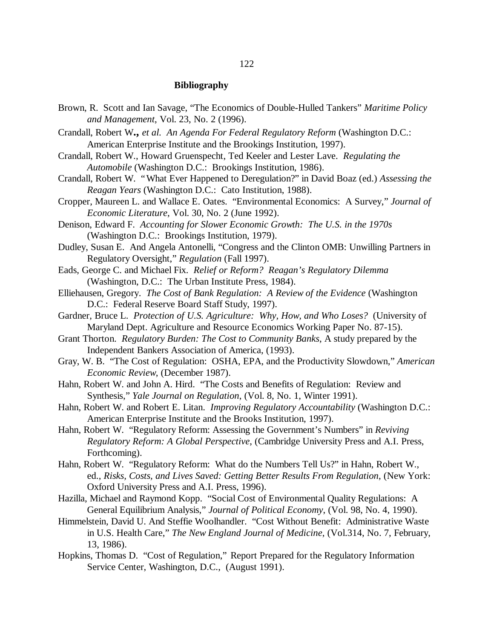#### 122

#### **Bibliography**

- Brown, R. Scott and Ian Savage, "The Economics of Double-Hulled Tankers" *Maritime Policy and Management*, Vol. 23, No. 2 (1996).
- Crandall, Robert W**.,** *et al. An Agenda For Federal Regulatory Reform* (Washington D.C.: American Enterprise Institute and the Brookings Institution, 1997).
- Crandall, Robert W., Howard Gruenspecht, Ted Keeler and Lester Lave. *Regulating the Automobile* (Washington D.C.: Brookings Institution, 1986).
- Crandall, Robert W. "What Ever Happened to Deregulation?" in David Boaz (ed.) *Assessing the Reagan Years* (Washington D.C.: Cato Institution, 1988).
- Cropper, Maureen L. and Wallace E. Oates. "Environmental Economics: A Survey," *Journal of Economic Literature*, Vol. 30, No. 2 (June 1992).

Denison, Edward F. *Accounting for Slower Economic Growth: The U.S. in the 1970s* (Washington D.C.: Brookings Institution, 1979).

Dudley, Susan E. And Angela Antonelli, "Congress and the Clinton OMB: Unwilling Partners in Regulatory Oversight," *Regulation* (Fall 1997).

Eads, George C. and Michael Fix. *Relief or Reform? Reagan's Regulatory Dilemma* (Washington, D.C.: The Urban Institute Press, 1984).

Elliehausen, Gregory. *The Cost of Bank Regulation: A Review of the Evidence* (Washington D.C.: Federal Reserve Board Staff Study, 1997).

- Gardner, Bruce L. *Protection of U.S. Agriculture: Why, How, and Who Loses?* (University of Maryland Dept. Agriculture and Resource Economics Working Paper No. 87-15).
- Grant Thorton. *Regulatory Burden: The Cost to Community Banks*, A study prepared by the Independent Bankers Association of America, (1993).
- Gray, W. B. "The Cost of Regulation: OSHA, EPA, and the Productivity Slowdown," *American Economic Review*, (December 1987).
- Hahn, Robert W. and John A. Hird. "The Costs and Benefits of Regulation: Review and Synthesis," *Yale Journal on Regulation*, (Vol. 8, No. 1, Winter 1991).
- Hahn, Robert W. and Robert E. Litan. *Improving Regulatory Accountability* (Washington D.C.: American Enterprise Institute and the Brooks Institution, 1997).
- Hahn, Robert W. "Regulatory Reform: Assessing the Government's Numbers" in *Reviving Regulatory Reform: A Global Perspective*, (Cambridge University Press and A.I. Press, Forthcoming).
- Hahn, Robert W. "Regulatory Reform: What do the Numbers Tell Us?" in Hahn, Robert W., ed., *Risks, Costs, and Lives Saved: Getting Better Results From Regulation*, (New York: Oxford University Press and A.I. Press, 1996).
- Hazilla, Michael and Raymond Kopp. "Social Cost of Environmental Quality Regulations: A General Equilibrium Analysis," *Journal of Political Economy*, (Vol. 98, No. 4, 1990).
- Himmelstein, David U. And Steffie Woolhandler. "Cost Without Benefit: Administrative Waste in U.S. Health Care," *The New England Journal of Medicine*, (Vol.314, No. 7, February, 13, 1986).
- Hopkins, Thomas D. "Cost of Regulation," Report Prepared for the Regulatory Information Service Center, Washington, D.C., (August 1991).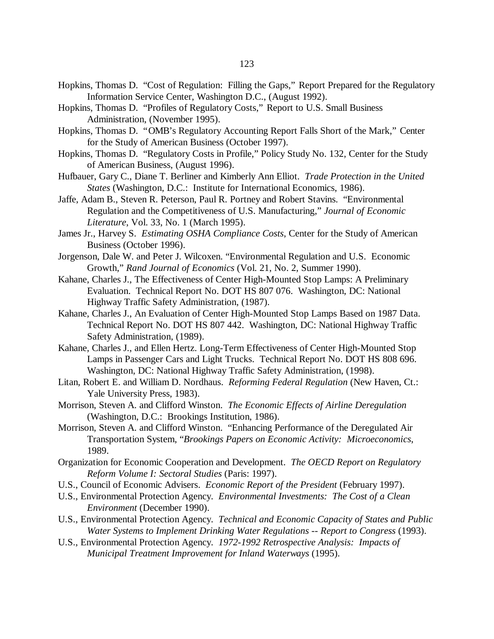- Hopkins, Thomas D. "Cost of Regulation: Filling the Gaps," Report Prepared for the Regulatory Information Service Center, Washington D.C., (August 1992).
- Hopkins, Thomas D. "Profiles of Regulatory Costs," Report to U.S. Small Business Administration, (November 1995).
- Hopkins, Thomas D. "OMB's Regulatory Accounting Report Falls Short of the Mark," Center for the Study of American Business (October 1997).
- Hopkins, Thomas D. "Regulatory Costs in Profile," Policy Study No. 132, Center for the Study of American Business, (August 1996).
- Hufbauer, Gary C., Diane T. Berliner and Kimberly Ann Elliot. *Trade Protection in the United States* (Washington, D.C.: Institute for International Economics, 1986).
- Jaffe, Adam B., Steven R. Peterson, Paul R. Portney and Robert Stavins. "Environmental Regulation and the Competitiveness of U.S. Manufacturing," *Journal of Economic Literature*, Vol. 33, No. 1 (March 1995).
- James Jr., Harvey S. *Estimating OSHA Compliance Costs*, Center for the Study of American Business (October 1996).
- Jorgenson, Dale W. and Peter J. Wilcoxen. "Environmental Regulation and U.S. Economic Growth," *Rand Journal of Economics* (Vol. 21, No. 2, Summer 1990).
- Kahane, Charles J., The Effectiveness of Center High-Mounted Stop Lamps: A Preliminary Evaluation. Technical Report No. DOT HS 807 076. Washington, DC: National Highway Traffic Safety Administration, (1987).
- Kahane, Charles J., An Evaluation of Center High-Mounted Stop Lamps Based on 1987 Data. Technical Report No. DOT HS 807 442. Washington, DC: National Highway Traffic Safety Administration, (1989).
- Kahane, Charles J., and Ellen Hertz. Long-Term Effectiveness of Center High-Mounted Stop Lamps in Passenger Cars and Light Trucks. Technical Report No. DOT HS 808 696. Washington, DC: National Highway Traffic Safety Administration, (1998).
- Litan, Robert E. and William D. Nordhaus. *Reforming Federal Regulation* (New Haven, Ct.: Yale University Press, 1983).
- Morrison, Steven A. and Clifford Winston. *The Economic Effects of Airline Deregulation* (Washington, D.C.: Brookings Institution, 1986).
- Morrison, Steven A. and Clifford Winston. "Enhancing Performance of the Deregulated Air Transportation System, "*Brookings Papers on Economic Activity: Microeconomics*, 1989.
- Organization for Economic Cooperation and Development. *The OECD Report on Regulatory Reform Volume I: Sectoral Studies* (Paris: 1997).
- U.S., Council of Economic Advisers. *Economic Report of the President* (February 1997).
- U.S., Environmental Protection Agency. *Environmental Investments: The Cost of a Clean Environment* (December 1990).
- U.S., Environmental Protection Agency. *Technical and Economic Capacity of States and Public Water Systems to Implement Drinking Water Regulations -- Report to Congress* (1993).
- U.S., Environmental Protection Agency. *1972-1992 Retrospective Analysis: Impacts of Municipal Treatment Improvement for Inland Waterways* (1995).